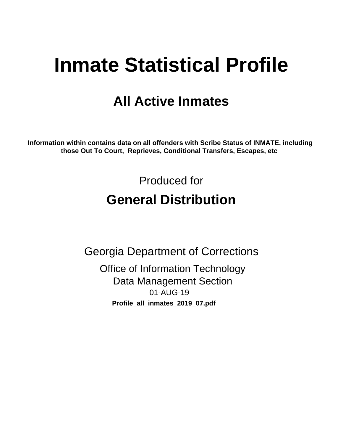# **Inmate Statistical Profile**

# **All Active Inmates**

Information within contains data on all offenders with Scribe Status of INMATE, including those Out To Court, Reprieves, Conditional Transfers, Escapes, etc

> Produced for **General Distribution**

**Georgia Department of Corrections Office of Information Technology Data Management Section** 01-AUG-19 Profile\_all\_inmates\_2019\_07.pdf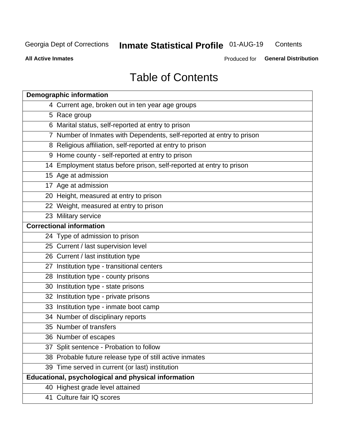#### **Inmate Statistical Profile 01-AUG-19** Contents

**All Active Inmates** 

Produced for General Distribution

# **Table of Contents**

| <b>Demographic information</b>                                        |
|-----------------------------------------------------------------------|
| 4 Current age, broken out in ten year age groups                      |
| 5 Race group                                                          |
| 6 Marital status, self-reported at entry to prison                    |
| 7 Number of Inmates with Dependents, self-reported at entry to prison |
| 8 Religious affiliation, self-reported at entry to prison             |
| 9 Home county - self-reported at entry to prison                      |
| 14 Employment status before prison, self-reported at entry to prison  |
| 15 Age at admission                                                   |
| 17 Age at admission                                                   |
| 20 Height, measured at entry to prison                                |
| 22 Weight, measured at entry to prison                                |
| 23 Military service                                                   |
| <b>Correctional information</b>                                       |
| 24 Type of admission to prison                                        |
| 25 Current / last supervision level                                   |
| 26 Current / last institution type                                    |
| 27 Institution type - transitional centers                            |
| 28 Institution type - county prisons                                  |
| 30 Institution type - state prisons                                   |
| 32 Institution type - private prisons                                 |
| 33 Institution type - inmate boot camp                                |
| 34 Number of disciplinary reports                                     |
| 35 Number of transfers                                                |
| 36 Number of escapes                                                  |
| 37 Split sentence - Probation to follow                               |
| 38 Probable future release type of still active inmates               |
| 39 Time served in current (or last) institution                       |
| <b>Educational, psychological and physical information</b>            |
| 40 Highest grade level attained                                       |
| 41 Culture fair IQ scores                                             |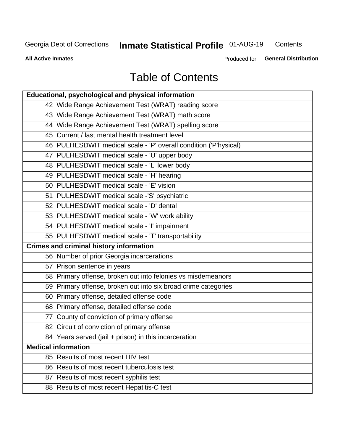# **Inmate Statistical Profile 01-AUG-19**

Contents

**All Active Inmates** 

Produced for General Distribution

# **Table of Contents**

| <b>Educational, psychological and physical information</b>       |
|------------------------------------------------------------------|
| 42 Wide Range Achievement Test (WRAT) reading score              |
| 43 Wide Range Achievement Test (WRAT) math score                 |
| 44 Wide Range Achievement Test (WRAT) spelling score             |
| 45 Current / last mental health treatment level                  |
| 46 PULHESDWIT medical scale - 'P' overall condition ('P'hysical) |
| 47 PULHESDWIT medical scale - 'U' upper body                     |
| 48 PULHESDWIT medical scale - 'L' lower body                     |
| 49 PULHESDWIT medical scale - 'H' hearing                        |
| 50 PULHESDWIT medical scale - 'E' vision                         |
| 51 PULHESDWIT medical scale -'S' psychiatric                     |
| 52 PULHESDWIT medical scale - 'D' dental                         |
| 53 PULHESDWIT medical scale - 'W' work ability                   |
| 54 PULHESDWIT medical scale - 'I' impairment                     |
| 55 PULHESDWIT medical scale - 'T' transportability               |
|                                                                  |
| <b>Crimes and criminal history information</b>                   |
| 56 Number of prior Georgia incarcerations                        |
| 57 Prison sentence in years                                      |
| 58 Primary offense, broken out into felonies vs misdemeanors     |
| 59 Primary offense, broken out into six broad crime categories   |
| 60 Primary offense, detailed offense code                        |
| 68 Primary offense, detailed offense code                        |
| 77 County of conviction of primary offense                       |
| 82 Circuit of conviction of primary offense                      |
| 84 Years served (jail + prison) in this incarceration            |
| <b>Medical information</b>                                       |
| 85 Results of most recent HIV test                               |
| 86 Results of most recent tuberculosis test                      |
| 87 Results of most recent syphilis test                          |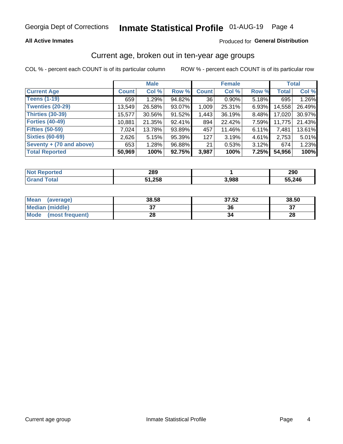#### **All Active Inmates**

#### Produced for General Distribution

### Current age, broken out in ten-year age groups

COL % - percent each COUNT is of its particular column

|                          |              | <b>Male</b> |        |              | <b>Female</b> |          |              | <b>Total</b> |  |
|--------------------------|--------------|-------------|--------|--------------|---------------|----------|--------------|--------------|--|
| <b>Current Age</b>       | <b>Count</b> | Col %       | Row %  | <b>Count</b> | Col %         | Row %    | <b>Total</b> | Col %        |  |
| <b>Teens (1-19)</b>      | 659          | 1.29%       | 94.82% | 36           | $0.90\%$      | 5.18%    | 695          | 1.26%        |  |
| <b>Twenties (20-29)</b>  | 13,549       | 26.58%      | 93.07% | 1,009        | 25.31%        | 6.93%    | 14,558       | 26.49%       |  |
| Thirties (30-39)         | 15,577       | 30.56%      | 91.52% | 1,443        | 36.19%        | 8.48%    | 17,020       | 30.97%       |  |
| <b>Forties (40-49)</b>   | 10,881       | 21.35%      | 92.41% | 894          | 22.42%        | 7.59%    | 11,775       | 21.43%       |  |
| <b>Fifties (50-59)</b>   | 7.024        | 13.78%      | 93.89% | 457          | 11.46%        | 6.11%    | 7,481        | 13.61%       |  |
| <b>Sixties (60-69)</b>   | 2,626        | 5.15%       | 95.39% | 127          | 3.19%         | 4.61%    | 2,753        | 5.01%        |  |
| Seventy + (70 and above) | 653          | 1.28%       | 96.88% | 21           | 0.53%         | $3.12\%$ | 674          | 1.23%        |  |
| <b>Total Reported</b>    | 50,969       | 100%        | 92.75% | 3,987        | 100%          | 7.25%    | 54,956       | 100%         |  |

| Not I<br><b>ported</b> | 290<br>∠໐ສ         |       | 290    |
|------------------------|--------------------|-------|--------|
| <b>Total</b>           | <b>OEO</b><br>∴∠oo | 3,988 | 55,246 |

| <b>Mean</b><br>(average) | 38.58         | 37.52 | 38.50    |
|--------------------------|---------------|-------|----------|
| Median (middle)          | $\sim$<br>ا پ | 36    | ^¬<br>o. |
| Mode<br>(most frequent)  | 28            |       | 28       |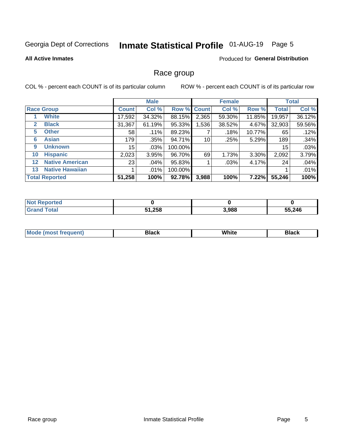# Inmate Statistical Profile 01-AUG-19 Page 5

#### **All Active Inmates**

#### Produced for General Distribution

### Race group

COL % - percent each COUNT is of its particular column

|              |                        |                 | <b>Male</b> |         |             | <b>Female</b> |        |              | <b>Total</b> |  |
|--------------|------------------------|-----------------|-------------|---------|-------------|---------------|--------|--------------|--------------|--|
|              | <b>Race Group</b>      | <b>Count</b>    | Col %       |         | Row % Count | Col %         | Row %  | <b>Total</b> | Col %        |  |
|              | <b>White</b>           | 17,592          | 34.32%      | 88.15%  | 2,365       | 59.30%        | 11.85% | 19,957       | 36.12%       |  |
| $\mathbf{2}$ | <b>Black</b>           | 31,367          | 61.19%      | 95.33%  | 1,536       | 38.52%        | 4.67%  | 32,903       | 59.56%       |  |
| 5.           | <b>Other</b>           | 58              | .11%        | 89.23%  |             | .18%          | 10.77% | 65           | .12%         |  |
| 6            | <b>Asian</b>           | 179             | .35%        | 94.71%  | 10          | .25%          | 5.29%  | 189          | .34%         |  |
| 9            | <b>Unknown</b>         | 15 <sub>1</sub> | $.03\%$     | 100.00% |             |               |        | 15           | .03%         |  |
| 10           | <b>Hispanic</b>        | 2,023           | 3.95%       | 96.70%  | 69          | 1.73%         | 3.30%  | 2,092        | 3.79%        |  |
| $12 \,$      | <b>Native American</b> | 23              | .04%        | 95.83%  |             | .03%          | 4.17%  | 24           | .04%         |  |
| 13           | <b>Native Hawaiian</b> |                 | $.01\%$     | 100.00% |             |               |        |              | .01%         |  |
|              | <b>Total Reported</b>  | 51,258          | 100%        | 92.78%  | 3,988       | 100%          | 7.22%  | 55,246       | 100%         |  |

| Reported<br>NO. |        |       |        |
|-----------------|--------|-------|--------|
| <b>Total</b>    | 51,258 | 3,988 | 55,246 |

| <b>Mode</b><br>uent)<br>most treo | 3lack | White | Black |
|-----------------------------------|-------|-------|-------|
|                                   |       |       |       |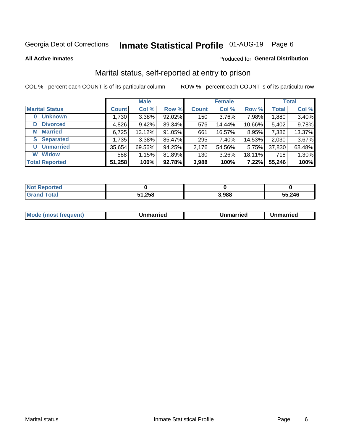# Inmate Statistical Profile 01-AUG-19 Page 6

**All Active Inmates** 

#### Produced for General Distribution

### Marital status, self-reported at entry to prison

COL % - percent each COUNT is of its particular column

|                            | <b>Male</b>  |        |        |              | <b>Female</b> | <b>Total</b> |              |        |
|----------------------------|--------------|--------|--------|--------------|---------------|--------------|--------------|--------|
| <b>Marital Status</b>      | <b>Count</b> | Col %  | Row %  | <b>Count</b> | Col %         | Row %        | <b>Total</b> | Col %  |
| <b>Unknown</b><br>$\bf{0}$ | 1,730        | 3.38%  | 92.02% | 150          | 3.76%         | 7.98%        | 1,880        | 3.40%  |
| <b>Divorced</b><br>D       | 4,826        | 9.42%  | 89.34% | 576          | 14.44%        | 10.66%       | 5,402        | 9.78%  |
| <b>Married</b><br>М        | 6,725        | 13.12% | 91.05% | 661          | 16.57%        | 8.95%        | 7,386        | 13.37% |
| <b>Separated</b><br>S.     | 1,735        | 3.38%  | 85.47% | 295          | 7.40%         | 14.53%       | 2,030        | 3.67%  |
| <b>Unmarried</b><br>U      | 35,654       | 69.56% | 94.25% | 2,176        | 54.56%        | 5.75%        | 37,830       | 68.48% |
| <b>Widow</b><br>W          | 588          | 1.15%  | 81.89% | 130          | 3.26%         | 18.11%       | 718          | 1.30%  |
| <b>Total Reported</b>      | 51,258       | 100%   | 92.78% | 3,988        | 100%          | 7.22%        | 55,246       | 100%   |

| <b>Not Reported</b> |      |       |        |
|---------------------|------|-------|--------|
| Total               | ,258 | 3,988 | 55,246 |

|--|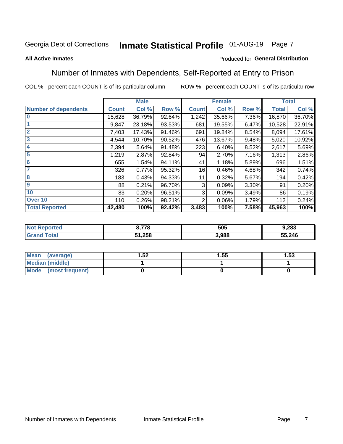#### Inmate Statistical Profile 01-AUG-19 Page 7

#### **All Active Inmates**

#### Produced for General Distribution

### Number of Inmates with Dependents, Self-Reported at Entry to Prison

COL % - percent each COUNT is of its particular column

|                             |              | <b>Male</b> |        |              | <b>Female</b> |          |              | <b>Total</b> |
|-----------------------------|--------------|-------------|--------|--------------|---------------|----------|--------------|--------------|
| <b>Number of dependents</b> | <b>Count</b> | Col %       | Row %  | <b>Count</b> | Col %         | Row %    | <b>Total</b> | Col %        |
| l 0                         | 15,628       | 36.79%      | 92.64% | 1,242        | 35.66%        | 7.36%    | 16,870       | 36.70%       |
|                             | 9,847        | 23.18%      | 93.53% | 681          | 19.55%        | 6.47%    | 10,528       | 22.91%       |
| $\overline{2}$              | 7,403        | 17.43%      | 91.46% | 691          | 19.84%        | 8.54%    | 8,094        | 17.61%       |
| $\mathbf{3}$                | 4,544        | 10.70%      | 90.52% | 476          | 13.67%        | 9.48%    | 5,020        | 10.92%       |
| $\overline{\mathbf{4}}$     | 2,394        | 5.64%       | 91.48% | 223          | 6.40%         | 8.52%    | 2,617        | 5.69%        |
| 5                           | 1,219        | 2.87%       | 92.84% | 94           | 2.70%         | 7.16%    | 1,313        | 2.86%        |
| 6                           | 655          | 1.54%       | 94.11% | 41           | 1.18%         | 5.89%    | 696          | 1.51%        |
| 7                           | 326          | 0.77%       | 95.32% | 16           | 0.46%         | 4.68%    | 342          | 0.74%        |
| 8                           | 183          | 0.43%       | 94.33% | 11           | 0.32%         | 5.67%    | 194          | 0.42%        |
| 9                           | 88           | 0.21%       | 96.70% | 3            | 0.09%         | $3.30\%$ | 91           | 0.20%        |
| 10                          | 83           | 0.20%       | 96.51% | 3            | 0.09%         | 3.49%    | 86           | 0.19%        |
| Over 10                     | 110          | 0.26%       | 98.21% | 2            | 0.06%         | 1.79%    | 112          | 0.24%        |
| <b>Total Reported</b>       | 42,480       | 100%        | 92.42% | 3,483        | 100%          | 7.58%    | 45,963       | 100%         |

| , 770<br>- 10 | 505  | 9,283  |
|---------------|------|--------|
| 51,258        | .988 | 55,246 |

| Mean (average)          | .52 | 1.55 | l.53 |
|-------------------------|-----|------|------|
| <b>Median (middle)</b>  |     |      |      |
| Mode<br>(most frequent) |     |      |      |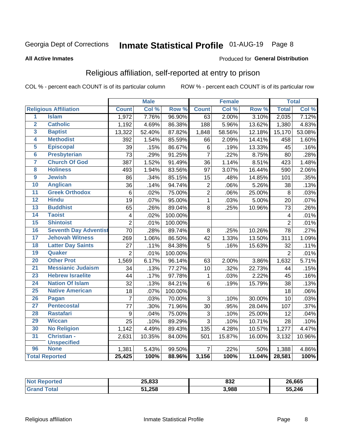# Inmate Statistical Profile 01-AUG-19 Page 8

#### **All Active Inmates**

#### Produced for General Distribution

### Religious affiliation, self-reported at entry to prison

COL % - percent each COUNT is of its particular column

|                     |                              |                 | <b>Male</b> |         |                 | <b>Female</b> |                  |                 | <b>Total</b> |
|---------------------|------------------------------|-----------------|-------------|---------|-----------------|---------------|------------------|-----------------|--------------|
|                     | <b>Religious Affiliation</b> | <b>Count</b>    | Col %       | Row %   | <b>Count</b>    | Col %         | Row <sup>%</sup> | <b>Total</b>    | Col %        |
| $\overline{1}$      | <b>Islam</b>                 | 1,972           | 7.76%       | 96.90%  | 63              | 2.00%         | 3.10%            | 2,035           | 7.12%        |
| $\overline{2}$      | <b>Catholic</b>              | 1,192           | 4.69%       | 86.38%  | 188             | 5.96%         | 13.62%           | 1,380           | 4.83%        |
| $\overline{3}$      | <b>Baptist</b>               | 13,322          | 52.40%      | 87.82%  | 1,848           | 58.56%        | 12.18%           | 15,170          | 53.08%       |
| 4                   | <b>Methodist</b>             | 392             | 1.54%       | 85.59%  | 66              | 2.09%         | 14.41%           | 458             | 1.60%        |
| 5                   | <b>Episcopal</b>             | 39              | .15%        | 86.67%  | 6               | .19%          | 13.33%           | 45              | .16%         |
| $\overline{\bf{6}}$ | <b>Presbyterian</b>          | 73              | .29%        | 91.25%  | $\overline{7}$  | .22%          | 8.75%            | 80              | .28%         |
| 7                   | <b>Church Of God</b>         | 387             | 1.52%       | 91.49%  | 36              | 1.14%         | 8.51%            | 423             | 1.48%        |
| 8                   | <b>Holiness</b>              | 493             | 1.94%       | 83.56%  | 97              | 3.07%         | 16.44%           | 590             | 2.06%        |
| $\overline{9}$      | <b>Jewish</b>                | 86              | .34%        | 85.15%  | 15              | .48%          | 14.85%           | 101             | .35%         |
| 10                  | <b>Anglican</b>              | 36              | .14%        | 94.74%  | $\overline{2}$  | .06%          | 5.26%            | 38              | .13%         |
| $\overline{11}$     | <b>Greek Orthodox</b>        | $6\phantom{1}$  | .02%        | 75.00%  | $\overline{2}$  | .06%          | 25.00%           | 8               | .03%         |
| 12                  | <b>Hindu</b>                 | $\overline{19}$ | .07%        | 95.00%  | $\mathbf{1}$    | .03%          | 5.00%            | 20              | .07%         |
| 13                  | <b>Buddhist</b>              | 65              | .26%        | 89.04%  | 8               | .25%          | 10.96%           | $\overline{73}$ | .26%         |
| $\overline{14}$     | <b>Taoist</b>                | $\overline{4}$  | .02%        | 100.00% |                 |               |                  | 4               | .01%         |
| 15                  | <b>Shintoist</b>             | $\overline{2}$  | .01%        | 100.00% |                 |               |                  | $\overline{2}$  | .01%         |
| 16                  | <b>Seventh Day Adventist</b> | 70              | .28%        | 89.74%  | 8               | .25%          | 10.26%           | 78              | .27%         |
| 17                  | <b>Jehovah Witness</b>       | 269             | 1.06%       | 86.50%  | 42              | 1.33%         | 13.50%           | 311             | 1.09%        |
| 18                  | <b>Latter Day Saints</b>     | 27              | .11%        | 84.38%  | 5               | .16%          | 15.63%           | 32              | .11%         |
| 19                  | Quaker                       | $\overline{2}$  | .01%        | 100.00% |                 |               |                  | $\overline{2}$  | .01%         |
| 20                  | <b>Other Prot</b>            | 1,569           | 6.17%       | 96.14%  | 63              | 2.00%         | 3.86%            | 1,632           | 5.71%        |
| $\overline{21}$     | <b>Messianic Judaism</b>     | 34              | .13%        | 77.27%  | 10              | .32%          | 22.73%           | 44              | .15%         |
| 23                  | <b>Hebrew Israelite</b>      | 44              | .17%        | 97.78%  | $\mathbf{1}$    | .03%          | 2.22%            | 45              | .16%         |
| 24                  | <b>Nation Of Islam</b>       | 32              | .13%        | 84.21%  | $6\phantom{1}6$ | .19%          | 15.79%           | 38              | .13%         |
| 25                  | <b>Native American</b>       | 18              | .07%        | 100.00% |                 |               |                  | 18              | .06%         |
| 26                  | Pagan                        | $\overline{7}$  | .03%        | 70.00%  | $\mathbf{3}$    | .10%          | 30.00%           | 10              | .03%         |
| 27                  | <b>Pentecostal</b>           | $\overline{77}$ | .30%        | 71.96%  | 30              | .95%          | 28.04%           | 107             | .37%         |
| 28                  | <b>Rastafari</b>             | 9               | .04%        | 75.00%  | $\sqrt{3}$      | .10%          | 25.00%           | 12              | .04%         |
| 29                  | <b>Wiccan</b>                | $\overline{25}$ | .10%        | 89.29%  | $\overline{3}$  | .10%          | 10.71%           | 28              | .10%         |
| 30                  | <b>No Religion</b>           | 1,142           | 4.49%       | 89.43%  | 135             | 4.28%         | 10.57%           | 1,277           | 4.47%        |
| 31                  | Christian -                  | 2,631           | 10.35%      | 84.00%  | 501             | 15.87%        | 16.00%           | 3,132           | 10.96%       |
| 96                  | <b>Unspecified</b>           |                 |             |         |                 |               |                  |                 |              |
|                     | <b>None</b>                  | 1,381           | 5.43%       | 99.50%  | $\overline{7}$  | .22%          | .50%             | 1,388           | 4.86%        |
|                     | <b>Total Reported</b>        | 25,425          | 100%        | 88.96%  | 3,156           | 100%          | 11.04%           | 28,581          | 100%         |

| OF 000<br>20.000 | ៰າາ<br>صدہ | 26,665 |
|------------------|------------|--------|
| 51.258           | 3,988      | 55,246 |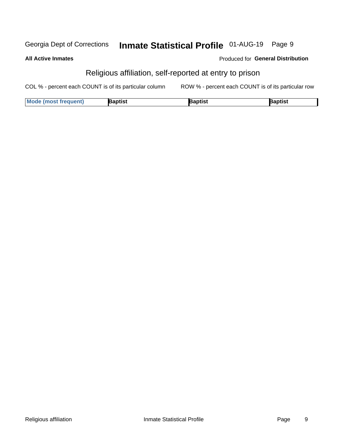#### Inmate Statistical Profile 01-AUG-19 Page 9 Georgia Dept of Corrections

#### **All Active Inmates**

#### Produced for General Distribution

### Religious affiliation, self-reported at entry to prison

COL % - percent each COUNT is of its particular column ROW % - percent each COUNT is of its particular row

| <b>Mode (most frequent)</b> | 3aptist | aptist | Baptist |
|-----------------------------|---------|--------|---------|
|-----------------------------|---------|--------|---------|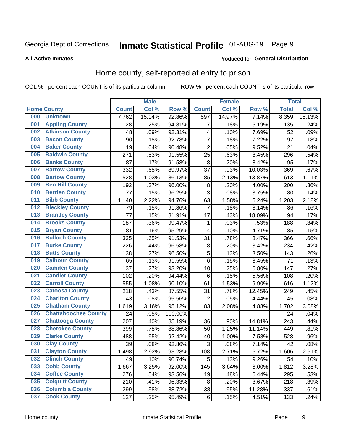# Inmate Statistical Profile 01-AUG-19 Page 9

#### **All Active Inmates**

#### Produced for General Distribution

### Home county, self-reported at entry to prison

COL % - percent each COUNT is of its particular column

|     |                             |              | <b>Male</b> |                  |                | <b>Female</b> |        | <b>Total</b> |        |
|-----|-----------------------------|--------------|-------------|------------------|----------------|---------------|--------|--------------|--------|
|     | <b>Home County</b>          | <b>Count</b> | Col %       | Row <sup>%</sup> | <b>Count</b>   | Col %         | Row %  | <b>Total</b> | Col %  |
| 000 | <b>Unknown</b>              | 7,762        | 15.14%      | 92.86%           | 597            | 14.97%        | 7.14%  | 8,359        | 15.13% |
| 001 | <b>Appling County</b>       | 128          | .25%        | 94.81%           | 7              | .18%          | 5.19%  | 135          | .24%   |
| 002 | <b>Atkinson County</b>      | 48           | .09%        | 92.31%           | 4              | .10%          | 7.69%  | 52           | .09%   |
| 003 | <b>Bacon County</b>         | 90           | .18%        | 92.78%           | $\overline{7}$ | .18%          | 7.22%  | 97           | .18%   |
| 004 | <b>Baker County</b>         | 19           | .04%        | 90.48%           | $\overline{2}$ | .05%          | 9.52%  | 21           | .04%   |
| 005 | <b>Baldwin County</b>       | 271          | .53%        | 91.55%           | 25             | .63%          | 8.45%  | 296          | .54%   |
| 006 | <b>Banks County</b>         | 87           | .17%        | 91.58%           | $\bf 8$        | .20%          | 8.42%  | 95           | .17%   |
| 007 | <b>Barrow County</b>        | 332          | .65%        | 89.97%           | 37             | .93%          | 10.03% | 369          | .67%   |
| 008 | <b>Bartow County</b>        | 528          | 1.03%       | 86.13%           | 85             | 2.13%         | 13.87% | 613          | 1.11%  |
| 009 | <b>Ben Hill County</b>      | 192          | .37%        | 96.00%           | $\bf 8$        | .20%          | 4.00%  | 200          | .36%   |
| 010 | <b>Berrien County</b>       | 77           | .15%        | 96.25%           | $\mathbf{3}$   | .08%          | 3.75%  | 80           | .14%   |
| 011 | <b>Bibb County</b>          | 1,140        | 2.22%       | 94.76%           | 63             | 1.58%         | 5.24%  | 1,203        | 2.18%  |
| 012 | <b>Bleckley County</b>      | 79           | .15%        | 91.86%           | 7              | .18%          | 8.14%  | 86           | .16%   |
| 013 | <b>Brantley County</b>      | 77           | .15%        | 81.91%           | 17             | .43%          | 18.09% | 94           | .17%   |
| 014 | <b>Brooks County</b>        | 187          | .36%        | 99.47%           | $\mathbf{1}$   | .03%          | .53%   | 188          | .34%   |
| 015 | <b>Bryan County</b>         | 81           | .16%        | 95.29%           | 4              | .10%          | 4.71%  | 85           | .15%   |
| 016 | <b>Bulloch County</b>       | 335          | .65%        | 91.53%           | 31             | .78%          | 8.47%  | 366          | .66%   |
| 017 | <b>Burke County</b>         | 226          | .44%        | 96.58%           | $\bf 8$        | .20%          | 3.42%  | 234          | .42%   |
| 018 | <b>Butts County</b>         | 138          | .27%        | 96.50%           | 5              | .13%          | 3.50%  | 143          | .26%   |
| 019 | <b>Calhoun County</b>       | 65           | .13%        | 91.55%           | $\,6$          | .15%          | 8.45%  | 71           | .13%   |
| 020 | <b>Camden County</b>        | 137          | .27%        | 93.20%           | 10             | .25%          | 6.80%  | 147          | .27%   |
| 021 | <b>Candler County</b>       | 102          | .20%        | 94.44%           | 6              | .15%          | 5.56%  | 108          | .20%   |
| 022 | <b>Carroll County</b>       | 555          | 1.08%       | 90.10%           | 61             | 1.53%         | 9.90%  | 616          | 1.12%  |
| 023 | <b>Catoosa County</b>       | 218          | .43%        | 87.55%           | 31             | .78%          | 12.45% | 249          | .45%   |
| 024 | <b>Charlton County</b>      | 43           | .08%        | 95.56%           | 2              | .05%          | 4.44%  | 45           | .08%   |
| 025 | <b>Chatham County</b>       | 1,619        | 3.16%       | 95.12%           | 83             | 2.08%         | 4.88%  | 1,702        | 3.08%  |
| 026 | <b>Chattahoochee County</b> | 24           | .05%        | 100.00%          |                |               |        | 24           | .04%   |
| 027 | <b>Chattooga County</b>     | 207          | .40%        | 85.19%           | 36             | .90%          | 14.81% | 243          | .44%   |
| 028 | <b>Cherokee County</b>      | 399          | .78%        | 88.86%           | 50             | 1.25%         | 11.14% | 449          | .81%   |
| 029 | <b>Clarke County</b>        | 488          | .95%        | 92.42%           | 40             | 1.00%         | 7.58%  | 528          | .96%   |
| 030 | <b>Clay County</b>          | 39           | .08%        | 92.86%           | $\mathbf{3}$   | .08%          | 7.14%  | 42           | .08%   |
| 031 | <b>Clayton County</b>       | 1,498        | 2.92%       | 93.28%           | 108            | 2.71%         | 6.72%  | 1,606        | 2.91%  |
| 032 | <b>Clinch County</b>        | 49           | .10%        | 90.74%           | 5              | .13%          | 9.26%  | 54           | .10%   |
| 033 | <b>Cobb County</b>          | 1,667        | 3.25%       | 92.00%           | 145            | 3.64%         | 8.00%  | 1,812        | 3.28%  |
| 034 | <b>Coffee County</b>        | 276          | .54%        | 93.56%           | 19             | .48%          | 6.44%  | 295          | .53%   |
| 035 | <b>Colquitt County</b>      | 210          | .41%        | 96.33%           | 8              | .20%          | 3.67%  | 218          | .39%   |
| 036 | <b>Columbia County</b>      | 299          | .58%        | 88.72%           | 38             | .95%          | 11.28% | 337          | .61%   |
| 037 | <b>Cook County</b>          | 127          | .25%        | 95.49%           | $\,6$          | .15%          | 4.51%  | 133          | .24%   |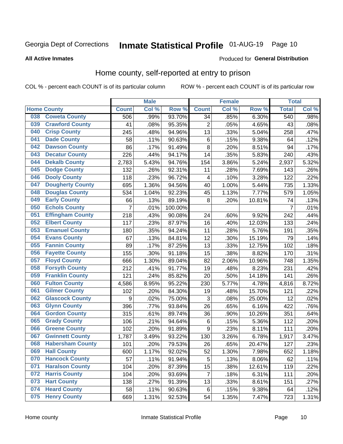# Inmate Statistical Profile 01-AUG-19 Page 10

#### **All Active Inmates**

#### Produced for General Distribution

### Home county, self-reported at entry to prison

COL % - percent each COUNT is of its particular column

|     |                         |                  | <b>Male</b> |         |                | <b>Female</b> |        | <b>Total</b>   |       |
|-----|-------------------------|------------------|-------------|---------|----------------|---------------|--------|----------------|-------|
|     | <b>Home County</b>      | <b>Count</b>     | Col %       | Row %   | <b>Count</b>   | Col %         | Row %  | <b>Total</b>   | Col % |
| 038 | <b>Coweta County</b>    | 506              | .99%        | 93.70%  | 34             | .85%          | 6.30%  | 540            | .98%  |
| 039 | <b>Crawford County</b>  | 41               | .08%        | 95.35%  | $\overline{c}$ | .05%          | 4.65%  | 43             | .08%  |
| 040 | <b>Crisp County</b>     | 245              | .48%        | 94.96%  | 13             | .33%          | 5.04%  | 258            | .47%  |
| 041 | <b>Dade County</b>      | 58               | .11%        | 90.63%  | $\,6$          | .15%          | 9.38%  | 64             | .12%  |
| 042 | <b>Dawson County</b>    | 86               | .17%        | 91.49%  | 8              | .20%          | 8.51%  | 94             | .17%  |
| 043 | <b>Decatur County</b>   | 226              | .44%        | 94.17%  | 14             | .35%          | 5.83%  | 240            | .43%  |
| 044 | <b>Dekalb County</b>    | 2,783            | 5.43%       | 94.76%  | 154            | 3.86%         | 5.24%  | 2,937          | 5.32% |
| 045 | <b>Dodge County</b>     | 132              | .26%        | 92.31%  | 11             | .28%          | 7.69%  | 143            | .26%  |
| 046 | <b>Dooly County</b>     | 118              | .23%        | 96.72%  | 4              | .10%          | 3.28%  | 122            | .22%  |
| 047 | <b>Dougherty County</b> | 695              | 1.36%       | 94.56%  | 40             | 1.00%         | 5.44%  | 735            | 1.33% |
| 048 | <b>Douglas County</b>   | 534              | 1.04%       | 92.23%  | 45             | 1.13%         | 7.77%  | 579            | 1.05% |
| 049 | <b>Early County</b>     | 66               | .13%        | 89.19%  | 8              | .20%          | 10.81% | 74             | .13%  |
| 050 | <b>Echols County</b>    | $\overline{7}$   | .01%        | 100.00% |                |               |        | $\overline{7}$ | .01%  |
| 051 | <b>Effingham County</b> | 218              | .43%        | 90.08%  | 24             | .60%          | 9.92%  | 242            | .44%  |
| 052 | <b>Elbert County</b>    | 117              | .23%        | 87.97%  | 16             | .40%          | 12.03% | 133            | .24%  |
| 053 | <b>Emanuel County</b>   | 180              | .35%        | 94.24%  | 11             | .28%          | 5.76%  | 191            | .35%  |
| 054 | <b>Evans County</b>     | 67               | .13%        | 84.81%  | 12             | .30%          | 15.19% | 79             | .14%  |
| 055 | <b>Fannin County</b>    | 89               | .17%        | 87.25%  | 13             | .33%          | 12.75% | 102            | .18%  |
| 056 | <b>Fayette County</b>   | 155              | .30%        | 91.18%  | 15             | .38%          | 8.82%  | 170            | .31%  |
| 057 | <b>Floyd County</b>     | 666              | 1.30%       | 89.04%  | 82             | 2.06%         | 10.96% | 748            | 1.35% |
| 058 | <b>Forsyth County</b>   | 212              | .41%        | 91.77%  | 19             | .48%          | 8.23%  | 231            | .42%  |
| 059 | <b>Franklin County</b>  | 121              | .24%        | 85.82%  | 20             | .50%          | 14.18% | 141            | .26%  |
| 060 | <b>Fulton County</b>    | 4,586            | 8.95%       | 95.22%  | 230            | 5.77%         | 4.78%  | 4,816          | 8.72% |
| 061 | <b>Gilmer County</b>    | 102              | .20%        | 84.30%  | 19             | .48%          | 15.70% | 121            | .22%  |
| 062 | <b>Glascock County</b>  | $\boldsymbol{9}$ | .02%        | 75.00%  | 3              | .08%          | 25.00% | 12             | .02%  |
| 063 | <b>Glynn County</b>     | 396              | .77%        | 93.84%  | 26             | .65%          | 6.16%  | 422            | .76%  |
| 064 | <b>Gordon County</b>    | 315              | .61%        | 89.74%  | 36             | .90%          | 10.26% | 351            | .64%  |
| 065 | <b>Grady County</b>     | 106              | .21%        | 94.64%  | $\,6$          | .15%          | 5.36%  | 112            | .20%  |
| 066 | <b>Greene County</b>    | 102              | .20%        | 91.89%  | 9              | .23%          | 8.11%  | 111            | .20%  |
| 067 | <b>Gwinnett County</b>  | 1,787            | 3.49%       | 93.22%  | 130            | 3.26%         | 6.78%  | 1,917          | 3.47% |
| 068 | <b>Habersham County</b> | 101              | .20%        | 79.53%  | 26             | .65%          | 20.47% | 127            | .23%  |
| 069 | <b>Hall County</b>      | 600              | 1.17%       | 92.02%  | 52             | 1.30%         | 7.98%  | 652            | 1.18% |
| 070 | <b>Hancock County</b>   | 57               | .11%        | 91.94%  | 5              | .13%          | 8.06%  | 62             | .11%  |
| 071 | <b>Haralson County</b>  | 104              | .20%        | 87.39%  | 15             | .38%          | 12.61% | 119            | .22%  |
| 072 | <b>Harris County</b>    | 104              | .20%        | 93.69%  | $\overline{7}$ | .18%          | 6.31%  | 111            | .20%  |
| 073 | <b>Hart County</b>      | 138              | .27%        | 91.39%  | 13             | .33%          | 8.61%  | 151            | .27%  |
| 074 | <b>Heard County</b>     | 58               | .11%        | 90.63%  | 6              | .15%          | 9.38%  | 64             | .12%  |
| 075 | <b>Henry County</b>     | 669              | 1.31%       | 92.53%  | 54             | 1.35%         | 7.47%  | 723            | 1.31% |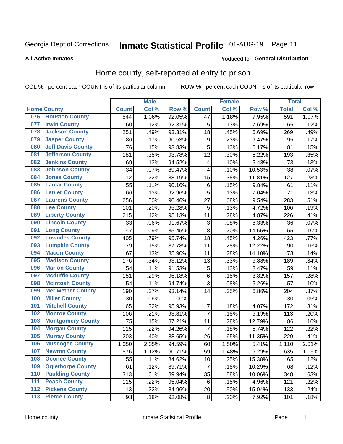#### **Inmate Statistical Profile 01-AUG-19** Page 11

**All Active Inmates** 

#### Produced for General Distribution

### Home county, self-reported at entry to prison

COL % - percent each COUNT is of its particular column

|                  |                          |              | <b>Male</b> |                  |                         | <b>Female</b> |        | <b>Total</b> |       |
|------------------|--------------------------|--------------|-------------|------------------|-------------------------|---------------|--------|--------------|-------|
|                  | <b>Home County</b>       | <b>Count</b> | Col %       | Row <sup>%</sup> | <b>Count</b>            | Col %         | Row %  | <b>Total</b> | Col % |
| 076              | <b>Houston County</b>    | 544          | 1.06%       | 92.05%           | 47                      | 1.18%         | 7.95%  | 591          | 1.07% |
| 077              | <b>Irwin County</b>      | 60           | .12%        | 92.31%           | 5                       | .13%          | 7.69%  | 65           | .12%  |
| 078              | <b>Jackson County</b>    | 251          | .49%        | 93.31%           | 18                      | .45%          | 6.69%  | 269          | .49%  |
| 079              | <b>Jasper County</b>     | 86           | .17%        | 90.53%           | $\boldsymbol{9}$        | .23%          | 9.47%  | 95           | .17%  |
| 080              | <b>Jeff Davis County</b> | 76           | .15%        | 93.83%           | 5                       | .13%          | 6.17%  | 81           | .15%  |
| 081              | <b>Jefferson County</b>  | 181          | .35%        | 93.78%           | 12                      | .30%          | 6.22%  | 193          | .35%  |
| 082              | <b>Jenkins County</b>    | 69           | .13%        | 94.52%           | $\overline{\mathbf{4}}$ | .10%          | 5.48%  | 73           | .13%  |
| 083              | <b>Johnson County</b>    | 34           | .07%        | 89.47%           | $\overline{\mathbf{4}}$ | .10%          | 10.53% | 38           | .07%  |
| 084              | <b>Jones County</b>      | 112          | .22%        | 88.19%           | 15                      | .38%          | 11.81% | 127          | .23%  |
| 085              | <b>Lamar County</b>      | 55           | .11%        | 90.16%           | $\,6$                   | .15%          | 9.84%  | 61           | .11%  |
| 086              | <b>Lanier County</b>     | 66           | .13%        | 92.96%           | 5                       | .13%          | 7.04%  | 71           | .13%  |
| 087              | <b>Laurens County</b>    | 256          | .50%        | 90.46%           | 27                      | .68%          | 9.54%  | 283          | .51%  |
| 088              | <b>Lee County</b>        | 101          | .20%        | 95.28%           | 5                       | .13%          | 4.72%  | 106          | .19%  |
| 089              | <b>Liberty County</b>    | 215          | .42%        | 95.13%           | 11                      | .28%          | 4.87%  | 226          | .41%  |
| 090              | <b>Lincoln County</b>    | 33           | .06%        | 91.67%           | 3                       | .08%          | 8.33%  | 36           | .07%  |
| 091              | <b>Long County</b>       | 47           | .09%        | 85.45%           | 8                       | .20%          | 14.55% | 55           | .10%  |
| 092              | <b>Lowndes County</b>    | 405          | .79%        | 95.74%           | 18                      | .45%          | 4.26%  | 423          | .77%  |
| 093              | <b>Lumpkin County</b>    | 79           | .15%        | 87.78%           | 11                      | .28%          | 12.22% | 90           | .16%  |
| 094              | <b>Macon County</b>      | 67           | .13%        | 85.90%           | 11                      | .28%          | 14.10% | 78           | .14%  |
| 095              | <b>Madison County</b>    | 176          | .34%        | 93.12%           | 13                      | .33%          | 6.88%  | 189          | .34%  |
| 096              | <b>Marion County</b>     | 54           | .11%        | 91.53%           | 5                       | .13%          | 8.47%  | 59           | .11%  |
| 097              | <b>Mcduffie County</b>   | 151          | .29%        | 96.18%           | 6                       | .15%          | 3.82%  | 157          | .28%  |
| 098              | <b>Mcintosh County</b>   | 54           | .11%        | 94.74%           | 3                       | .08%          | 5.26%  | 57           | .10%  |
| 099              | <b>Meriwether County</b> | 190          | .37%        | 93.14%           | 14                      | .35%          | 6.86%  | 204          | .37%  |
| 100              | <b>Miller County</b>     | 30           | .06%        | 100.00%          |                         |               |        | 30           | .05%  |
| 101              | <b>Mitchell County</b>   | 165          | .32%        | 95.93%           | $\overline{7}$          | .18%          | 4.07%  | 172          | .31%  |
| 102              | <b>Monroe County</b>     | 106          | .21%        | 93.81%           | $\overline{7}$          | .18%          | 6.19%  | 113          | .20%  |
| 103              | <b>Montgomery County</b> | 75           | .15%        | 87.21%           | 11                      | .28%          | 12.79% | 86           | .16%  |
| 104              | <b>Morgan County</b>     | 115          | .22%        | 94.26%           | 7                       | .18%          | 5.74%  | 122          | .22%  |
| 105              | <b>Murray County</b>     | 203          | .40%        | 88.65%           | 26                      | .65%          | 11.35% | 229          | .41%  |
| 106              | <b>Muscogee County</b>   | 1,050        | 2.05%       | 94.59%           | 60                      | 1.50%         | 5.41%  | 1,110        | 2.01% |
| 107              | <b>Newton County</b>     | 576          | 1.12%       | 90.71%           | 59                      | 1.48%         | 9.29%  | 635          | 1.15% |
| 108              | <b>Oconee County</b>     | 55           | .11%        | 84.62%           | 10                      | .25%          | 15.38% | 65           | .12%  |
| 109              | <b>Oglethorpe County</b> | 61           | .12%        | 89.71%           | $\overline{7}$          | .18%          | 10.29% | 68           | .12%  |
| 110              | <b>Paulding County</b>   | 313          | .61%        | 89.94%           | 35                      | .88%          | 10.06% | 348          | .63%  |
| 111              | <b>Peach County</b>      | 115          | .22%        | 95.04%           | 6                       | .15%          | 4.96%  | 121          | .22%  |
| $\overline{112}$ | <b>Pickens County</b>    | 113          | .22%        | 84.96%           | 20                      | .50%          | 15.04% | 133          | .24%  |
| 113              | <b>Pierce County</b>     | 93           | .18%        | 92.08%           | $\bf 8$                 | .20%          | 7.92%  | 101          | .18%  |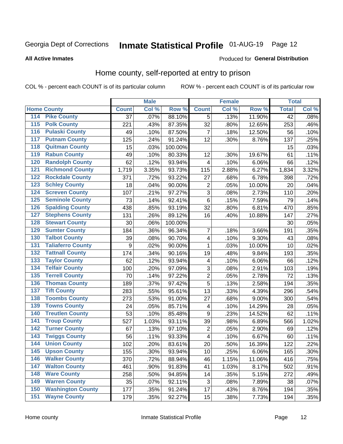# Inmate Statistical Profile 01-AUG-19 Page 12

#### **All Active Inmates**

#### Produced for General Distribution

### Home county, self-reported at entry to prison

COL % - percent each COUNT is of its particular column

|                                          |              | <b>Male</b> |         |                | <b>Female</b> |        | <b>Total</b>    |       |
|------------------------------------------|--------------|-------------|---------|----------------|---------------|--------|-----------------|-------|
| <b>Home County</b>                       | <b>Count</b> | Col %       | Row %   | <b>Count</b>   | Col %         | Row %  | <b>Total</b>    | Col % |
| 114<br><b>Pike County</b>                | 37           | .07%        | 88.10%  | 5              | .13%          | 11.90% | $\overline{42}$ | .08%  |
| <b>Polk County</b><br>115                | 221          | .43%        | 87.35%  | 32             | .80%          | 12.65% | 253             | .46%  |
| <b>Pulaski County</b><br>116             | 49           | .10%        | 87.50%  | 7              | .18%          | 12.50% | 56              | .10%  |
| <b>Putnam County</b><br>117              | 125          | .24%        | 91.24%  | 12             | .30%          | 8.76%  | 137             | .25%  |
| 118<br><b>Quitman County</b>             | 15           | .03%        | 100.00% |                |               |        | 15              | .03%  |
| <b>Rabun County</b><br>119               | 49           | .10%        | 80.33%  | 12             | .30%          | 19.67% | 61              | .11%  |
| <b>Randolph County</b><br>120            | 62           | .12%        | 93.94%  | $\overline{4}$ | .10%          | 6.06%  | 66              | .12%  |
| <b>Richmond County</b><br>121            | 1,719        | 3.35%       | 93.73%  | 115            | 2.88%         | 6.27%  | 1,834           | 3.32% |
| <b>Rockdale County</b><br>122            | 371          | .72%        | 93.22%  | 27             | .68%          | 6.78%  | 398             | .72%  |
| <b>Schley County</b><br>123              | 18           | .04%        | 90.00%  | $\overline{2}$ | .05%          | 10.00% | 20              | .04%  |
| <b>Screven County</b><br>124             | 107          | .21%        | 97.27%  | $\overline{3}$ | .08%          | 2.73%  | 110             | .20%  |
| <b>Seminole County</b><br>125            | 73           | .14%        | 92.41%  | 6              | .15%          | 7.59%  | 79              | .14%  |
| <b>Spalding County</b><br>126            | 438          | .85%        | 93.19%  | 32             | .80%          | 6.81%  | 470             | .85%  |
| <b>Stephens County</b><br>127            | 131          | .26%        | 89.12%  | 16             | .40%          | 10.88% | 147             | .27%  |
| <b>Stewart County</b><br>128             | 30           | .06%        | 100.00% |                |               |        | 30              | .05%  |
| <b>Sumter County</b><br>129              | 184          | .36%        | 96.34%  | 7              | .18%          | 3.66%  | 191             | .35%  |
| <b>Talbot County</b><br>130              | 39           | .08%        | 90.70%  | 4              | .10%          | 9.30%  | 43              | .08%  |
| <b>Taliaferro County</b><br>131          | 9            | .02%        | 90.00%  | 1              | .03%          | 10.00% | 10              | .02%  |
| <b>Tattnall County</b><br>132            | 174          | .34%        | 90.16%  | 19             | .48%          | 9.84%  | 193             | .35%  |
| <b>Taylor County</b><br>133              | 62           | .12%        | 93.94%  | 4              | .10%          | 6.06%  | 66              | .12%  |
| <b>Telfair County</b><br>134             | 100          | .20%        | 97.09%  | $\mathbf{3}$   | .08%          | 2.91%  | 103             | .19%  |
| <b>Terrell County</b><br>135             | 70           | .14%        | 97.22%  | $\overline{c}$ | .05%          | 2.78%  | 72              | .13%  |
| <b>Thomas County</b><br>136              | 189          | .37%        | 97.42%  | $\overline{5}$ | .13%          | 2.58%  | 194             | .35%  |
| <b>Tift County</b><br>137                | 283          | .55%        | 95.61%  | 13             | .33%          | 4.39%  | 296             | .54%  |
| <b>Toombs County</b><br>138              | 273          | .53%        | 91.00%  | 27             | .68%          | 9.00%  | 300             | .54%  |
| <b>Towns County</b><br>139               | 24           | .05%        | 85.71%  | 4              | .10%          | 14.29% | 28              | .05%  |
| <b>Treutlen County</b><br>140            | 53           | .10%        | 85.48%  | 9              | .23%          | 14.52% | 62              | .11%  |
| <b>Troup County</b><br>141               | 527          | 1.03%       | 93.11%  | 39             | .98%          | 6.89%  | 566             | 1.02% |
| <b>Turner County</b><br>$\overline{142}$ | 67           | .13%        | 97.10%  | $\overline{2}$ | .05%          | 2.90%  | 69              | .12%  |
| <b>Twiggs County</b><br>143              | 56           | .11%        | 93.33%  | 4              | .10%          | 6.67%  | 60              | .11%  |
| <b>Union County</b><br>144               | 102          | .20%        | 83.61%  | 20             | .50%          | 16.39% | 122             | .22%  |
| 145<br><b>Upson County</b>               | 155          | .30%        | 93.94%  | 10             | .25%          | 6.06%  | 165             | .30%  |
| <b>Walker County</b><br>146              | 370          | .72%        | 88.94%  | 46             | 1.15%         | 11.06% | 416             | .75%  |
| <b>Walton County</b><br>147              | 461          | .90%        | 91.83%  | 41             | 1.03%         | 8.17%  | 502             | .91%  |
| <b>Ware County</b><br>148                | 258          | .50%        | 94.85%  | 14             | .35%          | 5.15%  | 272             | .49%  |
| <b>Warren County</b><br>149              | 35           | .07%        | 92.11%  | $\sqrt{3}$     | .08%          | 7.89%  | 38              | .07%  |
| <b>Washington County</b><br>150          | 177          | .35%        | 91.24%  | 17             | .43%          | 8.76%  | 194             | .35%  |
| <b>Wayne County</b><br>151               | 179          | .35%        | 92.27%  | 15             | .38%          | 7.73%  | 194             | .35%  |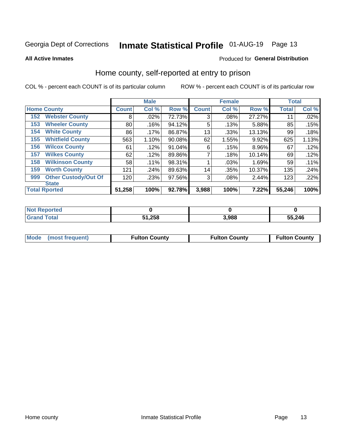# Inmate Statistical Profile 01-AUG-19 Page 13

**All Active Inmates** 

#### Produced for General Distribution

### Home county, self-reported at entry to prison

COL % - percent each COUNT is of its particular column

|     |                             |              | <b>Male</b> |        |              | <b>Female</b> |        | <b>Total</b> |       |
|-----|-----------------------------|--------------|-------------|--------|--------------|---------------|--------|--------------|-------|
|     | <b>Home County</b>          | <b>Count</b> | Col %       | Row %  | <b>Count</b> | Col %         | Row %  | <b>Total</b> | Col % |
| 152 | <b>Webster County</b>       | 8            | .02%        | 72.73% | 3            | .08%          | 27.27% | 11           | .02%  |
| 153 | <b>Wheeler County</b>       | 80           | .16%        | 94.12% | 5            | .13%          | 5.88%  | 85           | .15%  |
| 154 | <b>White County</b>         | 86           | $.17\%$     | 86.87% | 13           | .33%          | 13.13% | 99           | .18%  |
| 155 | <b>Whitfield County</b>     | 563          | 1.10%       | 90.08% | 62           | 1.55%         | 9.92%  | 625          | 1.13% |
| 156 | <b>Wilcox County</b>        | 61           | .12%        | 91.04% | 6            | .15%          | 8.96%  | 67           | .12%  |
| 157 | <b>Wilkes County</b>        | 62           | .12%        | 89.86% | 7            | .18%          | 10.14% | 69           | .12%  |
| 158 | <b>Wilkinson County</b>     | 58           | .11%        | 98.31% |              | .03%          | 1.69%  | 59           | .11%  |
| 159 | <b>Worth County</b>         | 121          | .24%        | 89.63% | 14           | .35%          | 10.37% | 135          | .24%  |
| 999 | <b>Other Custody/Out Of</b> | 120          | .23%        | 97.56% | 3            | .08%          | 2.44%  | 123          | .22%  |
|     | <b>State</b>                |              |             |        |              |               |        |              |       |
|     | <b>Total Rported</b>        | 51,258       | 100%        | 92.78% | 3,988        | 100%          | 7.22%  | 55,246       | 100%  |

| <b>Not</b><br>Reported |        |       |        |
|------------------------|--------|-------|--------|
| <b>Total</b>           | 51,258 | 3,988 | 55,246 |

|  | Mode (most frequent) | <b>Fulton County</b> | <b>Fulton County</b> | <b>Fulton County</b> |
|--|----------------------|----------------------|----------------------|----------------------|
|--|----------------------|----------------------|----------------------|----------------------|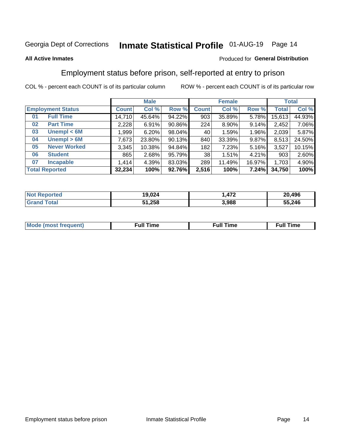# Inmate Statistical Profile 01-AUG-19 Page 14

#### **All Active Inmates**

#### Produced for General Distribution

### Employment status before prison, self-reported at entry to prison

COL % - percent each COUNT is of its particular column

|                           |         | <b>Male</b> |        |              | <b>Female</b> |        |        | <b>Total</b> |  |
|---------------------------|---------|-------------|--------|--------------|---------------|--------|--------|--------------|--|
| <b>Employment Status</b>  | Count l | Col %       | Row %  | <b>Count</b> | Col %         | Row %  | Total  | Col %        |  |
| <b>Full Time</b><br>01    | 14,710  | 45.64%      | 94.22% | 903          | 35.89%        | 5.78%  | 15,613 | 44.93%       |  |
| <b>Part Time</b><br>02    | 2,228   | 6.91%       | 90.86% | 224          | 8.90%         | 9.14%  | 2,452  | 7.06%        |  |
| Unempl $<$ 6M<br>03       | 1,999   | 6.20%       | 98.04% | 40           | 1.59%         | 1.96%  | 2,039  | 5.87%        |  |
| Unempl > 6M<br>04         | 7,673   | 23.80%      | 90.13% | 840          | 33.39%        | 9.87%  | 8,513  | 24.50%       |  |
| <b>Never Worked</b><br>05 | 3,345   | 10.38%      | 94.84% | 182          | 7.23%         | 5.16%  | 3,527  | 10.15%       |  |
| <b>Student</b><br>06      | 865     | 2.68%       | 95.79% | 38           | 1.51%         | 4.21%  | 903    | 2.60%        |  |
| <b>Incapable</b><br>07    | 1,414   | 4.39%       | 83.03% | 289          | 11.49%        | 16.97% | 1,703  | 4.90%        |  |
| <b>Total Reported</b>     | 32,234  | 100%        | 92.76% | 2,516        | 100%          | 7.24%  | 34,750 | 100%         |  |

| orteo<br><b>NOT</b> | 19,024 | 170   | 20,496 |
|---------------------|--------|-------|--------|
| int<br>. Grs        | 51,258 | 3,988 | 55,246 |

| Mc | ----<br>me<br>ш | nc<br>. |
|----|-----------------|---------|
|    |                 |         |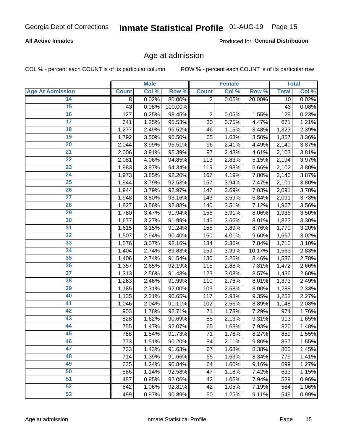#### **All Active Inmates**

Produced for General Distribution

### Age at admission

COL % - percent each COUNT is of its particular column

|                         |                    | <b>Male</b> |         |                | <b>Female</b> |        |              | <b>Total</b> |
|-------------------------|--------------------|-------------|---------|----------------|---------------|--------|--------------|--------------|
| <b>Age At Admission</b> | <b>Count</b>       | Col %       | Row %   | <b>Count</b>   | Col %         | Row %  | <b>Total</b> | Col %        |
| 14                      | 8                  | 0.02%       | 80.00%  | $\overline{2}$ | 0.05%         | 20.00% | 10           | 0.02%        |
| 15                      | 43                 | 0.08%       | 100.00% |                |               |        | 43           | 0.08%        |
| 16                      | 127                | 0.25%       | 98.45%  | $\overline{2}$ | 0.05%         | 1.55%  | 129          | 0.23%        |
| $\overline{17}$         | 641                | 1.25%       | 95.53%  | 30             | 0.75%         | 4.47%  | 671          | 1.21%        |
| $\overline{18}$         | $\overline{1,277}$ | 2.49%       | 96.52%  | 46             | 1.15%         | 3.48%  | 1,323        | 2.39%        |
| 19                      | 1,792              | 3.50%       | 96.50%  | 65             | 1.63%         | 3.50%  | 1,857        | 3.36%        |
| 20                      | 2,044              | 3.99%       | 95.51%  | 96             | 2.41%         | 4.49%  | 2,140        | 3.87%        |
| $\overline{21}$         | 2,006              | 3.91%       | 95.39%  | 97             | 2.43%         | 4.61%  | 2,103        | 3.81%        |
| $\overline{22}$         | 2,081              | 4.06%       | 94.85%  | 113            | 2.83%         | 5.15%  | 2,194        | 3.97%        |
| 23                      | 1,983              | 3.87%       | 94.34%  | 119            | 2.98%         | 5.66%  | 2,102        | 3.80%        |
| $\overline{24}$         | 1,973              | 3.85%       | 92.20%  | 167            | 4.19%         | 7.80%  | 2,140        | 3.87%        |
| $\overline{25}$         | 1,944              | 3.79%       | 92.53%  | 157            | 3.94%         | 7.47%  | 2,101        | 3.80%        |
| 26                      | 1,944              | 3.79%       | 92.97%  | 147            | 3.69%         | 7.03%  | 2,091        | 3.78%        |
| $\overline{27}$         | 1,948              | 3.80%       | 93.16%  | 143            | 3.59%         | 6.84%  | 2,091        | 3.78%        |
| 28                      | 1,827              | 3.56%       | 92.88%  | 140            | 3.51%         | 7.12%  | 1,967        | 3.56%        |
| 29                      | 1,780              | 3.47%       | 91.94%  | 156            | 3.91%         | 8.06%  | 1,936        | 3.50%        |
| 30                      | 1,677              | 3.27%       | 91.99%  | 146            | 3.66%         | 8.01%  | 1,823        | 3.30%        |
| 31                      | 1,615              | 3.15%       | 91.24%  | 155            | 3.89%         | 8.76%  | 1,770        | 3.20%        |
| 32                      | 1,507              | 2.94%       | 90.40%  | 160            | 4.01%         | 9.60%  | 1,667        | 3.02%        |
| 33                      | 1,576              | 3.07%       | 92.16%  | 134            | 3.36%         | 7.84%  | 1,710        | 3.10%        |
| 34                      | 1,404              | 2.74%       | 89.83%  | 159            | 3.99%         | 10.17% | 1,563        | 2.83%        |
| 35                      | 1,406              | 2.74%       | 91.54%  | 130            | 3.26%         | 8.46%  | 1,536        | 2.78%        |
| 36                      | 1,357              | 2.65%       | 92.19%  | 115            | 2.88%         | 7.81%  | 1,472        | 2.66%        |
| $\overline{37}$         | 1,313              | 2.56%       | 91.43%  | 123            | 3.08%         | 8.57%  | 1,436        | 2.60%        |
| 38                      | 1,263              | 2.46%       | 91.99%  | 110            | 2.76%         | 8.01%  | 1,373        | 2.49%        |
| 39                      | 1,185              | 2.31%       | 92.00%  | 103            | 2.58%         | 8.00%  | 1,288        | 2.33%        |
| 40                      | 1,135              | 2.21%       | 90.65%  | 117            | 2.93%         | 9.35%  | 1,252        | 2.27%        |
| 41                      | 1,046              | 2.04%       | 91.11%  | 102            | 2.56%         | 8.89%  | 1,148        | 2.08%        |
| 42                      | 903                | 1.76%       | 92.71%  | 71             | 1.78%         | 7.29%  | 974          | 1.76%        |
| 43                      | 828                | 1.62%       | 90.69%  | 85             | 2.13%         | 9.31%  | 913          | 1.65%        |
| 44                      | 755                | 1.47%       | 92.07%  | 65             | 1.63%         | 7.93%  | 820          | 1.48%        |
| 45                      | 788                | 1.54%       | 91.73%  | 71             | 1.78%         | 8.27%  | 859          | 1.55%        |
| 46                      | 773                | 1.51%       | 90.20%  | 84             | 2.11%         | 9.80%  | 857          | 1.55%        |
| 47                      | 733                | 1.43%       | 91.63%  | 67             | 1.68%         | 8.38%  | 800          | 1.45%        |
| 48                      | 714                | 1.39%       | 91.66%  | 65             | 1.63%         | 8.34%  | 779          | 1.41%        |
| 49                      | 635                | 1.24%       | 90.84%  | 64             | 1.60%         | 9.16%  | 699          | 1.27%        |
| 50                      | 586                | 1.14%       | 92.58%  | 47             | 1.18%         | 7.42%  | 633          | 1.15%        |
| 51                      | 487                | 0.95%       | 92.06%  | 42             | 1.05%         | 7.94%  | 529          | 0.96%        |
| 52                      | 542                | 1.06%       | 92.81%  | 42             | 1.05%         | 7.19%  | 584          | 1.06%        |
| 53                      | 499                | 0.97%       | 90.89%  | 50             | 1.25%         | 9.11%  | 549          | 0.99%        |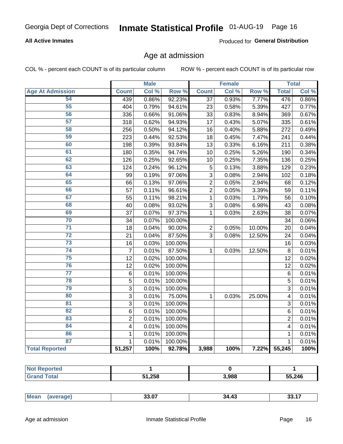#### **All Active Inmates**

Produced for General Distribution

### Age at admission

COL % - percent each COUNT is of its particular column

|                         |                         | <b>Male</b> |         |                | <b>Female</b> |        |                | <b>Total</b> |
|-------------------------|-------------------------|-------------|---------|----------------|---------------|--------|----------------|--------------|
| <b>Age At Admission</b> | <b>Count</b>            | Col %       | Row %   | <b>Count</b>   | Col %         | Row %  | <b>Total</b>   | Col %        |
| 54                      | 439                     | 0.86%       | 92.23%  | 37             | 0.93%         | 7.77%  | 476            | 0.86%        |
| $\overline{55}$         | 404                     | 0.79%       | 94.61%  | 23             | 0.58%         | 5.39%  | 427            | 0.77%        |
| 56                      | 336                     | 0.66%       | 91.06%  | 33             | 0.83%         | 8.94%  | 369            | 0.67%        |
| 57                      | 318                     | 0.62%       | 94.93%  | 17             | 0.43%         | 5.07%  | 335            | 0.61%        |
| 58                      | 256                     | 0.50%       | 94.12%  | 16             | 0.40%         | 5.88%  | 272            | 0.49%        |
| 59                      | 223                     | 0.44%       | 92.53%  | 18             | 0.45%         | 7.47%  | 241            | 0.44%        |
| 60                      | 198                     | 0.39%       | 93.84%  | 13             | 0.33%         | 6.16%  | 211            | 0.38%        |
| 61                      | 180                     | 0.35%       | 94.74%  | 10             | 0.25%         | 5.26%  | 190            | 0.34%        |
| 62                      | 126                     | 0.25%       | 92.65%  | 10             | 0.25%         | 7.35%  | 136            | 0.25%        |
| 63                      | 124                     | 0.24%       | 96.12%  | 5              | 0.13%         | 3.88%  | 129            | 0.23%        |
| 64                      | 99                      | 0.19%       | 97.06%  | 3              | 0.08%         | 2.94%  | 102            | 0.18%        |
| 65                      | 66                      | 0.13%       | 97.06%  | $\overline{2}$ | 0.05%         | 2.94%  | 68             | 0.12%        |
| 66                      | 57                      | 0.11%       | 96.61%  | $\overline{2}$ | 0.05%         | 3.39%  | 59             | 0.11%        |
| 67                      | 55                      | 0.11%       | 98.21%  | $\mathbf{1}$   | 0.03%         | 1.79%  | 56             | 0.10%        |
| 68                      | 40                      | 0.08%       | 93.02%  | 3              | 0.08%         | 6.98%  | 43             | 0.08%        |
| 69                      | 37                      | 0.07%       | 97.37%  | $\mathbf{1}$   | 0.03%         | 2.63%  | 38             | 0.07%        |
| 70                      | 34                      | 0.07%       | 100.00% |                |               |        | 34             | 0.06%        |
| $\overline{71}$         | 18                      | 0.04%       | 90.00%  | $\overline{2}$ | 0.05%         | 10.00% | 20             | 0.04%        |
| $\overline{72}$         | 21                      | 0.04%       | 87.50%  | 3              | 0.08%         | 12.50% | 24             | 0.04%        |
| $\overline{73}$         | 16                      | 0.03%       | 100.00% |                |               |        | 16             | 0.03%        |
| 74                      | $\overline{7}$          | 0.01%       | 87.50%  | $\mathbf{1}$   | 0.03%         | 12.50% | 8              | 0.01%        |
| 75                      | 12                      | 0.02%       | 100.00% |                |               |        | 12             | 0.02%        |
| 76                      | 12                      | 0.02%       | 100.00% |                |               |        | 12             | 0.02%        |
| $\overline{77}$         | $\,6\,$                 | 0.01%       | 100.00% |                |               |        | $\overline{6}$ | 0.01%        |
| 78                      | $\overline{5}$          | 0.01%       | 100.00% |                |               |        | $\overline{5}$ | 0.01%        |
| 79                      | $\overline{3}$          | 0.01%       | 100.00% |                |               |        | $\overline{3}$ | 0.01%        |
| 80                      | $\overline{3}$          | 0.01%       | 75.00%  | 1              | 0.03%         | 25.00% | 4              | 0.01%        |
| 81                      | $\overline{3}$          | 0.01%       | 100.00% |                |               |        | $\overline{3}$ | 0.01%        |
| 82                      | 6                       | 0.01%       | 100.00% |                |               |        | 6              | 0.01%        |
| 83                      | $\overline{2}$          | 0.01%       | 100.00% |                |               |        | $\overline{2}$ | 0.01%        |
| 84                      | $\overline{\mathbf{4}}$ | 0.01%       | 100.00% |                |               |        | 4              | 0.01%        |
| 86                      | $\mathbf{1}$            | 0.01%       | 100.00% |                |               |        | 1              | 0.01%        |
| 87                      | $\mathbf{1}$            | 0.01%       | 100.00% |                |               |        | $\mathbf{1}$   | 0.01%        |
| <b>Total Reported</b>   | 51,257                  | 100%        | 92.78%  | 3,988          | 100%          | 7.22%  | 55,245         | 100%         |

| 51,258<br>с, | 3,988 | 55,246 |
|--------------|-------|--------|

| . <b>.</b> .<br>$ -$ | $M$ e<br>. | <b>22.07</b><br>33.U. | 34.43 |  |
|----------------------|------------|-----------------------|-------|--|
|----------------------|------------|-----------------------|-------|--|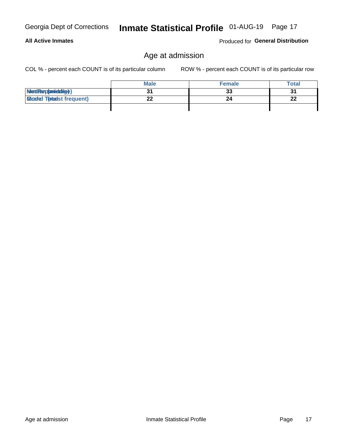#### **All Active Inmates**

Produced for General Distribution

# Age at admission

Inmate Statistical Profile 01-AUG-19 Page 17

COL % - percent each COUNT is of its particular column

|                                  | <b>Male</b> | <b>Female</b> | <b>Total</b> |
|----------------------------------|-------------|---------------|--------------|
| MetiRep(aniektig)                |             | 33            | 31           |
| <b>Gloaded Tomadst frequent)</b> | ^^          |               | 22           |
|                                  |             |               |              |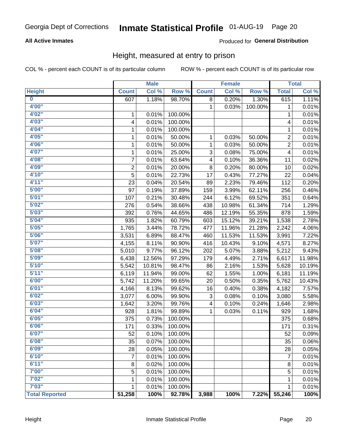#### **All Active Inmates**

#### Produced for General Distribution

### Height, measured at entry to prison

COL % - percent each COUNT is of its particular column

|                         |                | <b>Male</b> |         |              | <b>Female</b> |         |                          | <b>Total</b> |
|-------------------------|----------------|-------------|---------|--------------|---------------|---------|--------------------------|--------------|
| <b>Height</b>           | <b>Count</b>   | Col %       | Row %   | <b>Count</b> | Col %         | Row %   | <b>Total</b>             | Col %        |
| $\overline{\mathbf{0}}$ | 607            | 1.18%       | 98.70%  | 8            | 0.20%         | 1.30%   | 615                      | 1.11%        |
| 4'00"                   |                |             |         | 1            | 0.03%         | 100.00% | 1                        | 0.01%        |
| 4'02''                  | 1              | 0.01%       | 100.00% |              |               |         | 1                        | 0.01%        |
| 4'03"                   | 4              | 0.01%       | 100.00% |              |               |         | 4                        | 0.01%        |
| 4'04"                   | 1              | 0.01%       | 100.00% |              |               |         | 1                        | 0.01%        |
| 4'05"                   | 1              | 0.01%       | 50.00%  | 1            | 0.03%         | 50.00%  | 2                        | 0.01%        |
| 4'06"                   | 1              | 0.01%       | 50.00%  | 1            | 0.03%         | 50.00%  | $\overline{2}$           | 0.01%        |
| 4'07"                   | 1              | 0.01%       | 25.00%  | 3            | 0.08%         | 75.00%  | $\overline{\mathcal{A}}$ | 0.01%        |
| 4'08"                   | 7              | 0.01%       | 63.64%  | 4            | 0.10%         | 36.36%  | 11                       | 0.02%        |
| 4'09"                   | $\overline{2}$ | 0.01%       | 20.00%  | $\bf 8$      | 0.20%         | 80.00%  | 10                       | 0.02%        |
| 4'10''                  | 5              | 0.01%       | 22.73%  | 17           | 0.43%         | 77.27%  | 22                       | 0.04%        |
| 4'11''                  | 23             | 0.04%       | 20.54%  | 89           | 2.23%         | 79.46%  | 112                      | 0.20%        |
| 5'00''                  | 97             | 0.19%       | 37.89%  | 159          | 3.99%         | 62.11%  | 256                      | 0.46%        |
| 5'01"                   | 107            | 0.21%       | 30.48%  | 244          | 6.12%         | 69.52%  | 351                      | 0.64%        |
| 5'02"                   | 276            | 0.54%       | 38.66%  | 438          | 10.98%        | 61.34%  | 714                      | 1.29%        |
| 5'03''                  | 392            | 0.76%       | 44.65%  | 486          | 12.19%        | 55.35%  | 878                      | 1.59%        |
| 5'04"                   | 935            | 1.82%       | 60.79%  | 603          | 15.12%        | 39.21%  | 1,538                    | 2.78%        |
| 5'05"                   | 1,765          | 3.44%       | 78.72%  | 477          | 11.96%        | 21.28%  | 2,242                    | 4.06%        |
| 5'06''                  | 3,531          | 6.89%       | 88.47%  | 460          | 11.53%        | 11.53%  | 3,991                    | 7.22%        |
| 5'07''                  | 4,155          | 8.11%       | 90.90%  | 416          | 10.43%        | 9.10%   | 4,571                    | 8.27%        |
| 5'08''                  | 5,010          | 9.77%       | 96.12%  | 202          | 5.07%         | 3.88%   | 5,212                    | 9.43%        |
| 5'09''                  | 6,438          | 12.56%      | 97.29%  | 179          | 4.49%         | 2.71%   | 6,617                    | 11.98%       |
| 5'10''                  | 5,542          | 10.81%      | 98.47%  | 86           | 2.16%         | 1.53%   | 5,628                    | 10.19%       |
| 5'11"                   | 6,119          | 11.94%      | 99.00%  | 62           | 1.55%         | 1.00%   | 6,181                    | 11.19%       |
| 6'00''                  | 5,742          | 11.20%      | 99.65%  | 20           | 0.50%         | 0.35%   | 5,762                    | 10.43%       |
| 6'01''                  | 4,166          | 8.13%       | 99.62%  | 16           | 0.40%         | 0.38%   | 4,182                    | 7.57%        |
| 6'02"                   | 3,077          | 6.00%       | 99.90%  | 3            | 0.08%         | 0.10%   | 3,080                    | 5.58%        |
| 6'03''                  | 1,642          | 3.20%       | 99.76%  | 4            | 0.10%         | 0.24%   | 1,646                    | 2.98%        |
| 6'04"                   | 928            | 1.81%       | 99.89%  | 1            | 0.03%         | 0.11%   | 929                      | 1.68%        |
| 6'05"                   | 375            | 0.73%       | 100.00% |              |               |         | 375                      | 0.68%        |
| 6'06"                   | 171            | 0.33%       | 100.00% |              |               |         | 171                      | 0.31%        |
| 6'07"                   | 52             | 0.10%       | 100.00% |              |               |         | 52                       | 0.09%        |
| 6'08''                  | 35             | 0.07%       | 100.00% |              |               |         | 35                       | 0.06%        |
| 6'09''                  | 28             | 0.05%       | 100.00% |              |               |         | 28                       | 0.05%        |
| 6'10''                  | 7              | 0.01%       | 100.00% |              |               |         | $\overline{7}$           | 0.01%        |
| 6'11''                  | 8              | 0.02%       | 100.00% |              |               |         | 8                        | 0.01%        |
| 7'00"                   | 5              | 0.01%       | 100.00% |              |               |         | 5                        | 0.01%        |
| 7'02"                   | 1              | 0.01%       | 100.00% |              |               |         | 1                        | 0.01%        |
| 7'03''                  | 1              | 0.01%       | 100.00% |              |               |         | 1                        | 0.01%        |
| <b>Total Reported</b>   | 51,258         | 100%        | 92.78%  | 3,988        | 100%          | 7.22%   | 55,246                   | 100%         |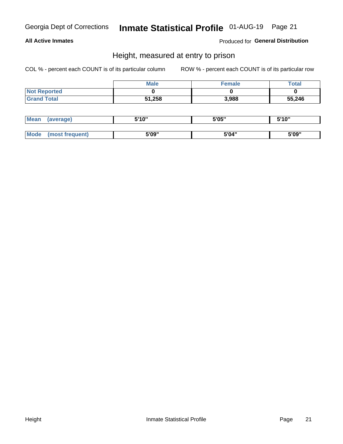#### **All Active Inmates**

Produced for General Distribution

### Height, measured at entry to prison

COL % - percent each COUNT is of its particular column

|                     | <b>Male</b> | Female | $\tau$ otal |
|---------------------|-------------|--------|-------------|
| <b>Not Reported</b> |             |        |             |
| <b>Grand Total</b>  | 51,258      | 3,988  | 55,246      |

| Mean        | verage)       | 5'10" | 5'05" | ייח 1יי<br>. . u |
|-------------|---------------|-------|-------|------------------|
|             |               |       |       |                  |
| <b>Mode</b> | ost frequent) | 5'09" | 5'04" | 5'09"            |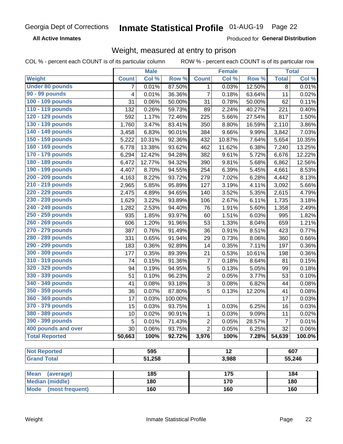**All Active Inmates** 

Produced for General Distribution

### Weight, measured at entry to prison

COL % - percent each COUNT is of its particular column ROW % - percent each COUNT is of its particular row

|                                                    |              | <b>Male</b> |         |                | <b>Female</b>   |                  |              | <b>Total</b> |
|----------------------------------------------------|--------------|-------------|---------|----------------|-----------------|------------------|--------------|--------------|
| <b>Weight</b>                                      | <b>Count</b> | Col %       | Row %   | <b>Count</b>   | Col %           | Row <sup>%</sup> | <b>Total</b> | Col %        |
| <b>Under 80 pounds</b>                             | 7            | 0.01%       | 87.50%  | 1              | 0.03%           | 12.50%           | 8            | 0.01%        |
| 90 - 99 pounds                                     | 4            | 0.01%       | 36.36%  | $\overline{7}$ | 0.18%           | 63.64%           | 11           | 0.02%        |
| 100 - 109 pounds                                   | 31           | 0.06%       | 50.00%  | 31             | 0.78%           | 50.00%           | 62           | 0.11%        |
| 110 - 119 pounds                                   | 132          | 0.26%       | 59.73%  | 89             | 2.24%           | 40.27%           | 221          | 0.40%        |
| 120 - 129 pounds                                   | 592          | 1.17%       | 72.46%  | 225            | 5.66%           | 27.54%           | 817          | 1.50%        |
| 130 - 139 pounds                                   | 1,760        | 3.47%       | 83.41%  | 350            | 8.80%           | 16.59%           | 2,110        | 3.86%        |
| 140 - 149 pounds                                   | 3,458        | 6.83%       | 90.01%  | 384            | 9.66%           | 9.99%            | 3,842        | 7.03%        |
| 150 - 159 pounds                                   | 5,222        | 10.31%      | 92.36%  | 432            | 10.87%          | 7.64%            | 5,654        | 10.35%       |
| 160 - 169 pounds                                   | 6,778        | 13.38%      | 93.62%  | 462            | 11.62%          | 6.38%            | 7,240        | 13.25%       |
| 170 - 179 pounds                                   | 6,294        | 12.42%      | 94.28%  | 382            | 9.61%           | 5.72%            | 6,676        | 12.22%       |
| 180 - 189 pounds                                   | 6,472        | 12.77%      | 94.32%  | 390            | 9.81%           | 5.68%            | 6,862        | 12.56%       |
| 190 - 199 pounds                                   | 4,407        | 8.70%       | 94.55%  | 254            | 6.39%           | 5.45%            | 4,661        | 8.53%        |
| 200 - 209 pounds                                   | 4,163        | 8.22%       | 93.72%  | 279            | 7.02%           | 6.28%            | 4,442        | 8.13%        |
| 210 - 219 pounds                                   | 2,965        | 5.85%       | 95.89%  | 127            | 3.19%           | 4.11%            | 3,092        | 5.66%        |
| 220 - 229 pounds                                   | 2,475        | 4.89%       | 94.65%  | 140            | 3.52%           | 5.35%            | 2,615        | 4.79%        |
| 230 - 239 pounds                                   | 1,629        | 3.22%       | 93.89%  | 106            | 2.67%           | 6.11%            | 1,735        | 3.18%        |
| 240 - 249 pounds                                   | 1,282        | 2.53%       | 94.40%  | 76             | 1.91%           | 5.60%            | 1,358        | 2.49%        |
| 250 - 259 pounds                                   | 935          | 1.85%       | 93.97%  | 60             | 1.51%           | 6.03%            | 995          | 1.82%        |
| 260 - 269 pounds                                   | 606          | 1.20%       | 91.96%  | 53             | 1.33%           | 8.04%            | 659          | 1.21%        |
| 270 - 279 pounds                                   | 387          | 0.76%       | 91.49%  | 36             | 0.91%           | 8.51%            | 423          | 0.77%        |
| 280 - 289 pounds                                   | 331          | 0.65%       | 91.94%  | 29             | 0.73%           | 8.06%            | 360          | 0.66%        |
| 290 - 299 pounds                                   | 183          | 0.36%       | 92.89%  | 14             | 0.35%           | 7.11%            | 197          | 0.36%        |
| 300 - 309 pounds                                   | 177          | 0.35%       | 89.39%  | 21             | 0.53%           | 10.61%           | 198          | 0.36%        |
| 310 - 319 pounds                                   | 74           | 0.15%       | 91.36%  | $\overline{7}$ | 0.18%           | 8.64%            | 81           | 0.15%        |
| 320 - 329 pounds                                   | 94           | 0.19%       | 94.95%  | $\sqrt{5}$     | 0.13%           | 5.05%            | 99           | 0.18%        |
| 330 - 339 pounds                                   | 51           | 0.10%       | 96.23%  | $\overline{2}$ | 0.05%           | 3.77%            | 53           | 0.10%        |
| 340 - 349 pounds                                   | 41           | 0.08%       | 93.18%  | $\sqrt{3}$     | 0.08%           | 6.82%            | 44           | 0.08%        |
| 350 - 359 pounds                                   | 36           | 0.07%       | 87.80%  | 5              | 0.13%           | 12.20%           | 41           | 0.08%        |
| 360 - 369 pounds                                   | 17           | 0.03%       | 100.00% |                |                 |                  | 17           | 0.03%        |
| 370 - 379 pounds                                   | 15           | 0.03%       | 93.75%  | 1              | 0.03%           | 6.25%            | 16           | 0.03%        |
| 380 - 389 pounds                                   | 10           | 0.02%       | 90.91%  | $\mathbf{1}$   | 0.03%           | 9.09%            | 11           | 0.02%        |
| 390 - 399 pounds                                   | 5            | 0.01%       | 71.43%  | $\overline{2}$ | 0.05%           | 28.57%           | 7            | 0.01%        |
| 400 pounds and over                                | 30           | 0.06%       | 93.75%  | $\overline{2}$ | 0.05%           | 6.25%            | 32           | 0.06%        |
| <b>Total Reported</b>                              | 50,663       | 100%        | 92.72%  | 3,976          | 100%            | 7.28%            | 54,639       | 100.0%       |
|                                                    |              |             |         |                |                 |                  |              |              |
| <b>Not Reported</b>                                |              | 595         |         |                | $\overline{12}$ |                  |              | 607          |
| <b>Grand Total</b>                                 |              | 51,258      |         |                | 3,988           |                  |              | 55,246       |
|                                                    |              | 185         |         |                | 175             |                  |              | 184          |
| <b>Mean</b><br>(average)<br><b>Median (middle)</b> |              | 180         |         |                | 170             |                  |              | 180          |
| <b>Mode</b><br>(most frequent)                     |              | 160         |         |                | 160             |                  |              | 160          |
|                                                    |              |             |         |                |                 |                  |              |              |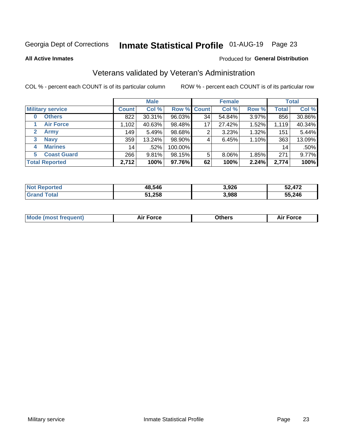# Inmate Statistical Profile 01-AUG-19 Page 23

**All Active Inmates** 

#### Produced for General Distribution

### Veterans validated by Veteran's Administration

COL % - percent each COUNT is of its particular column

|                          |              | <b>Male</b> |                    |    | <b>Female</b> |       |              | <b>Total</b> |
|--------------------------|--------------|-------------|--------------------|----|---------------|-------|--------------|--------------|
| <b>Military service</b>  | <b>Count</b> | Col %       | <b>Row % Count</b> |    | Col %         | Row % | <b>Total</b> | Col %        |
| <b>Others</b><br>0       | 822          | 30.31%      | 96.03%             | 34 | 54.84%        | 3.97% | 856          | 30.86%       |
| <b>Air Force</b>         | 1,102        | 40.63%      | 98.48%             | 17 | 27.42%        | 1.52% | 1,119        | 40.34%       |
| <b>Army</b><br>2         | 149          | 5.49%       | 98.68%             | 2  | 3.23%         | 1.32% | 151          | 5.44%        |
| <b>Navy</b><br>3         | 359          | 13.24%      | 98.90%             | 4  | 6.45%         | 1.10% | 363          | 13.09%       |
| <b>Marines</b><br>4      | 14           | .52%        | 100.00%            |    |               |       | 14           | .50%         |
| <b>Coast Guard</b><br>5. | 266          | 9.81%       | 98.15%             | 5  | 8.06%         | 1.85% | 271          | 9.77%        |
| <b>Total Reported</b>    | 2,712        | 100%        | 97.76%             | 62 | 100%          | 2.24% | 2,774        | 100%         |

| orted<br><b>NOT</b> | 48,546 | 3,926 | <b>472</b> |
|---------------------|--------|-------|------------|
| <b>ota</b>          | 51,258 | 3,988 | 55,246     |

|  |  | <b>Mode (most frequent)</b> | <b>Force</b><br>Aır | วthers | orce |
|--|--|-----------------------------|---------------------|--------|------|
|--|--|-----------------------------|---------------------|--------|------|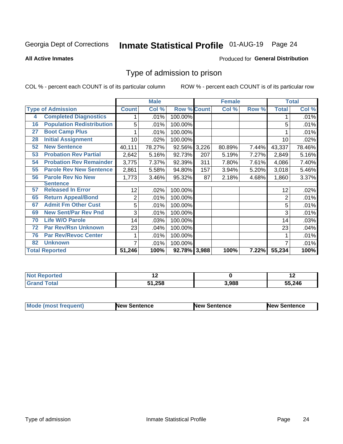# Inmate Statistical Profile 01-AUG-19 Page 24

#### **All Active Inmates**

#### **Produced for General Distribution**

### Type of admission to prison

COL % - percent each COUNT is of its particular column

|    |                                  |                 | <b>Male</b> |                    |     | <b>Female</b> |       |              | <b>Total</b> |
|----|----------------------------------|-----------------|-------------|--------------------|-----|---------------|-------|--------------|--------------|
|    | <b>Type of Admission</b>         | <b>Count</b>    | Col %       | <b>Row % Count</b> |     | Col %         | Row % | <b>Total</b> | Col %        |
| 4  | <b>Completed Diagnostics</b>     | 1               | .01%        | 100.00%            |     |               |       |              | .01%         |
| 16 | <b>Population Redistribution</b> | 5               | .01%        | 100.00%            |     |               |       | 5            | .01%         |
| 27 | <b>Boot Camp Plus</b>            |                 | .01%        | 100.00%            |     |               |       |              | .01%         |
| 28 | <b>Initial Assignment</b>        | 10 <sup>1</sup> | .02%        | 100.00%            |     |               |       | 10           | .02%         |
| 52 | <b>New Sentence</b>              | 40,111          | 78.27%      | 92.56% 3,226       |     | 80.89%        | 7.44% | 43,337       | 78.46%       |
| 53 | <b>Probation Rev Partial</b>     | 2,642           | 5.16%       | 92.73%             | 207 | 5.19%         | 7.27% | 2,849        | 5.16%        |
| 54 | <b>Probation Rev Remainder</b>   | 3,775           | 7.37%       | 92.39%             | 311 | 7.80%         | 7.61% | 4,086        | 7.40%        |
| 55 | <b>Parole Rev New Sentence</b>   | 2,861           | 5.58%       | 94.80%             | 157 | 3.94%         | 5.20% | 3,018        | 5.46%        |
| 56 | <b>Parole Rev No New</b>         | 1,773           | 3.46%       | 95.32%             | 87  | 2.18%         | 4.68% | 1,860        | 3.37%        |
|    | <b>Sentence</b>                  |                 |             |                    |     |               |       |              |              |
| 57 | <b>Released In Error</b>         | 12              | $.02\%$     | 100.00%            |     |               |       | 12           | .02%         |
| 65 | <b>Return Appeal/Bond</b>        | 2               | .01%        | 100.00%            |     |               |       | 2            | .01%         |
| 67 | <b>Admit Fm Other Cust</b>       | 5               | .01%        | 100.00%            |     |               |       | 5            | .01%         |
| 69 | <b>New Sent/Par Rev Pnd</b>      | 3               | .01%        | 100.00%            |     |               |       | 3            | .01%         |
| 70 | <b>Life W/O Parole</b>           | 14              | .03%        | 100.00%            |     |               |       | 14           | .03%         |
| 72 | <b>Par Rev/Rsn Unknown</b>       | 23              | .04%        | 100.00%            |     |               |       | 23           | .04%         |
| 76 | <b>Par Rev/Revoc Center</b>      | 1               | .01%        | 100.00%            |     |               |       |              | .01%         |
| 82 | <b>Unknown</b>                   | $\overline{7}$  | .01%        | 100.00%            |     |               |       |              | .01%         |
|    | <b>Total Reported</b>            | 51,246          | 100%        | 92.78% 3,988       |     | 100%          | 7.22% | 55,234       | 100%         |

| <b>Not</b><br>rted |             |       | . .    |
|--------------------|-------------|-------|--------|
| $n+n$              | .258<br>44. | 3,988 | 55,246 |

| <b>Mode (most frequent)</b> | New Sentence | <b>New Sentence</b> | <b>New Sentence</b> |
|-----------------------------|--------------|---------------------|---------------------|
|                             |              |                     |                     |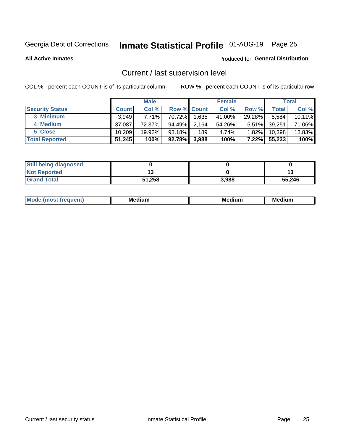# Inmate Statistical Profile 01-AUG-19 Page 25

**All Active Inmates** 

#### Produced for General Distribution

# Current / last supervision level

COL % - percent each COUNT is of its particular column

|                        |              | <b>Male</b> |                    |       | <b>Female</b> |          |        | <b>Total</b> |
|------------------------|--------------|-------------|--------------------|-------|---------------|----------|--------|--------------|
| <b>Security Status</b> | <b>Count</b> | Col %       | <b>Row % Count</b> |       | Col %         | Row %    | Total  | Col %        |
| 3 Minimum              | 3.949        | 7.71%       | 70.72%             | 1,635 | 41.00%        | 29.28%   | 5,584  | 10.11%       |
| 4 Medium               | 37.087       | 72.37%      | 94.49%             | 2,164 | 54.26%        | $5.51\%$ | 39,251 | 71.06%       |
| 5 Close                | 10.209       | 19.92%      | 98.18%             | 189   | 4.74%         | $1.82\%$ | 10,398 | 18.83%       |
| <b>Total Reported</b>  | 51,245       | 100%        | 92.78%             | 3,988 | 100%          | 7.22%    | 55,233 | 100%         |

| <b>Still being diagnosed</b> |        |       |        |
|------------------------------|--------|-------|--------|
| <b>Not Reported</b>          |        |       |        |
| <b>Grand Total</b>           | 51,258 | 3.988 | 55,246 |

| M | м | м | - - - -<br>м |
|---|---|---|--------------|
|   |   |   |              |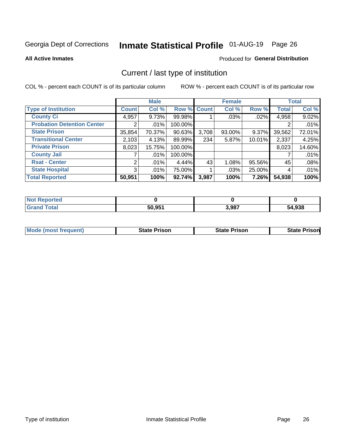# Inmate Statistical Profile 01-AUG-19 Page 26

**All Active Inmates** 

#### **Produced for General Distribution**

# Current / last type of institution

COL % - percent each COUNT is of its particular column

|                                   |                | <b>Male</b> |             |       | <b>Female</b> |        |              | <b>Total</b> |
|-----------------------------------|----------------|-------------|-------------|-------|---------------|--------|--------------|--------------|
| <b>Type of Institution</b>        | <b>Count</b>   | Col %       | Row % Count |       | Col %         | Row %  | <b>Total</b> | Col %        |
| <b>County Ci</b>                  | 4,957          | 9.73%       | 99.98%      |       | .03%          | .02%   | 4,958        | 9.02%        |
| <b>Probation Detention Center</b> |                | .01%        | 100.00%     |       |               |        |              | .01%         |
| <b>State Prison</b>               | 35,854         | 70.37%      | $90.63\%$   | 3,708 | 93.00%        | 9.37%  | 39,562       | 72.01%       |
| <b>Transitional Center</b>        | 2,103          | 4.13%       | 89.99%      | 234   | 5.87%         | 10.01% | 2,337        | 4.25%        |
| <b>Private Prison</b>             | 8,023          | 15.75%      | 100.00%     |       |               |        | 8,023        | 14.60%       |
| <b>County Jail</b>                |                | .01%        | 100.00%     |       |               |        |              | .01%         |
| <b>Rsat - Center</b>              | $\overline{2}$ | .01%        | 4.44%       | 43    | 1.08%         | 95.56% | 45           | .08%         |
| <b>State Hospital</b>             | 3 <sup>1</sup> | .01%        | 75.00%      |       | .03%          | 25.00% | 4            | .01%         |
| <b>Total Reported</b>             | 50,951         | 100%        | 92.74%      | 3,987 | 100%          | 7.26%  | 54,938       | 100%         |

| <b>ported</b><br><b>NOT</b> |        |       |        |
|-----------------------------|--------|-------|--------|
| <b>cotal</b>                | 50.951 | 3,987 | 54,938 |

| Mode (most frequent) | <b>State Prison</b> | <b>State Prison</b> | <b>State Prisonl</b> |
|----------------------|---------------------|---------------------|----------------------|
|                      |                     |                     |                      |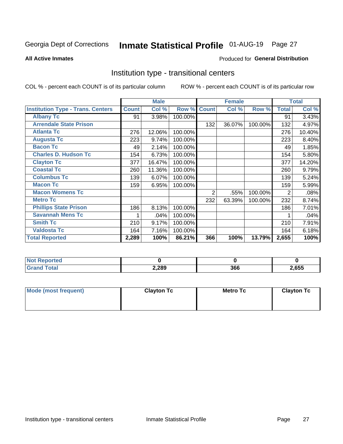# Inmate Statistical Profile 01-AUG-19 Page 27

#### **All Active Inmates**

#### Produced for General Distribution

### Institution type - transitional centers

COL % - percent each COUNT is of its particular column

|                                          |              | <b>Male</b> |         |              | <b>Female</b> |         |                | <b>Total</b> |
|------------------------------------------|--------------|-------------|---------|--------------|---------------|---------|----------------|--------------|
| <b>Institution Type - Trans. Centers</b> | <b>Count</b> | Col %       | Row %   | <b>Count</b> | Col %         | Row %   | <b>Total</b>   | Col %        |
| <b>Albany Tc</b>                         | 91           | 3.98%       | 100.00% |              |               |         | 91             | 3.43%        |
| <b>Arrendale State Prison</b>            |              |             |         | 132          | 36.07%        | 100.00% | 132            | 4.97%        |
| <b>Atlanta Tc</b>                        | 276          | 12.06%      | 100.00% |              |               |         | 276            | 10.40%       |
| <b>Augusta Tc</b>                        | 223          | 9.74%       | 100.00% |              |               |         | 223            | 8.40%        |
| <b>Bacon Tc</b>                          | 49           | 2.14%       | 100.00% |              |               |         | 49             | 1.85%        |
| <b>Charles D. Hudson Tc</b>              | 154          | 6.73%       | 100.00% |              |               |         | 154            | 5.80%        |
| <b>Clayton Tc</b>                        | 377          | 16.47%      | 100.00% |              |               |         | 377            | 14.20%       |
| <b>Coastal Tc</b>                        | 260          | 11.36%      | 100.00% |              |               |         | 260            | 9.79%        |
| <b>Columbus Tc</b>                       | 139          | 6.07%       | 100.00% |              |               |         | 139            | 5.24%        |
| <b>Macon Tc</b>                          | 159          | 6.95%       | 100.00% |              |               |         | 159            | 5.99%        |
| <b>Macon Womens Tc</b>                   |              |             |         | 2            | .55%          | 100.00% | $\overline{2}$ | .08%         |
| <b>Metro Tc</b>                          |              |             |         | 232          | 63.39%        | 100.00% | 232            | 8.74%        |
| <b>Phillips State Prison</b>             | 186          | 8.13%       | 100.00% |              |               |         | 186            | 7.01%        |
| <b>Savannah Mens Tc</b>                  | 1            | .04%        | 100.00% |              |               |         |                | .04%         |
| <b>Smith Tc</b>                          | 210          | 9.17%       | 100.00% |              |               |         | 210            | 7.91%        |
| <b>Valdosta Tc</b>                       | 164          | 7.16%       | 100.00% |              |               |         | 164            | 6.18%        |
| <b>Total Reported</b>                    | 2,289        | 100%        | 86.21%  | 366          | 100%          | 13.79%  | 2,655          | 100%         |

| ' Not<br>rtea                |       |     |       |
|------------------------------|-------|-----|-------|
| <b>Total</b><br><b>Grand</b> | 2,289 | 366 | 2,655 |

| Mode (most frequent) | <b>Clayton Tc</b> | Metro Tc | <b>Clayton Tc</b> |  |  |
|----------------------|-------------------|----------|-------------------|--|--|
|                      |                   |          |                   |  |  |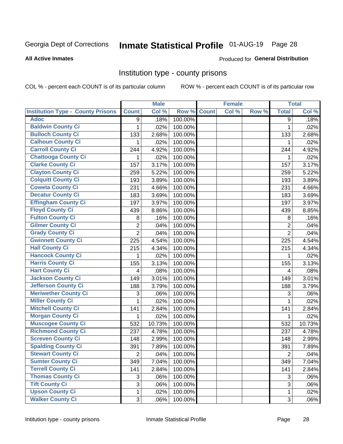# Inmate Statistical Profile 01-AUG-19 Page 28

#### **All Active Inmates**

#### Produced for General Distribution

### Institution type - county prisons

COL % - percent each COUNT is of its particular column

|                                          |                | <b>Male</b> |         |              | <b>Female</b> |       |                | <b>Total</b> |
|------------------------------------------|----------------|-------------|---------|--------------|---------------|-------|----------------|--------------|
| <b>Institution Type - County Prisons</b> | <b>Count</b>   | Col %       | Row %   | <b>Count</b> | Col %         | Row % | <b>Total</b>   | Col %        |
| <b>Adoc</b>                              | 9              | .18%        | 100.00% |              |               |       | 9              | .18%         |
| <b>Baldwin County Ci</b>                 | 1              | .02%        | 100.00% |              |               |       | 1              | .02%         |
| <b>Bulloch County Ci</b>                 | 133            | 2.68%       | 100.00% |              |               |       | 133            | 2.68%        |
| <b>Calhoun County Ci</b>                 | 1              | .02%        | 100.00% |              |               |       | 1              | .02%         |
| <b>Carroll County Ci</b>                 | 244            | 4.92%       | 100.00% |              |               |       | 244            | 4.92%        |
| <b>Chattooga County Ci</b>               | 1              | .02%        | 100.00% |              |               |       | 1              | .02%         |
| <b>Clarke County Ci</b>                  | 157            | 3.17%       | 100.00% |              |               |       | 157            | 3.17%        |
| <b>Clayton County Ci</b>                 | 259            | 5.22%       | 100.00% |              |               |       | 259            | 5.22%        |
| <b>Colquitt County Ci</b>                | 193            | 3.89%       | 100.00% |              |               |       | 193            | 3.89%        |
| <b>Coweta County Ci</b>                  | 231            | 4.66%       | 100.00% |              |               |       | 231            | 4.66%        |
| <b>Decatur County Ci</b>                 | 183            | 3.69%       | 100.00% |              |               |       | 183            | 3.69%        |
| <b>Effingham County Ci</b>               | 197            | 3.97%       | 100.00% |              |               |       | 197            | 3.97%        |
| <b>Floyd County Ci</b>                   | 439            | 8.86%       | 100.00% |              |               |       | 439            | 8.85%        |
| <b>Fulton County Ci</b>                  | 8              | .16%        | 100.00% |              |               |       | 8              | .16%         |
| <b>Gilmer County Ci</b>                  | $\overline{2}$ | .04%        | 100.00% |              |               |       | $\overline{2}$ | .04%         |
| <b>Grady County Ci</b>                   | $\overline{2}$ | .04%        | 100.00% |              |               |       | $\overline{2}$ | .04%         |
| <b>Gwinnett County Ci</b>                | 225            | 4.54%       | 100.00% |              |               |       | 225            | 4.54%        |
| <b>Hall County Ci</b>                    | 215            | 4.34%       | 100.00% |              |               |       | 215            | 4.34%        |
| <b>Hancock County Ci</b>                 | 1              | .02%        | 100.00% |              |               |       | 1              | .02%         |
| <b>Harris County Ci</b>                  | 155            | 3.13%       | 100.00% |              |               |       | 155            | 3.13%        |
| <b>Hart County Ci</b>                    | 4              | .08%        | 100.00% |              |               |       | 4              | .08%         |
| <b>Jackson County Ci</b>                 | 149            | 3.01%       | 100.00% |              |               |       | 149            | 3.01%        |
| Jefferson County Ci                      | 188            | 3.79%       | 100.00% |              |               |       | 188            | 3.79%        |
| <b>Meriwether County Ci</b>              | 3              | .06%        | 100.00% |              |               |       | 3              | .06%         |
| <b>Miller County Ci</b>                  | 1              | .02%        | 100.00% |              |               |       | $\mathbf{1}$   | .02%         |
| <b>Mitchell County Ci</b>                | 141            | 2.84%       | 100.00% |              |               |       | 141            | 2.84%        |
| <b>Morgan County Ci</b>                  | 1              | .02%        | 100.00% |              |               |       | 1              | .02%         |
| <b>Muscogee County Ci</b>                | 532            | 10.73%      | 100.00% |              |               |       | 532            | 10.73%       |
| <b>Richmond County Ci</b>                | 237            | 4.78%       | 100.00% |              |               |       | 237            | 4.78%        |
| <b>Screven County Ci</b>                 | 148            | 2.99%       | 100.00% |              |               |       | 148            | 2.99%        |
| <b>Spalding County Ci</b>                | 391            | 7.89%       | 100.00% |              |               |       | 391            | 7.89%        |
| <b>Stewart County Ci</b>                 | $\overline{2}$ | .04%        | 100.00% |              |               |       | $\overline{2}$ | .04%         |
| <b>Sumter County Ci</b>                  | 349            | 7.04%       | 100.00% |              |               |       | 349            | 7.04%        |
| <b>Terrell County Ci</b>                 | 141            | 2.84%       | 100.00% |              |               |       | 141            | 2.84%        |
| <b>Thomas County Ci</b>                  | 3              | .06%        | 100.00% |              |               |       | 3              | .06%         |
| <b>Tift County Ci</b>                    | 3              | .06%        | 100.00% |              |               |       | 3              | .06%         |
| <b>Upson County Ci</b>                   | 1              | .02%        | 100.00% |              |               |       | $\mathbf 1$    | .02%         |
| <b>Walker County Ci</b>                  | 3              | .06%        | 100.00% |              |               |       | $\mathfrak{S}$ | .06%         |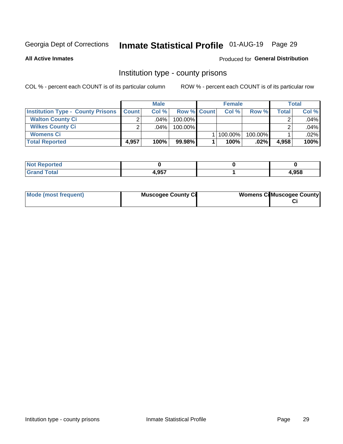# Inmate Statistical Profile 01-AUG-19 Page 29

**All Active Inmates** 

#### Produced for General Distribution

### Institution type - county prisons

COL % - percent each COUNT is of its particular column

|                                          |              | <b>Male</b> |                    | <b>Female</b> |         |       | <b>Total</b> |
|------------------------------------------|--------------|-------------|--------------------|---------------|---------|-------|--------------|
| <b>Institution Type - County Prisons</b> | <b>Count</b> | Col%        | <b>Row % Count</b> | Col%          | Row %   | Total | Col %        |
| <b>Walton County Ci</b>                  | ⌒            | $.04\%$     | 100.00%            |               |         |       | .04%         |
| <b>Wilkes County Ci</b>                  |              | $.04\%$     | 100.00%            |               |         |       | .04%         |
| <b>Womens Ci</b>                         |              |             |                    | 100.00%       | 100.00% |       | .02%         |
| <b>Total Reported</b>                    | 4.957        | 100%        | 99.98%             | 100%          | $.02\%$ | 4,958 | 100%         |

| <b>tea</b><br>$\cdots$<br>$\sim$ |                 |      |
|----------------------------------|-----------------|------|
| _____                            | 0EZ<br><b>.</b> | .958 |

| Mode (most frequent) | <b>Muscogee County Ci</b> | <b>Womens CilMuscogee County</b> |
|----------------------|---------------------------|----------------------------------|
|----------------------|---------------------------|----------------------------------|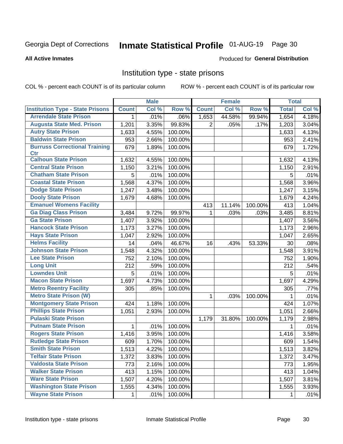# Inmate Statistical Profile 01-AUG-19 Page 30

#### **All Active Inmates**

#### **Produced for General Distribution**

### Institution type - state prisons

COL % - percent each COUNT is of its particular column

|                                         |              | <b>Male</b> |         |                | <b>Female</b> |         | <b>Total</b> |         |
|-----------------------------------------|--------------|-------------|---------|----------------|---------------|---------|--------------|---------|
| <b>Institution Type - State Prisons</b> | <b>Count</b> | Col %       | Row %   | <b>Count</b>   | Col %         | Row %   | <b>Total</b> | Col %   |
| <b>Arrendale State Prison</b>           | 1            | .01%        | .06%    | 1,653          | 44.58%        | 99.94%  | 1,654        | 4.18%   |
| <b>Augusta State Med. Prison</b>        | 1,201        | 3.35%       | 99.83%  | $\overline{2}$ | .05%          | .17%    | 1,203        | 3.04%   |
| <b>Autry State Prison</b>               | 1,633        | 4.55%       | 100.00% |                |               |         | 1,633        | 4.13%   |
| <b>Baldwin State Prison</b>             | 953          | 2.66%       | 100.00% |                |               |         | 953          | 2.41%   |
| <b>Burruss Correctional Training</b>    | 679          | 1.89%       | 100.00% |                |               |         | 679          | 1.72%   |
| <b>Ctr</b>                              |              |             |         |                |               |         |              |         |
| <b>Calhoun State Prison</b>             | 1,632        | 4.55%       | 100.00% |                |               |         | 1,632        | 4.13%   |
| <b>Central State Prison</b>             | 1,150        | 3.21%       | 100.00% |                |               |         | 1,150        | 2.91%   |
| <b>Chatham State Prison</b>             | 5            | .01%        | 100.00% |                |               |         | 5            | .01%    |
| <b>Coastal State Prison</b>             | 1,568        | 4.37%       | 100.00% |                |               |         | 1,568        | 3.96%   |
| <b>Dodge State Prison</b>               | 1,247        | 3.48%       | 100.00% |                |               |         | 1,247        | 3.15%   |
| <b>Dooly State Prison</b>               | 1,679        | 4.68%       | 100.00% |                |               |         | 1,679        | 4.24%   |
| <b>Emanuel Womens Facility</b>          |              |             |         | 413            | 11.14%        | 100.00% | 413          | 1.04%   |
| <b>Ga Diag Class Prison</b>             | 3,484        | 9.72%       | 99.97%  | 1.             | .03%          | .03%    | 3,485        | 8.81%   |
| <b>Ga State Prison</b>                  | 1,407        | 3.92%       | 100.00% |                |               |         | 1,407        | 3.56%   |
| <b>Hancock State Prison</b>             | 1,173        | 3.27%       | 100.00% |                |               |         | 1,173        | 2.96%   |
| <b>Hays State Prison</b>                | 1,047        | 2.92%       | 100.00% |                |               |         | 1,047        | 2.65%   |
| <b>Helms Facility</b>                   | 14           | .04%        | 46.67%  | 16             | .43%          | 53.33%  | 30           | .08%    |
| <b>Johnson State Prison</b>             | 1,548        | 4.32%       | 100.00% |                |               |         | 1,548        | 3.91%   |
| <b>Lee State Prison</b>                 | 752          | 2.10%       | 100.00% |                |               |         | 752          | 1.90%   |
| <b>Long Unit</b>                        | 212          | .59%        | 100.00% |                |               |         | 212          | .54%    |
| <b>Lowndes Unit</b>                     | 5            | .01%        | 100.00% |                |               |         | 5            | .01%    |
| <b>Macon State Prison</b>               | 1,697        | 4.73%       | 100.00% |                |               |         | 1,697        | 4.29%   |
| <b>Metro Reentry Facility</b>           | 305          | .85%        | 100.00% |                |               |         | 305          | .77%    |
| <b>Metro State Prison (W)</b>           |              |             |         | $\mathbf{1}$   | .03%          | 100.00% | 1            | $.01\%$ |
| <b>Montgomery State Prison</b>          | 424          | 1.18%       | 100.00% |                |               |         | 424          | 1.07%   |
| <b>Phillips State Prison</b>            | 1,051        | 2.93%       | 100.00% |                |               |         | 1,051        | 2.66%   |
| <b>Pulaski State Prison</b>             |              |             |         | 1,179          | 31.80%        | 100.00% | 1,179        | 2.98%   |
| <b>Putnam State Prison</b>              | $\mathbf{1}$ | .01%        | 100.00% |                |               |         | 1            | .01%    |
| <b>Rogers State Prison</b>              | 1,416        | 3.95%       | 100.00% |                |               |         | 1,416        | 3.58%   |
| <b>Rutledge State Prison</b>            | 609          | 1.70%       | 100.00% |                |               |         | 609          | 1.54%   |
| <b>Smith State Prison</b>               | 1,513        | 4.22%       | 100.00% |                |               |         | 1,513        | 3.82%   |
| <b>Telfair State Prison</b>             | 1,372        | 3.83%       | 100.00% |                |               |         | 1,372        | 3.47%   |
| <b>Valdosta State Prison</b>            | 773          | 2.16%       | 100.00% |                |               |         | 773          | 1.95%   |
| <b>Walker State Prison</b>              | 413          | 1.15%       | 100.00% |                |               |         | 413          | 1.04%   |
| <b>Ware State Prison</b>                | 1,507        | 4.20%       | 100.00% |                |               |         | 1,507        | 3.81%   |
| <b>Washington State Prison</b>          | 1,555        | 4.34%       | 100.00% |                |               |         | 1,555        | 3.93%   |
| <b>Wayne State Prison</b>               | 1            | .01%        | 100.00% |                |               |         | 1            | .01%    |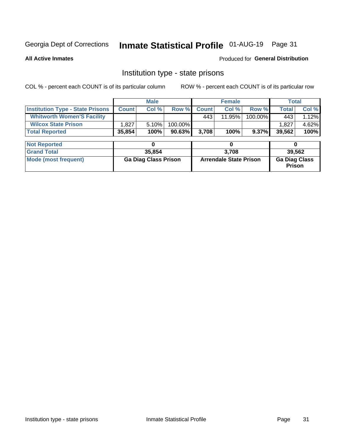# Inmate Statistical Profile 01-AUG-19 Page 31

**All Active Inmates** 

#### **Produced for General Distribution**

### Institution type - state prisons

COL % - percent each COUNT is of its particular column

|                                         | <b>Male</b>                 |        |                               |              | <b>Female</b> | <b>Total</b>                          |        |       |
|-----------------------------------------|-----------------------------|--------|-------------------------------|--------------|---------------|---------------------------------------|--------|-------|
| <b>Institution Type - State Prisons</b> | <b>Count</b>                | Col %  | Row %                         | <b>Count</b> | Col %         | Row %                                 | Total  | Col % |
| <b>Whitworth Women'S Facility</b>       |                             |        |                               | 443          | 11.95%        | 100.00%                               | 443    | 1.12% |
| <b>Wilcox State Prison</b>              | .827                        | 5.10%  | 100.00%                       |              |               |                                       | 1,827  | 4.62% |
| <b>Total Reported</b>                   | 35,854                      | 100%   | 90.63%                        | 3,708        | 100%          | $9.37\%$                              | 39,562 | 100%  |
| <b>Not Reported</b>                     |                             | 0      |                               |              | 0             |                                       | 0      |       |
| <b>Grand Total</b>                      |                             | 35,854 |                               | 3,708        |               |                                       | 39,562 |       |
| <b>Mode (most frequent)</b>             | <b>Ga Diag Class Prison</b> |        | <b>Arrendale State Prison</b> |              |               | <b>Ga Diag Class</b><br><b>Prison</b> |        |       |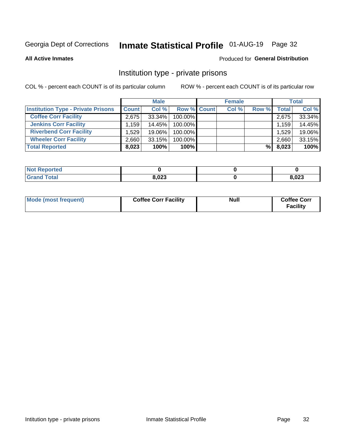# Inmate Statistical Profile 01-AUG-19 Page 32

**All Active Inmates** 

#### Produced for General Distribution

### Institution type - private prisons

COL % - percent each COUNT is of its particular column

|                                           |                    | <b>Male</b> |                    | <b>Female</b> |       |       | <b>Total</b> |
|-------------------------------------------|--------------------|-------------|--------------------|---------------|-------|-------|--------------|
| <b>Institution Type - Private Prisons</b> | <b>Count</b>       | Col %       | <b>Row % Count</b> | Col %         | Row % | Total | Col %        |
| <b>Coffee Corr Facility</b>               | 2.675              | 33.34%      | 100.00%            |               |       | 2,675 | 33.34%       |
| <b>Jenkins Corr Facility</b>              | $.159$ $^{\prime}$ | 14.45%      | $100.00\%$         |               |       | 1,159 | 14.45%       |
| <b>Riverbend Corr Facility</b>            | 1.529              | 19.06%      | 100.00%            |               |       | 1,529 | 19.06%       |
| <b>Wheeler Corr Facility</b>              | 2,660              | 33.15%      | 100.00%            |               |       | 2,660 | 33.15%       |
| <b>Total Reported</b>                     | 8,023              | 100%        | 100%               |               | %     | 8,023 | 100%         |

| <b>Not Reported</b> |       |       |
|---------------------|-------|-------|
| <b>Total</b>        | 8,023 | 8,023 |

| Mode (most frequent) | <b>Coffee Corr Facility</b> | <b>Null</b> | <b>Coffee Corr</b><br><b>Facility</b> |
|----------------------|-----------------------------|-------------|---------------------------------------|
|----------------------|-----------------------------|-------------|---------------------------------------|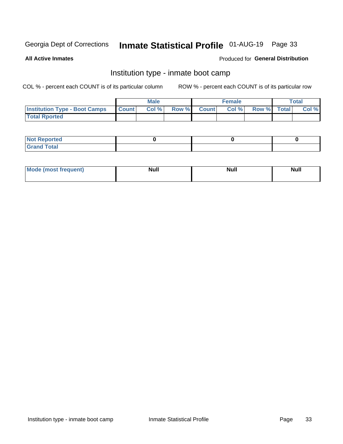# Inmate Statistical Profile 01-AUG-19 Page 33

**All Active Inmates** 

#### Produced for General Distribution

### Institution type - inmate boot camp

COL % - percent each COUNT is of its particular column

|                                      |              | <b>Male</b> |             | <b>Female</b> |             | Total |
|--------------------------------------|--------------|-------------|-------------|---------------|-------------|-------|
| <b>Institution Type - Boot Camps</b> | <b>Count</b> | Col %       | Row % Count | Col%          | Row % Total | Col % |
| <b>Total Rported</b>                 |              |             |             |               |             |       |

| <b>Not Reported</b>            |  |  |
|--------------------------------|--|--|
| <b>Total</b><br>C <sub>r</sub> |  |  |

| Mod<br>uamo | Nul.<br>$- - - - - -$ | <b>Null</b> | . .<br>uu.<br>------ |
|-------------|-----------------------|-------------|----------------------|
|             |                       |             |                      |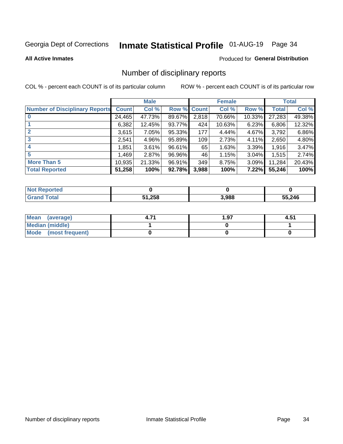# Inmate Statistical Profile 01-AUG-19 Page 34

#### **All Active Inmates**

#### **Produced for General Distribution**

### Number of disciplinary reports

COL % - percent each COUNT is of its particular column

|                                       |              | <b>Male</b> |             |       | <b>Female</b> |        |        | <b>Total</b> |
|---------------------------------------|--------------|-------------|-------------|-------|---------------|--------|--------|--------------|
| <b>Number of Disciplinary Reports</b> | <b>Count</b> | Col %       | Row % Count |       | Col %         | Row %  | Total  | Col %        |
| $\bf{0}$                              | 24,465       | 47.73%      | 89.67%      | 2,818 | 70.66%        | 10.33% | 27,283 | 49.38%       |
|                                       | 6,382        | 12.45%      | 93.77%      | 424   | 10.63%        | 6.23%  | 6,806  | 12.32%       |
| $\mathbf{2}$                          | 3,615        | 7.05%       | 95.33%      | 177   | 4.44%         | 4.67%  | 3,792  | 6.86%        |
| 3                                     | 2,541        | 4.96%       | 95.89%      | 109   | 2.73%         | 4.11%  | 2,650  | 4.80%        |
|                                       | .851         | 3.61%       | 96.61%      | 65    | 1.63%         | 3.39%  | 1,916  | 3.47%        |
| 5                                     | .469         | 2.87%       | 96.96%      | 46    | 1.15%         | 3.04%  | 1,515  | 2.74%        |
| <b>More Than 5</b>                    | 10,935       | 21.33%      | 96.91%      | 349   | 8.75%         | 3.09%  | 11,284 | 20.43%       |
| <b>Total Reported</b>                 | 51,258       | 100%        | 92.78%      | 3,988 | 100%          | 7.22%  | 55,246 | 100%         |

| orted<br>NOT. |        |       |        |
|---------------|--------|-------|--------|
| Total         | 51,258 | 3,988 | 55,246 |

| Mean (average)       | 1.97 | 4.51 |
|----------------------|------|------|
| Median (middle)      |      |      |
| Mode (most frequent) |      |      |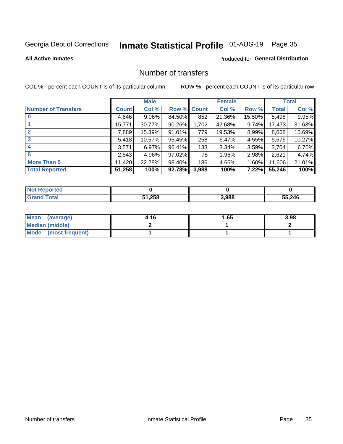# Inmate Statistical Profile 01-AUG-19 Page 35

#### **All Active Inmates**

#### **Produced for General Distribution**

### Number of transfers

COL % - percent each COUNT is of its particular column

|                            |         | <b>Male</b> |             |       | <b>Female</b> |          |              | <b>Total</b> |
|----------------------------|---------|-------------|-------------|-------|---------------|----------|--------------|--------------|
| <b>Number of Transfers</b> | Count l | Col %       | Row % Count |       | Col %         | Row %    | <b>Total</b> | Col %        |
|                            | 4,646   | $9.06\%$    | 84.50%      | 852   | 21.36%        | 15.50%   | 5,498        | 9.95%        |
|                            | 15,771  | 30.77%      | 90.26%      | 1,702 | 42.68%        | $9.74\%$ | 17,473       | 31.63%       |
| $\mathbf{2}$               | 7,889   | 15.39%      | 91.01%      | 779   | 19.53%        | 8.99%    | 8,668        | 15.69%       |
| 3                          | 5,418   | 10.57%      | 95.45%      | 258   | 6.47%         | 4.55%    | 5,676        | 10.27%       |
|                            | 3,571   | 6.97%       | 96.41%      | 133   | 3.34%         | $3.59\%$ | 3,704        | 6.70%        |
| 5                          | 2,543   | 4.96%       | 97.02%      | 78    | 1.96%         | 2.98%    | 2,621        | 4.74%        |
| <b>More Than 5</b>         | 11,420  | 22.28%      | 98.40%      | 186   | 4.66%         | $1.60\%$ | 11,606       | 21.01%       |
| <b>Total Reported</b>      | 51,258  | 100%        | 92.78%      | 3,988 | 100%          | $7.22\%$ | 55,246       | 100%         |

| <b>Not Reported</b> |        |       |        |
|---------------------|--------|-------|--------|
| <b>Total</b>        | 51,258 | 3,988 | 55,246 |

| Mean (average)       | 4.16 | I.65 | 3.98 |
|----------------------|------|------|------|
| Median (middle)      |      |      |      |
| Mode (most frequent) |      |      |      |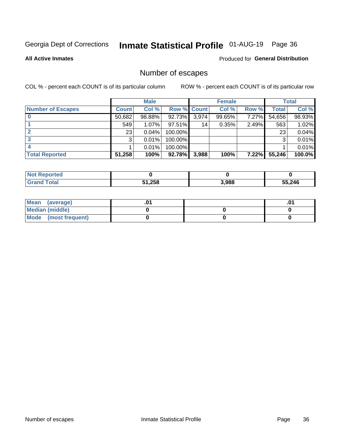# Inmate Statistical Profile 01-AUG-19 Page 36

**All Active Inmates** 

#### Produced for General Distribution

# Number of escapes

COL % - percent each COUNT is of its particular column

|                          |              | <b>Male</b> |             |       | <b>Female</b> |          |        | <b>Total</b> |
|--------------------------|--------------|-------------|-------------|-------|---------------|----------|--------|--------------|
| <b>Number of Escapes</b> | <b>Count</b> | Col %       | Row % Count |       | Col %         | Row %    | Total  | Col %        |
|                          | 50,682       | 98.88%      | 92.73%      | 3,974 | 99.65%        | $7.27\%$ | 54,656 | 98.93%       |
|                          | 549          | 1.07%       | $97.51\%$   | 14    | 0.35%         | 2.49%    | 563    | 1.02%        |
|                          | 23           | 0.04%       | 100.00%     |       |               |          | 23     | 0.04%        |
|                          | 3            | 0.01%       | 100.00%     |       |               |          | 3      | 0.01%        |
|                          |              | 0.01%       | 100.00%     |       |               |          |        | 0.01%        |
| <b>Total Reported</b>    | 51,258       | 100%        | 92.78%      | 3,988 | 100%          | 7.22%    | 55,246 | 100.0%       |

| rteo |        |       |        |
|------|--------|-------|--------|
|      | 51,258 | 3,988 | 55,246 |

| Mean (average)       |  | ו ש. |
|----------------------|--|------|
| Median (middle)      |  |      |
| Mode (most frequent) |  |      |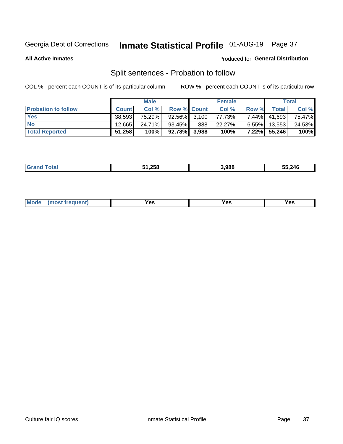# Inmate Statistical Profile 01-AUG-19 Page 37

**All Active Inmates** 

#### Produced for General Distribution

# Split sentences - Probation to follow

COL % - percent each COUNT is of its particular column

|                            |              | <b>Male</b> |                 |     | <b>Female</b> |          |              | <b>Total</b> |
|----------------------------|--------------|-------------|-----------------|-----|---------------|----------|--------------|--------------|
| <b>Probation to follow</b> | <b>Count</b> | Col%        | Row % Count     |     | Col %         | Row %    | Total        | Col %        |
| <b>Yes</b>                 | 38.593       | 75.29%      | $92.56\%$ 3.100 |     | 77.73%        | $7.44\%$ | 41,693       | 75.47%       |
| <b>No</b>                  | 12,665       | 24.71%      | 93.45%          | 888 | 22.27%        | $6.55\%$ | 13,553       | 24.53%       |
| <b>Total Reported</b>      | 51,258       | 100%        | 92.78% 3,988    |     | 100%          |          | 7.22% 55,246 | 100%         |

|  |  | 950 ו<br>zoc | 3.988 | 246<br>᠇៴ |
|--|--|--------------|-------|-----------|
|--|--|--------------|-------|-----------|

| M <sub>o</sub><br>requent)<br>'es<br>res<br>$\sim$<br>$ -$ |
|------------------------------------------------------------|
|------------------------------------------------------------|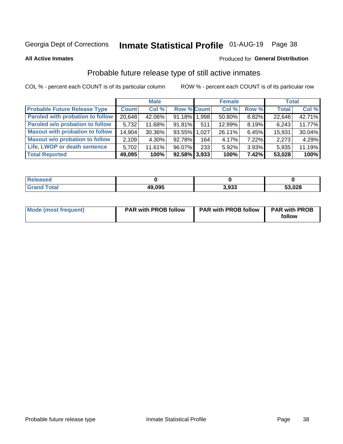# Inmate Statistical Profile 01-AUG-19 Page 38

**All Active Inmates** 

#### Produced for General Distribution

### Probable future release type of still active inmates

COL % - percent each COUNT is of its particular column

|                                         |              | <b>Male</b> |                    |     | <b>Female</b> |       | <b>Total</b> |        |
|-----------------------------------------|--------------|-------------|--------------------|-----|---------------|-------|--------------|--------|
| <b>Probable Future Release Type</b>     | <b>Count</b> | Col %       | <b>Row % Count</b> |     | Col %         | Row % | <b>Total</b> | Col %  |
| <b>Paroled with probation to follow</b> | 20,648       | 42.06%      | 91.18% 1,998       |     | 50.80%        | 8.82% | 22,646       | 42.71% |
| Paroled w/o probation to follow         | 5,732        | 11.68%      | 91.81%             | 511 | 12.99%        | 8.19% | 6,243        | 11.77% |
| <b>Maxout with probation to follow</b>  | 14,904       | 30.36%      | 93.55% 1.027       |     | 26.11%        | 6.45% | 15,931       | 30.04% |
| <b>Maxout w/o probation to follow</b>   | 2,109        | 4.30%       | 92.78%             | 164 | 4.17%         | 7.22% | 2,273        | 4.29%  |
| Life, LWOP or death sentence            | 5,702        | 11.61%      | 96.07%             | 233 | 5.92%         | 3.93% | 5,935        | 11.19% |
| <b>Total Reported</b>                   | 49,095       | 100%        | $92.58\%$ 3,933    |     | 100%          | 7.42% | 53,028       | 100%   |

| ased                  |        |       |        |
|-----------------------|--------|-------|--------|
| $f \wedge f \wedge f$ | 49,095 | 3.933 | 53,028 |

| <b>Mode (most frequent)</b> | <b>PAR with PROB follow</b> | <b>PAR with PROB follow</b> | <b>PAR with PROB</b> |
|-----------------------------|-----------------------------|-----------------------------|----------------------|
|                             |                             |                             | follow               |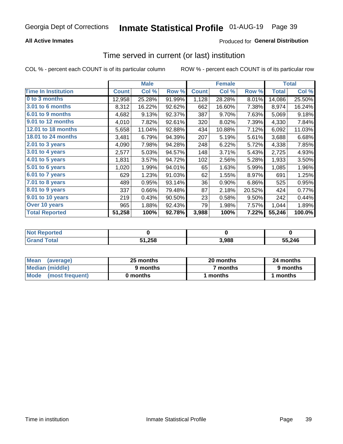### **All Active Inmates**

### **Produced for General Distribution**

# Time served in current (or last) institution

COL % - percent each COUNT is of its particular column

|                            |              | <b>Male</b> |        |              | <b>Female</b> |        |              | <b>Total</b> |
|----------------------------|--------------|-------------|--------|--------------|---------------|--------|--------------|--------------|
| <b>Time In Institution</b> | <b>Count</b> | Col %       | Row %  | <b>Count</b> | Col %         | Row %  | <b>Total</b> | Col %        |
| 0 to 3 months              | 12,958       | 25.28%      | 91.99% | 1,128        | 28.28%        | 8.01%  | 14,086       | 25.50%       |
| 3.01 to 6 months           | 8,312        | 16.22%      | 92.62% | 662          | 16.60%        | 7.38%  | 8,974        | 16.24%       |
| 6.01 to 9 months           | 4,682        | 9.13%       | 92.37% | 387          | 9.70%         | 7.63%  | 5,069        | 9.18%        |
| 9.01 to 12 months          | 4,010        | 7.82%       | 92.61% | 320          | 8.02%         | 7.39%  | 4,330        | 7.84%        |
| <b>12.01 to 18 months</b>  | 5,658        | 11.04%      | 92.88% | 434          | 10.88%        | 7.12%  | 6,092        | 11.03%       |
| <b>18.01 to 24 months</b>  | 3,481        | 6.79%       | 94.39% | 207          | 5.19%         | 5.61%  | 3,688        | 6.68%        |
| 2.01 to 3 years            | 4,090        | 7.98%       | 94.28% | 248          | 6.22%         | 5.72%  | 4,338        | 7.85%        |
| 3.01 to 4 years            | 2,577        | 5.03%       | 94.57% | 148          | 3.71%         | 5.43%  | 2,725        | 4.93%        |
| 4.01 to 5 years            | 1,831        | 3.57%       | 94.72% | 102          | 2.56%         | 5.28%  | 1,933        | 3.50%        |
| 5.01 to 6 years            | 1,020        | 1.99%       | 94.01% | 65           | 1.63%         | 5.99%  | 1,085        | 1.96%        |
| 6.01 to 7 years            | 629          | 1.23%       | 91.03% | 62           | 1.55%         | 8.97%  | 691          | 1.25%        |
| 7.01 to 8 years            | 489          | 0.95%       | 93.14% | 36           | 0.90%         | 6.86%  | 525          | 0.95%        |
| $8.01$ to 9 years          | 337          | 0.66%       | 79.48% | 87           | 2.18%         | 20.52% | 424          | 0.77%        |
| 9.01 to 10 years           | 219          | 0.43%       | 90.50% | 23           | 0.58%         | 9.50%  | 242          | 0.44%        |
| Over 10 years              | 965          | 1.88%       | 92.43% | 79           | 1.98%         | 7.57%  | 1,044        | 1.89%        |
| <b>Total Reported</b>      | 51,258       | 100%        | 92.78% | 3,988        | 100%          | 7.22%  | 55,246       | 100.0%       |

| rreo<br>INOT I |        |       |        |
|----------------|--------|-------|--------|
|                | 51,258 | 3.988 | 55,246 |

| <b>Mean</b><br>(average) | 25 months | 20 months | 24 months |  |
|--------------------------|-----------|-----------|-----------|--|
| Median (middle)          | 9 months  | 7 months  | 9 months  |  |
| Mode<br>(most frequent)  | 0 months  | months    | ∖ months  |  |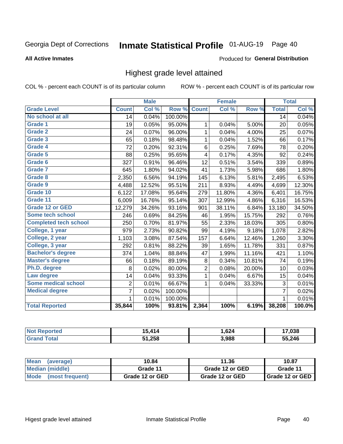# Inmate Statistical Profile 01-AUG-19 Page 40

#### **All Active Inmates**

#### Produced for General Distribution

### Highest grade level attained

COL % - percent each COUNT is of its particular column

|                              |                 | <b>Male</b> |         |              | <b>Female</b> |        |                 | <b>Total</b> |
|------------------------------|-----------------|-------------|---------|--------------|---------------|--------|-----------------|--------------|
| <b>Grade Level</b>           | <b>Count</b>    | Col %       | Row %   | <b>Count</b> | Col %         | Row %  | <b>Total</b>    | Col %        |
| No school at all             | $\overline{14}$ | 0.04%       | 100.00% |              |               |        | $\overline{14}$ | 0.04%        |
| <b>Grade 1</b>               | 19              | 0.05%       | 95.00%  | 1            | 0.04%         | 5.00%  | 20              | 0.05%        |
| <b>Grade 2</b>               | 24              | 0.07%       | 96.00%  | 1            | 0.04%         | 4.00%  | 25              | 0.07%        |
| Grade 3                      | 65              | 0.18%       | 98.48%  | $\mathbf{1}$ | 0.04%         | 1.52%  | 66              | 0.17%        |
| <b>Grade 4</b>               | 72              | 0.20%       | 92.31%  | $\,6$        | 0.25%         | 7.69%  | 78              | 0.20%        |
| Grade 5                      | 88              | 0.25%       | 95.65%  | 4            | 0.17%         | 4.35%  | 92              | 0.24%        |
| Grade 6                      | 327             | 0.91%       | 96.46%  | 12           | 0.51%         | 3.54%  | 339             | 0.89%        |
| <b>Grade 7</b>               | 645             | 1.80%       | 94.02%  | 41           | 1.73%         | 5.98%  | 686             | 1.80%        |
| Grade 8                      | 2,350           | 6.56%       | 94.19%  | 145          | 6.13%         | 5.81%  | 2,495           | 6.53%        |
| Grade 9                      | 4,488           | 12.52%      | 95.51%  | 211          | 8.93%         | 4.49%  | 4,699           | 12.30%       |
| Grade 10                     | 6,122           | 17.08%      | 95.64%  | 279          | 11.80%        | 4.36%  | 6,401           | 16.75%       |
| Grade 11                     | 6,009           | 16.76%      | 95.14%  | 307          | 12.99%        | 4.86%  | 6,316           | 16.53%       |
| <b>Grade 12 or GED</b>       | 12,279          | 34.26%      | 93.16%  | 901          | 38.11%        | 6.84%  | 13,180          | 34.50%       |
| <b>Some tech school</b>      | 246             | 0.69%       | 84.25%  | 46           | 1.95%         | 15.75% | 292             | 0.76%        |
| <b>Completed tech school</b> | 250             | 0.70%       | 81.97%  | 55           | 2.33%         | 18.03% | 305             | 0.80%        |
| College, 1 year              | 979             | 2.73%       | 90.82%  | 99           | 4.19%         | 9.18%  | 1,078           | 2.82%        |
| College, 2 year              | 1,103           | 3.08%       | 87.54%  | 157          | 6.64%         | 12.46% | 1,260           | 3.30%        |
| College, 3 year              | 292             | 0.81%       | 88.22%  | 39           | 1.65%         | 11.78% | 331             | 0.87%        |
| <b>Bachelor's degree</b>     | 374             | 1.04%       | 88.84%  | 47           | 1.99%         | 11.16% | 421             | 1.10%        |
| <b>Master's degree</b>       | 66              | 0.18%       | 89.19%  | 8            | 0.34%         | 10.81% | 74              | 0.19%        |
| Ph.D. degree                 | 8               | 0.02%       | 80.00%  | 2            | 0.08%         | 20.00% | 10              | 0.03%        |
| Law degree                   | 14              | 0.04%       | 93.33%  | $\mathbf{1}$ | 0.04%         | 6.67%  | 15              | 0.04%        |
| <b>Some medical school</b>   | $\overline{2}$  | 0.01%       | 66.67%  | 1            | 0.04%         | 33.33% | 3               | 0.01%        |
| <b>Medical degree</b>        | $\overline{7}$  | 0.02%       | 100.00% |              |               |        | $\overline{7}$  | 0.02%        |
|                              | $\mathbf 1$     | 0.01%       | 100.00% |              |               |        | 1               | 0.01%        |
| <b>Total Reported</b>        | 35,844          | 100%        | 93.81%  | 2,364        | 100%          | 6.19%  | 38,208          | 100.0%       |

| $\bm{A}$<br>л | ,624  | .038  |
|---------------|-------|-------|
| 51,258        | 3,988 | 5 246 |

| Mean<br>(average)    | 10.84           | 11.36           | 10.87           |  |
|----------------------|-----------------|-----------------|-----------------|--|
| Median (middle)      | Grade 11        | Grade 12 or GED | Grade 11        |  |
| Mode (most frequent) | Grade 12 or GED | Grade 12 or GED | Grade 12 or GED |  |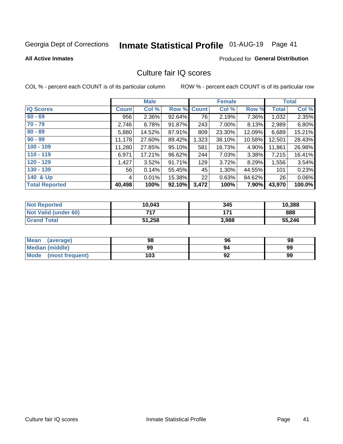# Inmate Statistical Profile 01-AUG-19 Page 41

#### **All Active Inmates**

### **Produced for General Distribution**

### Culture fair IQ scores

COL % - percent each COUNT is of its particular column

|                       |              | <b>Male</b> |             |       | <b>Female</b> |        |              | <b>Total</b> |
|-----------------------|--------------|-------------|-------------|-------|---------------|--------|--------------|--------------|
| <b>IQ Scores</b>      | <b>Count</b> | Col %       | Row % Count |       | Col %         | Row %  | <b>Total</b> | Col %        |
| $60 - 69$             | 956          | 2.36%       | 92.64%      | 76    | 2.19%         | 7.36%  | 1,032        | 2.35%        |
| $70 - 79$             | 2,746        | 6.78%       | 91.87%      | 243   | 7.00%         | 8.13%  | 2,989        | 6.80%        |
| $80 - 89$             | 5,880        | 14.52%      | 87.91%      | 809   | 23.30%        | 12.09% | 6,689        | 15.21%       |
| $90 - 99$             | 11,178       | 27.60%      | 89.42%      | 1,323 | 38.10%        | 10.58% | 12,501       | 28.43%       |
| $100 - 109$           | 11,280       | 27.85%      | 95.10%      | 581   | 16.73%        | 4.90%  | 11,861       | 26.98%       |
| $110 - 119$           | 6,971        | 17.21%      | 96.62%      | 244   | 7.03%         | 3.38%  | 7,215        | 16.41%       |
| $120 - 129$           | 1,427        | 3.52%       | 91.71%      | 129   | 3.72%         | 8.29%  | 1,556        | 3.54%        |
| $130 - 139$           | 56           | 0.14%       | 55.45%      | 45    | 1.30%         | 44.55% | 101          | 0.23%        |
| 140 & Up              | 4            | 0.01%       | 15.38%      | 22    | 0.63%         | 84.62% | 26           | 0.06%        |
| <b>Total Reported</b> | 40,498       | 100%        | 92.10%      | 3,472 | 100%          | 7.90%  | 43,970       | 100.0%       |

| <b>Not Reported</b>         | 10,043 | 345   | 10,388 |
|-----------------------------|--------|-------|--------|
| <b>Not Valid (under 60)</b> | 717    | 4 7 4 | 888    |
| <b>Grand Total</b>          | 51,258 | 3,988 | 55,246 |

| <b>Mean</b><br>(average)       | 98  | 96 | 98 |
|--------------------------------|-----|----|----|
| Median (middle)                | 99  | 94 | 99 |
| <b>Mode</b><br>(most frequent) | 103 | 92 | 99 |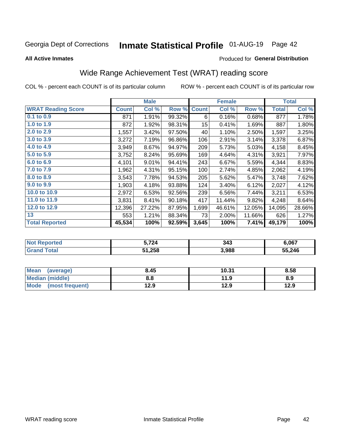# Inmate Statistical Profile 01-AUG-19 Page 42

#### **All Active Inmates**

#### Produced for General Distribution

## Wide Range Achievement Test (WRAT) reading score

COL % - percent each COUNT is of its particular column

|                           |              | <b>Male</b> |        |                  | <b>Female</b> |        |              | <b>Total</b> |
|---------------------------|--------------|-------------|--------|------------------|---------------|--------|--------------|--------------|
| <b>WRAT Reading Score</b> | <b>Count</b> | Col %       | Row %  | <b>Count</b>     | Col %         | Row %  | <b>Total</b> | Col %        |
| 0.1 to 0.9                | 871          | 1.91%       | 99.32% | 6                | 0.16%         | 0.68%  | 877          | 1.78%        |
| 1.0 to 1.9                | 872          | 1.92%       | 98.31% | 15 <sub>15</sub> | 0.41%         | 1.69%  | 887          | 1.80%        |
| 2.0 to 2.9                | 1,557        | 3.42%       | 97.50% | 40               | 1.10%         | 2.50%  | 1,597        | 3.25%        |
| 3.0 to 3.9                | 3,272        | 7.19%       | 96.86% | 106              | 2.91%         | 3.14%  | 3,378        | 6.87%        |
| 4.0 to 4.9                | 3,949        | 8.67%       | 94.97% | 209              | 5.73%         | 5.03%  | 4,158        | 8.45%        |
| 5.0 to 5.9                | 3,752        | 8.24%       | 95.69% | 169              | 4.64%         | 4.31%  | 3,921        | 7.97%        |
| 6.0 to 6.9                | 4,101        | 9.01%       | 94.41% | 243              | 6.67%         | 5.59%  | 4,344        | 8.83%        |
| 7.0 to 7.9                | 1,962        | 4.31%       | 95.15% | 100              | 2.74%         | 4.85%  | 2,062        | 4.19%        |
| 8.0 to 8.9                | 3,543        | 7.78%       | 94.53% | 205              | 5.62%         | 5.47%  | 3,748        | 7.62%        |
| 9.0 to 9.9                | 1,903        | 4.18%       | 93.88% | 124              | 3.40%         | 6.12%  | 2,027        | 4.12%        |
| 10.0 to 10.9              | 2,972        | 6.53%       | 92.56% | 239              | 6.56%         | 7.44%  | 3,211        | 6.53%        |
| 11.0 to 11.9              | 3,831        | 8.41%       | 90.18% | 417              | 11.44%        | 9.82%  | 4,248        | 8.64%        |
| 12.0 to 12.9              | 12,396       | 27.22%      | 87.95% | 1,699            | 46.61%        | 12.05% | 14,095       | 28.66%       |
| 13                        | 553          | 1.21%       | 88.34% | 73               | 2.00%         | 11.66% | 626          | 1.27%        |
| <b>Total Reported</b>     | 45,534       | 100%        | 92.59% | 3,645            | 100%          | 7.41%  | 49,179       | 100%         |

| Teu.<br>NO | ີ 724  | 343   | 6,067  |
|------------|--------|-------|--------|
|            | 51,258 | 3,988 | 55,246 |

| Mean<br>(average)              | 8.45 | 10.31 | 8.58 |
|--------------------------------|------|-------|------|
| <b>Median (middle)</b>         | 8.8  | 11.9  | 8.9  |
| <b>Mode</b><br>(most frequent) | 12.9 | 12.9  | 12.9 |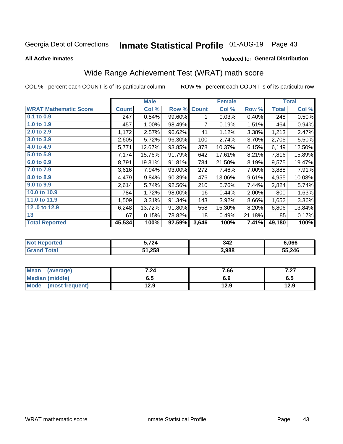# Inmate Statistical Profile 01-AUG-19 Page 43

**All Active Inmates** 

#### Produced for General Distribution

## Wide Range Achievement Test (WRAT) math score

COL % - percent each COUNT is of its particular column

|                              |              | <b>Male</b> |        |              | <b>Female</b> |        |              | <b>Total</b> |
|------------------------------|--------------|-------------|--------|--------------|---------------|--------|--------------|--------------|
| <b>WRAT Mathematic Score</b> | <b>Count</b> | Col %       | Row %  | <b>Count</b> | Col %         | Row %  | <b>Total</b> | Col %        |
| 0.1 to 0.9                   | 247          | 0.54%       | 99.60% | 1            | 0.03%         | 0.40%  | 248          | 0.50%        |
| 1.0 to 1.9                   | 457          | 1.00%       | 98.49% | 7            | 0.19%         | 1.51%  | 464          | 0.94%        |
| 2.0 to 2.9                   | 1,172        | 2.57%       | 96.62% | 41           | 1.12%         | 3.38%  | 1,213        | 2.47%        |
| 3.0 to 3.9                   | 2,605        | 5.72%       | 96.30% | 100          | 2.74%         | 3.70%  | 2,705        | 5.50%        |
| 4.0 to 4.9                   | 5,771        | 12.67%      | 93.85% | 378          | 10.37%        | 6.15%  | 6,149        | 12.50%       |
| 5.0 to 5.9                   | 7,174        | 15.76%      | 91.79% | 642          | 17.61%        | 8.21%  | 7,816        | 15.89%       |
| 6.0 to 6.9                   | 8,791        | 19.31%      | 91.81% | 784          | 21.50%        | 8.19%  | 9,575        | 19.47%       |
| 7.0 to 7.9                   | 3,616        | 7.94%       | 93.00% | 272          | 7.46%         | 7.00%  | 3,888        | 7.91%        |
| 8.0 to 8.9                   | 4,479        | 9.84%       | 90.39% | 476          | 13.06%        | 9.61%  | 4,955        | 10.08%       |
| 9.0 to 9.9                   | 2,614        | 5.74%       | 92.56% | 210          | 5.76%         | 7.44%  | 2,824        | 5.74%        |
| 10.0 to 10.9                 | 784          | 1.72%       | 98.00% | 16           | 0.44%         | 2.00%  | 800          | 1.63%        |
| 11.0 to 11.9                 | 1,509        | 3.31%       | 91.34% | 143          | 3.92%         | 8.66%  | 1,652        | 3.36%        |
| 12.0 to 12.9                 | 6,248        | 13.72%      | 91.80% | 558          | 15.30%        | 8.20%  | 6,806        | 13.84%       |
| 13                           | 67           | 0.15%       | 78.82% | 18           | 0.49%         | 21.18% | 85           | 0.17%        |
| <b>Total Reported</b>        | 45,534       | 100%        | 92.59% | 3,646        | 100%          | 7.41%  | 49,180       | 100%         |

| <b>orted</b><br>$\cdot$ Not $\cdot$<br>Rebo | .724   | 342   | 6.066  |
|---------------------------------------------|--------|-------|--------|
| <b>Total</b><br>'Grand                      | 51,258 | 3,988 | 55,246 |

| <b>Mean</b><br>(average)       | 7.24 | 7.66 | 7 07<br>1 .ZI |
|--------------------------------|------|------|---------------|
| <b>Median (middle)</b>         | כ.ס  | 6.9  | 0.J           |
| <b>Mode</b><br>(most frequent) | l2.9 | 12.9 | 12.9          |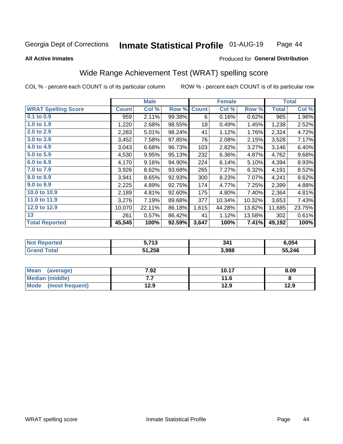#### **Inmate Statistical Profile 01-AUG-19** Page 44

**All Active Inmates** 

#### Produced for General Distribution

### Wide Range Achievement Test (WRAT) spelling score

COL % - percent each COUNT is of its particular column

| <b>WRAT Spelling Score</b> |              |        |        |              | <b>Female</b> |        |              | <b>Total</b> |
|----------------------------|--------------|--------|--------|--------------|---------------|--------|--------------|--------------|
|                            | <b>Count</b> | Col %  | Row %  | <b>Count</b> | Col %         | Row %  | <b>Total</b> | Col %        |
| $0.1$ to $0.9$             | 959          | 2.11%  | 99.38% | 6            | 0.16%         | 0.62%  | 965          | 1.96%        |
| 1.0 to 1.9                 | 1,220        | 2.68%  | 98.55% | 18           | 0.49%         | 1.45%  | 1,238        | 2.52%        |
| 2.0 to 2.9                 | 2,283        | 5.01%  | 98.24% | 41           | 1.12%         | 1.76%  | 2,324        | 4.72%        |
| 3.0 to 3.9                 | 3,452        | 7.58%  | 97.85% | 76           | 2.08%         | 2.15%  | 3,528        | 7.17%        |
| 4.0 to 4.9                 | 3,043        | 6.68%  | 96.73% | 103          | 2.82%         | 3.27%  | 3,146        | 6.40%        |
| 5.0 t0 5.9                 | 4,530        | 9.95%  | 95.13% | 232          | 6.36%         | 4.87%  | 4,762        | 9.68%        |
| 6.0 to 6.9                 | 4,170        | 9.16%  | 94.90% | 224          | 6.14%         | 5.10%  | 4,394        | 8.93%        |
| 7.0 to 7.9                 | 3,926        | 8.62%  | 93.68% | 265          | 7.27%         | 6.32%  | 4,191        | 8.52%        |
| 8.0 to 8.9                 | 3,941        | 8.65%  | 92.93% | 300          | 8.23%         | 7.07%  | 4,241        | 8.62%        |
| 9.0 to 9.9                 | 2,225        | 4.89%  | 92.75% | 174          | 4.77%         | 7.25%  | 2,399        | 4.88%        |
| 10.0 to 10.9               | 2,189        | 4.81%  | 92.60% | 175          | 4.80%         | 7.40%  | 2,364        | 4.81%        |
| 11.0 to 11.9               | 3,276        | 7.19%  | 89.68% | 377          | 10.34%        | 10.32% | 3,653        | 7.43%        |
| 12.0 to 12.9               | 10,070       | 22.11% | 86.18% | 1,615        | 44.28%        | 13.82% | 11,685       | 23.75%       |
| 13                         | 261          | 0.57%  | 86.42% | 41           | 1.12%         | 13.58% | 302          | 0.61%        |
| <b>Total Reported</b>      | 45,545       | 100%   | 92.59% | 3,647        | 100%          | 7.41%  | 49,192       | 100%         |

| rtea<br>NO | . 749<br>. . | 341   | 6.054  |
|------------|--------------|-------|--------|
| $\sim$     | 51,258       | 3,988 | 55,246 |

| <b>Mean</b><br>(average) | 7.92 | 10.17 | 8.09 |
|--------------------------|------|-------|------|
| Median (middle)          | .    | 11.6  |      |
| Mode<br>(most frequent)  | 12.9 | 12.9  | 12.9 |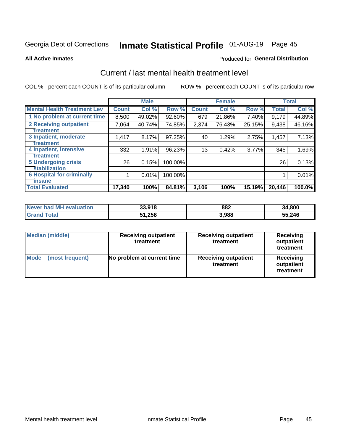# Inmate Statistical Profile 01-AUG-19 Page 45

#### **All Active Inmates**

### **Produced for General Distribution**

### Current / last mental health treatment level

COL % - percent each COUNT is of its particular column

|                                    |              | <b>Male</b> |         |              | <b>Female</b> |        |              | <b>Total</b> |
|------------------------------------|--------------|-------------|---------|--------------|---------------|--------|--------------|--------------|
| <b>Mental Health Treatment Lev</b> | <b>Count</b> | Col %       | Row %   | <b>Count</b> | Col %         | Row %  | <b>Total</b> | Col %        |
| 1 No problem at current time       | 8,500        | 49.02%      | 92.60%  | 679          | 21.86%        | 7.40%  | 9,179        | 44.89%       |
| 2 Receiving outpatient             | 7,064        | 40.74%      | 74.85%  | 2,374        | 76.43%        | 25.15% | 9,438        | 46.16%       |
| <b>Treatment</b>                   |              |             |         |              |               |        |              |              |
| 3 Inpatient, moderate              | 1,417        | 8.17%       | 97.25%  | 40           | 1.29%         | 2.75%  | 1,457        | 7.13%        |
| Treatment                          |              |             |         |              |               |        |              |              |
| 4 Inpatient, intensive             | 332          | 1.91%       | 96.23%  | 13           | 0.42%         | 3.77%  | 345          | 1.69%        |
| <b>Treatment</b>                   |              |             |         |              |               |        |              |              |
| <b>5 Undergoing crisis</b>         | 26           | 0.15%       | 100.00% |              |               |        | 26           | 0.13%        |
| <b>Stabilization</b>               |              |             |         |              |               |        |              |              |
| <b>6 Hospital for criminally</b>   |              | 0.01%       | 100.00% |              |               |        |              | 0.01%        |
| <b>Tinsane</b>                     |              |             |         |              |               |        |              |              |
| <b>Total Evaluated</b>             | 17,340       | 100%        | 84.81%  | 3,106        | 100%          | 15.19% | 20,446       | 100.0%       |

| Never had MH evaluation | 33,918 | 882   | 34,800 |
|-------------------------|--------|-------|--------|
| <b>Grand Total</b>      | 51,258 | 3,988 | 55,246 |

| <b>Median (middle)</b>         | <b>Receiving outpatient</b><br>treatment | <b>Receiving outpatient</b><br>treatment | <b>Receiving</b><br>outpatient<br>treatment |  |
|--------------------------------|------------------------------------------|------------------------------------------|---------------------------------------------|--|
| <b>Mode</b><br>(most frequent) | No problem at current time               | <b>Receiving outpatient</b><br>treatment | Receiving<br>outpatient<br>treatment        |  |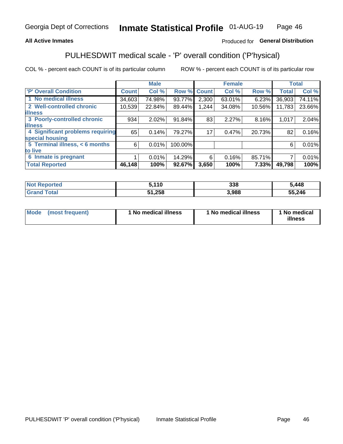#### **All Active Inmates**

### Produced for General Distribution

## PULHESDWIT medical scale - 'P' overall condition ('P'hysical)

COL % - percent each COUNT is of its particular column

|                                  |              | <b>Male</b> |         |              | <b>Female</b> |        |              | <b>Total</b> |
|----------------------------------|--------------|-------------|---------|--------------|---------------|--------|--------------|--------------|
| <b>P' Overall Condition</b>      | <b>Count</b> | Col %       | Row %   | <b>Count</b> | Col %         | Row %  | <b>Total</b> | Col %        |
| 1 No medical illness             | 34,603       | 74.98%      | 93.77%  | 2,300        | 63.01%        | 6.23%  | 36,903       | 74.11%       |
| 2 Well-controlled chronic        | 10,539       | 22.84%      | 89.44%  | 1,244        | 34.08%        | 10.56% | 11,783       | 23.66%       |
| <b>lilness</b>                   |              |             |         |              |               |        |              |              |
| 3 Poorly-controlled chronic      | 934          | 2.02%       | 91.84%  | 83           | 2.27%         | 8.16%  | 1,017        | 2.04%        |
| <b>illness</b>                   |              |             |         |              |               |        |              |              |
| 4 Significant problems requiring | 65           | 0.14%       | 79.27%  | 17           | 0.47%         | 20.73% | 82           | 0.16%        |
| special housing                  |              |             |         |              |               |        |              |              |
| 5 Terminal illness, < 6 months   | 6            | 0.01%       | 100.00% |              |               |        | 6            | 0.01%        |
| to live                          |              |             |         |              |               |        |              |              |
| 6 Inmate is pregnant             |              | 0.01%       | 14.29%  | 6            | 0.16%         | 85.71% |              | 0.01%        |
| <b>Total Reported</b>            | 46,148       | 100%        | 92.67%  | 3,650        | 100%          | 7.33%  | 49,798       | 100%         |

| тео | 5410<br>. . | 338  | ,448   |
|-----|-------------|------|--------|
|     | <b>OFC</b>  | .988 | 55,246 |

| Mode | (most frequent) | 1 No medical illness | 1 No medical illness | 1 No medical<br>illness |
|------|-----------------|----------------------|----------------------|-------------------------|
|------|-----------------|----------------------|----------------------|-------------------------|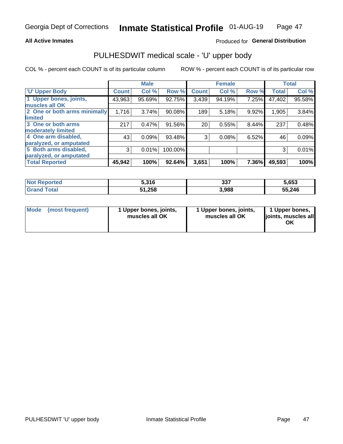#### **All Active Inmates**

### Produced for General Distribution

# PULHESDWIT medical scale - 'U' upper body

COL % - percent each COUNT is of its particular column

|                              |              | <b>Male</b> |         |              | <b>Female</b> |       |              | <b>Total</b> |
|------------------------------|--------------|-------------|---------|--------------|---------------|-------|--------------|--------------|
| <b>U' Upper Body</b>         | <b>Count</b> | Col %       | Row %   | <b>Count</b> | Col %         | Row % | <b>Total</b> | Col %        |
| 1 Upper bones, joints,       | 43,963       | 95.69%      | 92.75%  | 3,439        | 94.19%        | 7.25% | 47,402       | 95.58%       |
| muscles all OK               |              |             |         |              |               |       |              |              |
| 2 One or both arms minimally | 1,716        | 3.74%       | 90.08%  | 189          | 5.18%         | 9.92% | 1,905        | 3.84%        |
| limited                      |              |             |         |              |               |       |              |              |
| 3 One or both arms           | 217          | 0.47%       | 91.56%  | 20           | 0.55%         | 8.44% | 237          | 0.48%        |
| <b>moderately limited</b>    |              |             |         |              |               |       |              |              |
| 4 One arm disabled,          | 43           | 0.09%       | 93.48%  | 3            | 0.08%         | 6.52% | 46           | 0.09%        |
| paralyzed, or amputated      |              |             |         |              |               |       |              |              |
| 5 Both arms disabled,        | 3            | 0.01%       | 100.00% |              |               |       | 3            | 0.01%        |
| paralyzed, or amputated      |              |             |         |              |               |       |              |              |
| <b>Total Reported</b>        | 45,942       | 100%        | 92.64%  | 3,651        | 100%          | 7.36% | 49,593       | 100%         |

| <b>Not Reported</b>          | 5,316  | 337   | 5,653  |
|------------------------------|--------|-------|--------|
| <b>Total</b><br><b>Grand</b> | 51,258 | 3,988 | 55,246 |

| <b>Mode</b> | (most frequent) | 1 Upper bones, joints,<br>muscles all OK | 1 Upper bones, joints,<br>muscles all OK | 1 Upper bones,<br>joints, muscles all<br>ΟK |
|-------------|-----------------|------------------------------------------|------------------------------------------|---------------------------------------------|
|-------------|-----------------|------------------------------------------|------------------------------------------|---------------------------------------------|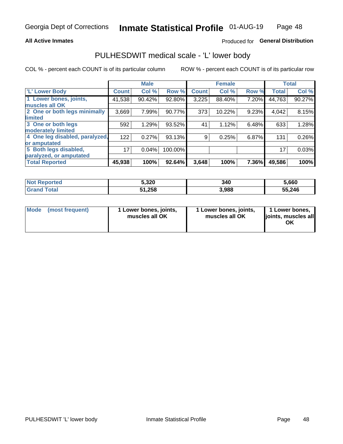#### **All Active Inmates**

### Produced for General Distribution

### PULHESDWIT medical scale - 'L' lower body

COL % - percent each COUNT is of its particular column

|                                |              | <b>Male</b> |         |              | <b>Female</b> |       |              | <b>Total</b> |
|--------------------------------|--------------|-------------|---------|--------------|---------------|-------|--------------|--------------|
| 'L' Lower Body                 | <b>Count</b> | Col %       | Row %   | <b>Count</b> | Col %         | Row % | <b>Total</b> | Col %        |
| 1 Lower bones, joints,         | 41,538       | 90.42%      | 92.80%  | 3,225        | 88.40%        | 7.20% | 44,763       | 90.27%       |
| muscles all OK                 |              |             |         |              |               |       |              |              |
| 2 One or both legs minimally   | 3,669        | 7.99%       | 90.77%  | 373          | 10.22%        | 9.23% | 4,042        | 8.15%        |
| limited                        |              |             |         |              |               |       |              |              |
| 3 One or both legs             | 592          | 1.29%       | 93.52%  | 41           | 1.12%         | 6.48% | 633          | 1.28%        |
| moderately limited             |              |             |         |              |               |       |              |              |
| 4 One leg disabled, paralyzed, | 122          | 0.27%       | 93.13%  | 9            | 0.25%         | 6.87% | 131          | 0.26%        |
| or amputated                   |              |             |         |              |               |       |              |              |
| 5 Both legs disabled,          | 17           | 0.04%       | 100.00% |              |               |       | 17           | 0.03%        |
| paralyzed, or amputated        |              |             |         |              |               |       |              |              |
| <b>Total Reported</b>          | 45,938       | 100%        | 92.64%  | 3,648        | 100%          | 7.36% | 49,586       | 100%         |

| <b>Not Reported</b>   | 5,320  | 340   | 5,660  |
|-----------------------|--------|-------|--------|
| <b>Total</b><br>Grand | 51,258 | 3,988 | 55,246 |

| Mode | (most frequent) | 1 Lower bones, joints,<br>muscles all OK | I Lower bones, joints,<br>muscles all OK | 1 Lower bones,<br>joints, muscles all<br>ΟK |
|------|-----------------|------------------------------------------|------------------------------------------|---------------------------------------------|
|------|-----------------|------------------------------------------|------------------------------------------|---------------------------------------------|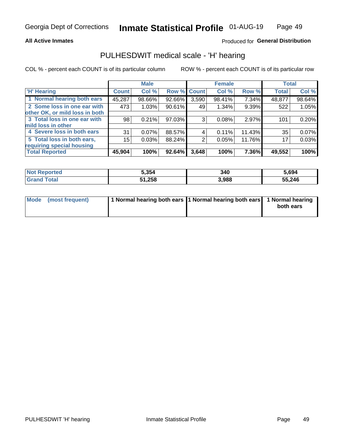#### **All Active Inmates**

### Produced for General Distribution

### PULHESDWIT medical scale - 'H' hearing

COL % - percent each COUNT is of its particular column

|                                |                 | <b>Male</b> |                    |       | <b>Female</b> |        | <b>Total</b> |        |
|--------------------------------|-----------------|-------------|--------------------|-------|---------------|--------|--------------|--------|
| <b>'H' Hearing</b>             | <b>Count</b>    | Col %       | <b>Row % Count</b> |       | Col %         | Row %  | <b>Total</b> | Col %  |
| 1 Normal hearing both ears     | 45,287          | 98.66%      | 92.66%             | 3,590 | 98.41%        | 7.34%  | 48,877       | 98.64% |
| 2 Some loss in one ear with    | 473             | 1.03%       | 90.61%             | 49    | 1.34%         | 9.39%  | 522          | 1.05%  |
| other OK, or mild loss in both |                 |             |                    |       |               |        |              |        |
| 3 Total loss in one ear with   | 98              | 0.21%       | 97.03%             | 3     | 0.08%         | 2.97%  | 101          | 0.20%  |
| mild loss in other             |                 |             |                    |       |               |        |              |        |
| 4 Severe loss in both ears     | 31              | 0.07%       | 88.57%             | 4     | 0.11%         | 11.43% | 35           | 0.07%  |
| 5 Total loss in both ears,     | 15 <sub>2</sub> | 0.03%       | 88.24%             | 2     | 0.05%         | 11.76% | 17           | 0.03%  |
| requiring special housing      |                 |             |                    |       |               |        |              |        |
| <b>Total Reported</b>          | 45,904          | 100%        | 92.64%             | 3,648 | 100%          | 7.36%  | 49,552       | 100%   |

| <b>Not Renc</b><br><b>Ported</b> | 5,354  | 340   | 694,ز  |
|----------------------------------|--------|-------|--------|
| Total                            | 51,258 | 3,988 | 55,246 |

| Mode (most frequent) | 1 Normal hearing both ears 1 Normal hearing both ears 1 Normal hearing | both ears |
|----------------------|------------------------------------------------------------------------|-----------|
|                      |                                                                        |           |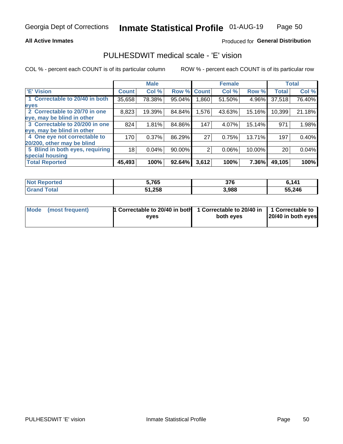#### **All Active Inmates**

### Produced for General Distribution

### PULHESDWIT medical scale - 'E' vision

COL % - percent each COUNT is of its particular column

|                                 |              | <b>Male</b> |        |              | <b>Female</b> |        |              | <b>Total</b> |
|---------------------------------|--------------|-------------|--------|--------------|---------------|--------|--------------|--------------|
| <b>E' Vision</b>                | <b>Count</b> | Col %       | Row %  | <b>Count</b> | Col %         | Row %  | <b>Total</b> | Col %        |
| 1 Correctable to 20/40 in both  | 35,658       | 78.38%      | 95.04% | .860         | 51.50%        | 4.96%  | 37,518       | 76.40%       |
| eyes                            |              |             |        |              |               |        |              |              |
| 2 Correctable to 20/70 in one   | 8,823        | 19.39%      | 84.84% | 1,576        | 43.63%        | 15.16% | 10,399       | 21.18%       |
| eye, may be blind in other      |              |             |        |              |               |        |              |              |
| 3 Correctable to 20/200 in one  | 824          | 1.81%       | 84.86% | 147          | 4.07%         | 15.14% | 971          | 1.98%        |
| eye, may be blind in other      |              |             |        |              |               |        |              |              |
| 4 One eye not correctable to    | 170          | 0.37%       | 86.29% | 27           | 0.75%         | 13.71% | 197          | 0.40%        |
| 20/200, other may be blind      |              |             |        |              |               |        |              |              |
| 5 Blind in both eyes, requiring | 18           | 0.04%       | 90.00% | 2            | 0.06%         | 10.00% | 20           | 0.04%        |
| special housing                 |              |             |        |              |               |        |              |              |
| <b>Total Reported</b>           | 45,493       | 100%        | 92.64% | 3,612        | 100%          | 7.36%  | 49,105       | 100%         |

| <b>Not Reported</b> | ,765         | <b>276</b><br>JI U | : 111  |
|---------------------|--------------|--------------------|--------|
| <b>Total</b>        | 51,258<br>51 | 3,988              | 55,246 |

| Mode (most frequent) | 1 Correctable to 20/40 in both<br>eves | 1 Correctable to 20/40 in   1 Correctable to  <br>both eves | 20/40 in both eyes |
|----------------------|----------------------------------------|-------------------------------------------------------------|--------------------|
|                      |                                        |                                                             |                    |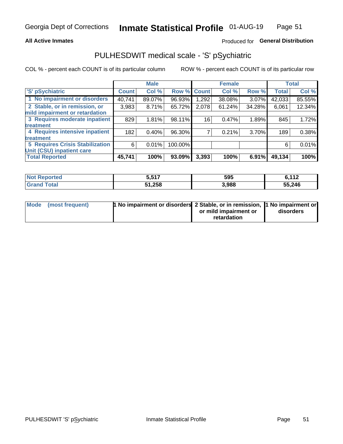#### **All Active Inmates**

### Produced for General Distribution

## PULHESDWIT medical scale - 'S' pSychiatric

COL % - percent each COUNT is of its particular column

|                                        |              | <b>Male</b> |         |             | <b>Female</b> |        |              | <b>Total</b> |
|----------------------------------------|--------------|-------------|---------|-------------|---------------|--------|--------------|--------------|
| 'S' pSychiatric                        | <b>Count</b> | Col %       |         | Row % Count | Col %         | Row %  | <b>Total</b> | Col %        |
| 1 No impairment or disorders           | 40,741       | 89.07%      | 96.93%  | ۔292. ا     | 38.08%        | 3.07%  | 42,033       | 85.55%       |
| 2 Stable, or in remission, or          | 3,983        | 8.71%       | 65.72%  | 2,078       | 61.24%        | 34.28% | 6,061        | 12.34%       |
| mild impairment or retardation         |              |             |         |             |               |        |              |              |
| 3 Requires moderate inpatient          | 829          | 1.81%       | 98.11%  | 16          | 0.47%         | 1.89%  | 845          | 1.72%        |
| treatment                              |              |             |         |             |               |        |              |              |
| 4 Requires intensive inpatient         | 182          | 0.40%       | 96.30%  |             | 0.21%         | 3.70%  | 189          | 0.38%        |
| treatment                              |              |             |         |             |               |        |              |              |
| <b>5 Requires Crisis Stabilization</b> | 6            | 0.01%       | 100.00% |             |               |        | 6            | 0.01%        |
| Unit (CSU) inpatient care              |              |             |         |             |               |        |              |              |
| <b>Total Reported</b>                  | 45,741       | 100%        | 93.09%  | 3,393       | 100%          | 6.91%  | 49,134       | 100%         |

| <b>Not Reported</b>          | e eat<br>ว.ว1. | 595   | 6,112  |
|------------------------------|----------------|-------|--------|
| <b>Total</b><br><b>Grand</b> | 51,258         | 3,988 | 55,246 |

| Mode (most frequent) | <b>t No impairment or disorders 2 Stable, or in remission, 1 No impairment or</b> |                       |           |
|----------------------|-----------------------------------------------------------------------------------|-----------------------|-----------|
|                      |                                                                                   | or mild impairment or | disorders |
|                      |                                                                                   | retardation           |           |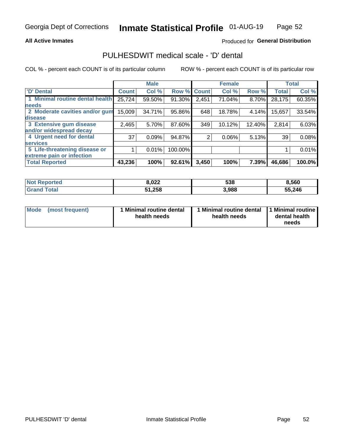#### **All Active Inmates**

### Produced for General Distribution

### PULHESDWIT medical scale - 'D' dental

COL % - percent each COUNT is of its particular column

|                                 |              | <b>Male</b> |         |              | <b>Female</b> |        |              | <b>Total</b> |
|---------------------------------|--------------|-------------|---------|--------------|---------------|--------|--------------|--------------|
| <b>D'</b> Dental                | <b>Count</b> | Col %       | Row %   | <b>Count</b> | Col %         | Row %  | <b>Total</b> | Col %        |
| 1 Minimal routine dental health | 25,724       | 59.50%      | 91.30%  | 2,451        | 71.04%        | 8.70%  | 28,175       | 60.35%       |
| <b>needs</b>                    |              |             |         |              |               |        |              |              |
| 2 Moderate cavities and/or gum  | 15,009       | 34.71%      | 95.86%  | 648          | 18.78%        | 4.14%  | 15,657       | 33.54%       |
| disease                         |              |             |         |              |               |        |              |              |
| 3 Extensive gum disease         | 2,465        | 5.70%       | 87.60%  | 349          | 10.12%        | 12.40% | 2,814        | 6.03%        |
| and/or widespread decay         |              |             |         |              |               |        |              |              |
| 4 Urgent need for dental        | 37           | 0.09%       | 94.87%  | 2            | 0.06%         | 5.13%  | 39           | 0.08%        |
| <b>services</b>                 |              |             |         |              |               |        |              |              |
| 5 Life-threatening disease or   |              | 0.01%       | 100.00% |              |               |        |              | 0.01%        |
| extreme pain or infection       |              |             |         |              |               |        |              |              |
| <b>Total Reported</b>           | 43,236       | 100%        | 92.61%  | 3,450        | 100%          | 7.39%  | 46,686       | 100.0%       |

| <b>Not Reported</b> | 8.022  | 538   | 8.560  |
|---------------------|--------|-------|--------|
| Гоtа                | 51,258 | 3,988 | 55,246 |

| Mode<br><b>Minimal routine dental</b><br>(most frequent)<br>health needs | 1 Minimal routine dental<br>health needs | 1 Minimal routine<br>dental health<br>needs |
|--------------------------------------------------------------------------|------------------------------------------|---------------------------------------------|
|--------------------------------------------------------------------------|------------------------------------------|---------------------------------------------|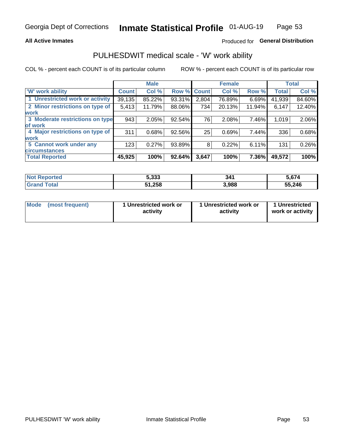#### **All Active Inmates**

### Produced for General Distribution

### PULHESDWIT medical scale - 'W' work ability

COL % - percent each COUNT is of its particular column

|                                 |              | <b>Male</b> |        |             | <b>Female</b> |        |              | <b>Total</b> |
|---------------------------------|--------------|-------------|--------|-------------|---------------|--------|--------------|--------------|
| 'W' work ability                | <b>Count</b> | Col %       |        | Row % Count | Col %         | Row %  | <b>Total</b> | Col %        |
| 1 Unrestricted work or activity | 39,135       | 85.22%      | 93.31% | 2,804       | 76.89%        | 6.69%  | 41,939       | 84.60%       |
| 2 Minor restrictions on type of | 5,413        | 11.79%      | 88.06% | 734         | 20.13%        | 11.94% | 6,147        | 12.40%       |
| <b>work</b>                     |              |             |        |             |               |        |              |              |
| 3 Moderate restrictions on type | 943          | 2.05%       | 92.54% | 76          | 2.08%         | 7.46%  | 1,019        | 2.06%        |
| lof work                        |              |             |        |             |               |        |              |              |
| 4 Major restrictions on type of | 311          | 0.68%       | 92.56% | 25          | 0.69%         | 7.44%  | 336          | 0.68%        |
| <b>work</b>                     |              |             |        |             |               |        |              |              |
| 5 Cannot work under any         | 123          | 0.27%       | 93.89% | 8           | 0.22%         | 6.11%  | 131          | 0.26%        |
| <b>circumstances</b>            |              |             |        |             |               |        |              |              |
| <b>Total Reported</b>           | 45,925       | 100%        | 92.64% | 3,647       | 100%          | 7.36%  | 49,572       | 100%         |

| <b>Not Reported</b>   | 5,333  | 341   | 5,674  |
|-----------------------|--------|-------|--------|
| Total<br><b>Grand</b> | 51,258 | 3,988 | 55,246 |

| Mode            | 1 Unrestricted work or | 1 Unrestricted work or | 1 Unrestricted   |
|-----------------|------------------------|------------------------|------------------|
| (most frequent) | activity               | activity               | work or activity |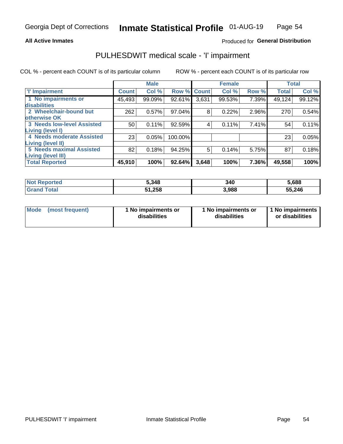#### **All Active Inmates**

### Produced for General Distribution

## PULHESDWIT medical scale - 'I' impairment

COL % - percent each COUNT is of its particular column ROW % - percent each COUNT is of its particular row

|                                   |              | <b>Male</b> |             |       | <b>Female</b> |       |              | <b>Total</b> |
|-----------------------------------|--------------|-------------|-------------|-------|---------------|-------|--------------|--------------|
| <b>T</b> Impairment               | <b>Count</b> | Col %       | Row % Count |       | Col %         | Row % | <b>Total</b> | Col %        |
| 1 No impairments or               | 45,493       | 99.09%      | 92.61%      | 3,631 | 99.53%        | 7.39% | 49,124       | 99.12%       |
| disabilities                      |              |             |             |       |               |       |              |              |
| 2 Wheelchair-bound but            | 262          | 0.57%       | 97.04%      | 8     | 0.22%         | 2.96% | 270          | 0.54%        |
| otherwise OK                      |              |             |             |       |               |       |              |              |
| <b>3 Needs low-level Assisted</b> | 50           | 0.11%       | 92.59%      | 4     | 0.11%         | 7.41% | 54           | 0.11%        |
| Living (level I)                  |              |             |             |       |               |       |              |              |
| 4 Needs moderate Assisted         | 23           | 0.05%       | 100.00%     |       |               |       | 23           | 0.05%        |
| Living (level II)                 |              |             |             |       |               |       |              |              |
| 5 Needs maximal Assisted          | 82           | 0.18%       | 94.25%      | 5     | 0.14%         | 5.75% | 87           | 0.18%        |
| <b>Living (level III)</b>         |              |             |             |       |               |       |              |              |
| <b>Total Reported</b>             | 45,910       | 100%        | 92.64%      | 3,648 | 100%          | 7.36% | 49,558       | 100%         |

| <b>Not</b><br><b>Reported</b> | 5,348  | 340   | 5,688  |
|-------------------------------|--------|-------|--------|
| `otal<br>Gr2r                 | 51,258 | 3,988 | 55,246 |

| <b>Mode</b> | (most frequent) | <b>No impairments or</b><br>disabilities | 1 No impairments or<br>disabilities | 1 No impairments<br>or disabilities |
|-------------|-----------------|------------------------------------------|-------------------------------------|-------------------------------------|
|-------------|-----------------|------------------------------------------|-------------------------------------|-------------------------------------|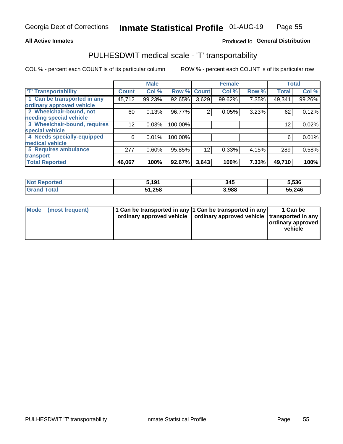#### **All Active Inmates**

### Produced fo General Distribution

### PULHESDWIT medical scale - 'T' transportability

COL % - percent each COUNT is of its particular column

|                              |                    | <b>Male</b> |         |              | <b>Female</b> |       | <b>Total</b> |        |
|------------------------------|--------------------|-------------|---------|--------------|---------------|-------|--------------|--------|
| <b>T' Transportability</b>   | Count <sup>!</sup> | Col %       | Row %   | <b>Count</b> | Col %         | Row % | <b>Total</b> | Col %  |
| 1 Can be transported in any  | 45,712             | 99.23%      | 92.65%  | 3,629        | 99.62%        | 7.35% | 49,341       | 99.26% |
| ordinary approved vehicle    |                    |             |         |              |               |       |              |        |
| 2 Wheelchair-bound, not      | 60                 | 0.13%       | 96.77%  | 2            | 0.05%         | 3.23% | 62           | 0.12%  |
| needing special vehicle      |                    |             |         |              |               |       |              |        |
| 3 Wheelchair-bound, requires | 12                 | 0.03%       | 100.00% |              |               |       | 12           | 0.02%  |
| special vehicle              |                    |             |         |              |               |       |              |        |
| 4 Needs specially-equipped   | 6                  | 0.01%       | 100.00% |              |               |       | 6            | 0.01%  |
| medical vehicle              |                    |             |         |              |               |       |              |        |
| <b>5 Requires ambulance</b>  | 277                | 0.60%       | 95.85%  | 12           | 0.33%         | 4.15% | 289          | 0.58%  |
| transport                    |                    |             |         |              |               |       |              |        |
| <b>Total Reported</b>        | 46,067             | 100%        | 92.67%  | 3,643        | 100%          | 7.33% | 49,710       | 100%   |

| <b>Not</b><br>Reported | 5,191  | 345   | 5,536  |
|------------------------|--------|-------|--------|
| Total                  | 51,258 | 3,988 | 55,246 |

|  | Mode (most frequent) | 1 Can be transported in any 1 Can be transported in any<br>ordinary approved vehicle   ordinary approved vehicle   transported in any |  | 1 Can be<br>  ordinary approved  <br>vehicle |
|--|----------------------|---------------------------------------------------------------------------------------------------------------------------------------|--|----------------------------------------------|
|--|----------------------|---------------------------------------------------------------------------------------------------------------------------------------|--|----------------------------------------------|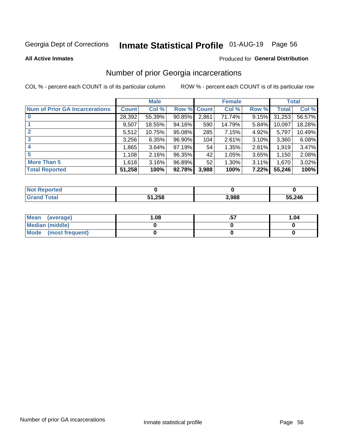# Inmate Statistical Profile 01-AUG-19 Page 56

**All Active Inmates** 

#### Produced for General Distribution

### Number of prior Georgia incarcerations

COL % - percent each COUNT is of its particular column

|                                       |              | <b>Male</b> |             |       | <b>Female</b> |       |        | <b>Total</b> |
|---------------------------------------|--------------|-------------|-------------|-------|---------------|-------|--------|--------------|
| <b>Num of Prior GA Incarcerations</b> | <b>Count</b> | Col %       | Row % Count |       | Col %         | Row % | Total  | Col %        |
| $\bf{0}$                              | 28,392       | 55.39%      | 90.85%      | 2,861 | 71.74%        | 9.15% | 31,253 | 56.57%       |
|                                       | 9,507        | 18.55%      | 94.16%      | 590   | 14.79%        | 5.84% | 10,097 | 18.28%       |
| $\mathbf{2}$                          | 5,512        | 10.75%      | 95.08%      | 285   | 7.15%         | 4.92% | 5,797  | 10.49%       |
| 3                                     | 3,256        | 6.35%       | $96.90\%$   | 104   | 2.61%         | 3.10% | 3,360  | 6.08%        |
| $\boldsymbol{4}$                      | 1,865        | 3.64%       | $97.19\%$   | 54    | 1.35%         | 2.81% | 1,919  | 3.47%        |
| 5                                     | 1,108        | 2.16%       | 96.35%      | 42'   | 1.05%         | 3.65% | 1,150  | 2.08%        |
| <b>More Than 5</b>                    | 1,618        | 3.16%       | 96.89%      | 52    | 1.30%         | 3.11% | 1,670  | 3.02%        |
| <b>Total Reported</b>                 | 51,258       | 100%        | 92.78%      | 3,988 | 100%          | 7.22% | 55,246 | 100%         |

| <b>Not</b><br>Reported |        |       |        |  |
|------------------------|--------|-------|--------|--|
| Total<br>'Grand        | 51,258 | 3,988 | 55,246 |  |

| Mean (average)         | .08 | 1.04 |
|------------------------|-----|------|
| <b>Median (middle)</b> |     |      |
| Mode (most frequent)   |     |      |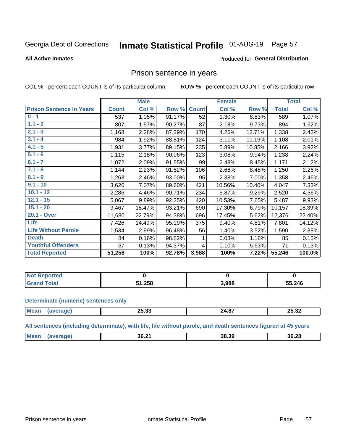#### **Inmate Statistical Profile 01-AUG-19** Page 57

#### **All Active Inmates**

### **Produced for General Distribution**

### Prison sentence in years

COL % - percent each COUNT is of its particular column

ROW % - percent each COUNT is of its particular row

|                                 |              | <b>Male</b> |        |              | <b>Female</b> |        |              | <b>Total</b> |
|---------------------------------|--------------|-------------|--------|--------------|---------------|--------|--------------|--------------|
| <b>Prison Sentence In Years</b> | <b>Count</b> | Col %       | Row %  | <b>Count</b> | Col %         | Row %  | <b>Total</b> | Col %        |
| $0 - 1$                         | 537          | 1.05%       | 91.17% | 52           | 1.30%         | 8.83%  | 589          | 1.07%        |
| $1.1 - 2$                       | 807          | 1.57%       | 90.27% | 87           | 2.18%         | 9.73%  | 894          | 1.62%        |
| $2.1 - 3$                       | 1,168        | 2.28%       | 87.29% | 170          | 4.26%         | 12.71% | 1,338        | 2.42%        |
| $3.1 - 4$                       | 984          | 1.92%       | 88.81% | 124          | 3.11%         | 11.19% | 1,108        | 2.01%        |
| $4.1 - 5$                       | 1,931        | 3.77%       | 89.15% | 235          | 5.89%         | 10.85% | 2,166        | 3.92%        |
| $5.1 - 6$                       | 1,115        | 2.18%       | 90.06% | 123          | 3.08%         | 9.94%  | 1,238        | 2.24%        |
| $6.1 - 7$                       | 1,072        | 2.09%       | 91.55% | 99           | 2.48%         | 8.45%  | 1,171        | 2.12%        |
| $7.1 - 8$                       | 1,144        | 2.23%       | 91.52% | 106          | 2.66%         | 8.48%  | 1,250        | 2.26%        |
| $8.1 - 9$                       | 1,263        | 2.46%       | 93.00% | 95           | 2.38%         | 7.00%  | 1,358        | 2.46%        |
| $9.1 - 10$                      | 3,626        | 7.07%       | 89.60% | 421          | 10.56%        | 10.40% | 4,047        | 7.33%        |
| $10.1 - 12$                     | 2,286        | 4.46%       | 90.71% | 234          | 5.87%         | 9.29%  | 2,520        | 4.56%        |
| $12.1 - 15$                     | 5,067        | 9.89%       | 92.35% | 420          | 10.53%        | 7.65%  | 5,487        | 9.93%        |
| $15.1 - 20$                     | 9,467        | 18.47%      | 93.21% | 690          | 17.30%        | 6.79%  | 10,157       | 18.39%       |
| 20.1 - Over                     | 11,680       | 22.79%      | 94.38% | 696          | 17.45%        | 5.62%  | 12,376       | 22.40%       |
| <b>Life</b>                     | 7,426        | 14.49%      | 95.19% | 375          | 9.40%         | 4.81%  | 7,801        | 14.12%       |
| <b>Life Without Parole</b>      | 1,534        | 2.99%       | 96.48% | 56           | 1.40%         | 3.52%  | 1,590        | 2.88%        |
| <b>Death</b>                    | 84           | 0.16%       | 98.82% |              | 0.03%         | 1.18%  | 85           | 0.15%        |
| <b>Youthful Offenders</b>       | 67           | 0.13%       | 94.37% | 4            | 0.10%         | 5.63%  | 71           | 0.13%        |
| <b>Total Reported</b>           | 51,258       | 100%        | 92.78% | 3,988        | 100%          | 7.22%  | 55,246       | 100.0%       |

| <b>Not Reported</b> |        |       |        |
|---------------------|--------|-------|--------|
| 'otal<br>CT2        | 51,258 | 3,988 | 55,246 |

#### **Determinate (numeric) sentences only**

| <b>Mean</b> | or 00<br>_ാ.ാാ | $\sim$ $\sim$ $\sim$<br>24.OI | 25.32<br>20.JZ |
|-------------|----------------|-------------------------------|----------------|
|             |                |                               |                |

All sentences (including determinate), with life, life without parole, and death sentences figured at 45 years

| <b>Me</b> | 36.2 <sup>4</sup><br>___ | 38.39 | 36.28 |
|-----------|--------------------------|-------|-------|
|           |                          |       |       |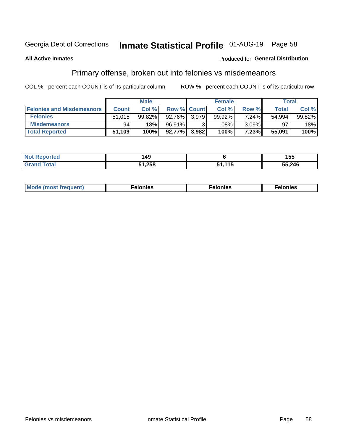# Inmate Statistical Profile 01-AUG-19 Page 58

#### **All Active Inmates**

#### Produced for General Distribution

### Primary offense, broken out into felonies vs misdemeanors

COL % - percent each COUNT is of its particular column

|                                  |              | <b>Male</b> |                    |       | <b>Female</b> |          | Total  |        |
|----------------------------------|--------------|-------------|--------------------|-------|---------------|----------|--------|--------|
| <b>Felonies and Misdemeanors</b> | <b>Count</b> | Col %       | <b>Row % Count</b> |       | Col %         | Row %    | Total  | Col %  |
| <b>Felonies</b>                  | 51,015       | 99.82%      | 92.76%             | 3.979 | 99.92%        | 7.24%    | 54,994 | 99.82% |
| <b>Misdemeanors</b>              | 94           | 18%         | 96.91%             |       | .08%          | $3.09\%$ | 97     | 18%    |
| <b>Total Reported</b>            | 51,109       | 100%        | $92.77\%$          | 3,982 | 100%          | 7.23%    | 55,091 | 100%   |

| <b>Not Reported</b>   | 149    |                | 155    |
|-----------------------|--------|----------------|--------|
| Total<br><b>Grand</b> | 51,258 | . <i>A A F</i> | 55,246 |

| Mod<br>freauent)<br>''''' | onies | nies | elonies |
|---------------------------|-------|------|---------|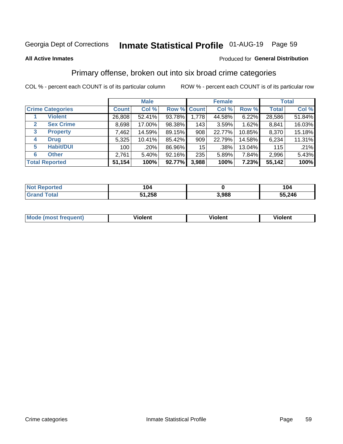# Inmate Statistical Profile 01-AUG-19 Page 59

#### **All Active Inmates**

### **Produced for General Distribution**

### Primary offense, broken out into six broad crime categories

COL % - percent each COUNT is of its particular column

|                                  |              | <b>Male</b> |        |             | <b>Female</b> |          |              | <b>Total</b> |  |
|----------------------------------|--------------|-------------|--------|-------------|---------------|----------|--------------|--------------|--|
| <b>Crime Categories</b>          | <b>Count</b> | Col %       |        | Row % Count | Col %         | Row %    | <b>Total</b> | Col %        |  |
| <b>Violent</b>                   | 26,808       | 52.41%      | 93.78% | 1,778       | 44.58%        | $6.22\%$ | 28,586       | 51.84%       |  |
| <b>Sex Crime</b><br>$\mathbf{2}$ | 8,698        | 17.00%      | 98.38% | 143         | 3.59%         | $1.62\%$ | 8,841        | 16.03%       |  |
| 3<br><b>Property</b>             | 7,462        | 14.59%      | 89.15% | 908         | 22.77%        | 10.85%   | 8,370        | 15.18%       |  |
| <b>Drug</b><br>4                 | 5,325        | 10.41%      | 85.42% | 909         | 22.79%        | 14.58%   | 6,234        | 11.31%       |  |
| <b>Habit/DUI</b><br>5            | 100          | .20%        | 86.96% | 15          | $.38\%$       | 13.04%   | 115          | .21%         |  |
| <b>Other</b><br>6                | 2,761        | 5.40%       | 92.16% | 235         | 5.89%         | 7.84%    | 2,996        | 5.43%        |  |
| <b>Total Reported</b>            | 51,154       | 100%        | 92.77% | 3,988       | 100%          | 7.23%    | 55,142       | 100%         |  |

| <b>Not</b><br><b>Reported</b> | 104          |       | 104    |
|-------------------------------|--------------|-------|--------|
| <b><sup>r</sup>otal</b>       | 51,258<br>51 | 3,988 | 55,246 |

| M | - --<br>100011 | .<br><b>VIOIGIIL</b> | 1.91311 |
|---|----------------|----------------------|---------|
|   |                |                      |         |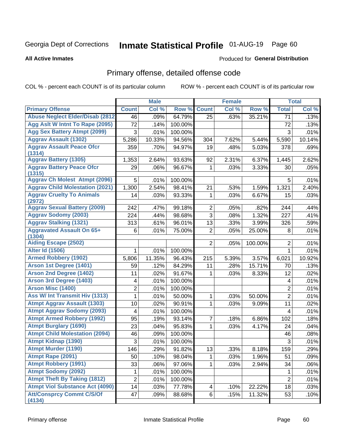# Inmate Statistical Profile 01-AUG-19 Page 60

**Produced for General Distribution** 

#### **All Active Inmates**

## Primary offense, detailed offense code

COL % - percent each COUNT is of its particular column

|                                               |                 | <b>Male</b> |         |                | <b>Female</b> |         |                         | <b>Total</b> |
|-----------------------------------------------|-----------------|-------------|---------|----------------|---------------|---------|-------------------------|--------------|
| <b>Primary Offense</b>                        | <b>Count</b>    | Col %       | Row %   | <b>Count</b>   | Col %         | Row %   | <b>Total</b>            | Col %        |
| <b>Abuse Neglect Elder/Disab (2812)</b>       | 46              | .09%        | 64.79%  | 25             | .63%          | 35.21%  | 71                      | .13%         |
| Agg Aslt W Intnt To Rape (2095)               | $\overline{72}$ | .14%        | 100.00% |                |               |         | 72                      | .13%         |
| <b>Agg Sex Battery Atmpt (2099)</b>           | 3               | .01%        | 100.00% |                |               |         | 3                       | .01%         |
| <b>Aggrav Assault (1302)</b>                  | 5,286           | 10.33%      | 94.56%  | 304            | 7.62%         | 5.44%   | 5,590                   | 10.14%       |
| <b>Aggrav Assault Peace Ofcr</b><br>(1314)    | 359             | .70%        | 94.97%  | 19             | .48%          | 5.03%   | 378                     | .69%         |
| <b>Aggrav Battery (1305)</b>                  | 1,353           | 2.64%       | 93.63%  | 92             | 2.31%         | 6.37%   | 1,445                   | 2.62%        |
| <b>Aggrav Battery Peace Ofcr</b><br>(1315)    | 29              | .06%        | 96.67%  | 1              | .03%          | 3.33%   | 30                      | .05%         |
| <b>Aggrav Ch Molest Atmpt (2096)</b>          | 5               | .01%        | 100.00% |                |               |         | 5                       | .01%         |
| <b>Aggrav Child Molestation (2021)</b>        | 1,300           | 2.54%       | 98.41%  | 21             | .53%          | 1.59%   | 1,321                   | 2.40%        |
| <b>Aggrav Cruelty To Animals</b>              | 14              | .03%        | 93.33%  | 1              | .03%          | 6.67%   | 15                      | .03%         |
| (2972)<br><b>Aggrav Sexual Battery (2009)</b> | 242             | .47%        | 99.18%  | $\overline{2}$ | .05%          | .82%    | 244                     | .44%         |
| <b>Aggrav Sodomy (2003)</b>                   | 224             | .44%        | 98.68%  | 3              | .08%          | 1.32%   | 227                     | .41%         |
| <b>Aggrav Stalking (1321)</b>                 | 313             | .61%        | 96.01%  | 13             | .33%          | 3.99%   | 326                     | .59%         |
| <b>Aggravated Assault On 65+</b>              | 6               | .01%        | 75.00%  | $\overline{2}$ | .05%          | 25.00%  | 8                       | .01%         |
| (1304)                                        |                 |             |         |                |               |         |                         |              |
| <b>Aiding Escape (2502)</b>                   |                 |             |         | $\overline{2}$ | .05%          | 100.00% | $\overline{2}$          | .01%         |
| <b>Alter Id (1506)</b>                        | 1               | .01%        | 100.00% |                |               |         | 1                       | .01%         |
| <b>Armed Robbery (1902)</b>                   | 5,806           | 11.35%      | 96.43%  | 215            | 5.39%         | 3.57%   | 6,021                   | 10.92%       |
| Arson 1st Degree (1401)                       | 59              | .12%        | 84.29%  | 11             | .28%          | 15.71%  | 70                      | .13%         |
| <b>Arson 2nd Degree (1402)</b>                | 11              | .02%        | 91.67%  | 1              | .03%          | 8.33%   | 12                      | .02%         |
| <b>Arson 3rd Degree (1403)</b>                | 4               | .01%        | 100.00% |                |               |         | $\overline{\mathbf{4}}$ | .01%         |
| <b>Arson Misc (1400)</b>                      | $\overline{2}$  | .01%        | 100.00% |                |               |         | $\mathbf 2$             | .01%         |
| <b>Ass W/ Int Transmit Hiv (1313)</b>         | 1               | .01%        | 50.00%  | 1              | .03%          | 50.00%  | $\overline{2}$          | .01%         |
| <b>Atmpt Aggrav Assault (1303)</b>            | 10              | .02%        | 90.91%  | 1              | .03%          | 9.09%   | 11                      | .02%         |
| <b>Atmpt Aggrav Sodomy (2093)</b>             | 4               | .01%        | 100.00% |                |               |         | $\overline{\mathbf{4}}$ | .01%         |
| <b>Atmpt Armed Robbery (1992)</b>             | 95              | .19%        | 93.14%  | 7              | .18%          | 6.86%   | 102                     | .18%         |
| <b>Atmpt Burglary (1690)</b>                  | 23              | .04%        | 95.83%  | 1              | .03%          | 4.17%   | 24                      | .04%         |
| <b>Atmpt Child Molestation (2094)</b>         | 46              | .09%        | 100.00% |                |               |         | 46                      | .08%         |
| <b>Atmpt Kidnap (1390)</b>                    | $\mathbf{3}$    | .01%        | 100.00% |                |               |         | 3                       | .01%         |
| <b>Atmpt Murder (1190)</b>                    | 146             | .29%        | 91.82%  | 13             | .33%          | 8.18%   | 159                     | .29%         |
| Atmpt Rape (2091)                             | 50              | .10%        | 98.04%  | 1              | .03%          | 1.96%   | 51                      | .09%         |
| <b>Atmpt Robbery (1991)</b>                   | 33              | .06%        | 97.06%  | 1.             | .03%          | 2.94%   | 34                      | .06%         |
| <b>Atmpt Sodomy (2092)</b>                    | 1               | .01%        | 100.00% |                |               |         | $\mathbf{1}$            | .01%         |
| <b>Atmpt Theft By Taking (1812)</b>           | $\overline{c}$  | .01%        | 100.00% |                |               |         | $\overline{2}$          | .01%         |
| <b>Atmpt Viol Substance Act (4090)</b>        | 14              | .03%        | 77.78%  | 4              | .10%          | 22.22%  | 18                      | .03%         |
| <b>Att/Consprcy Commt C/S/Of</b><br>(4134)    | 47              | .09%        | 88.68%  | 6              | .15%          | 11.32%  | 53                      | .10%         |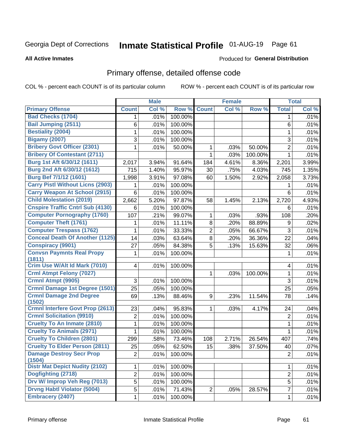# Inmate Statistical Profile 01-AUG-19 Page 61

#### **All Active Inmates**

#### Produced for General Distribution

## Primary offense, detailed offense code

COL % - percent each COUNT is of its particular column

|                                            |                | <b>Male</b> |         |                | <b>Female</b> |         |                | <b>Total</b> |
|--------------------------------------------|----------------|-------------|---------|----------------|---------------|---------|----------------|--------------|
| <b>Primary Offense</b>                     | <b>Count</b>   | Col %       | Row %   | <b>Count</b>   | Col %         | Row %   | <b>Total</b>   | Col %        |
| <b>Bad Checks (1704)</b>                   | 1.             | .01%        | 100.00% |                |               |         | 1              | .01%         |
| <b>Bail Jumping (2511)</b>                 | 6              | .01%        | 100.00% |                |               |         | 6              | .01%         |
| <b>Bestiality (2004)</b>                   | 1              | .01%        | 100.00% |                |               |         | 1              | .01%         |
| <b>Bigamy (2007)</b>                       | 3              | .01%        | 100.00% |                |               |         | 3              | .01%         |
| <b>Bribery Govt Officer (2301)</b>         | 1              | .01%        | 50.00%  | 1              | .03%          | 50.00%  | $\overline{2}$ | .01%         |
| <b>Bribery Of Contestant (2711)</b>        |                |             |         | 1              | .03%          | 100.00% | 1              | .01%         |
| Burg 1st Aft 6/30/12 (1611)                | 2,017          | 3.94%       | 91.64%  | 184            | 4.61%         | 8.36%   | 2,201          | 3.99%        |
| Burg 2nd Aft 6/30/12 (1612)                | 715            | 1.40%       | 95.97%  | 30             | .75%          | 4.03%   | 745            | 1.35%        |
| Burg Bef 7/1/12 (1601)                     | 1,998          | 3.91%       | 97.08%  | 60             | 1.50%         | 2.92%   | 2,058          | 3.73%        |
| <b>Carry Pistl Without Licns (2903)</b>    | 1              | .01%        | 100.00% |                |               |         |                | .01%         |
| <b>Carry Weapon At School (2915)</b>       | 6              | .01%        | 100.00% |                |               |         | 6              | .01%         |
| <b>Child Molestation (2019)</b>            | 2,662          | 5.20%       | 97.87%  | 58             | 1.45%         | 2.13%   | 2,720          | 4.93%        |
| <b>Cnspire Traffic Cntrl Sub (4130)</b>    | 6              | .01%        | 100.00% |                |               |         | 6              | .01%         |
| <b>Computer Pornography (1760)</b>         | 107            | .21%        | 99.07%  | 1              | .03%          | .93%    | 108            | .20%         |
| <b>Computer Theft (1761)</b>               | 1              | .01%        | 11.11%  | 8              | .20%          | 88.89%  | 9              | .02%         |
| <b>Computer Trespass (1762)</b>            | 1              | .01%        | 33.33%  | $\overline{2}$ | .05%          | 66.67%  | 3              | .01%         |
| <b>Conceal Death Of Another (1125)</b>     | 14             | .03%        | 63.64%  | 8              | .20%          | 36.36%  | 22             | .04%         |
| <b>Conspiracy (9901)</b>                   | 27             | .05%        | 84.38%  | 5              | .13%          | 15.63%  | 32             | .06%         |
| <b>Convsn Paymnts Real Propy</b><br>(1811) | 1              | .01%        | 100.00% |                |               |         | 1              | .01%         |
| Crim Use W/Alt Id Mark (7010)              | 4              | .01%        | 100.00% |                |               |         | 4              | .01%         |
| <b>Crml Atmpt Felony (7027)</b>            |                |             |         | 1              | .03%          | 100.00% | 1              | .01%         |
| <b>Crmnl Atmpt (9905)</b>                  | 3              | .01%        | 100.00% |                |               |         | 3              | .01%         |
| Crmnl Damage 1st Degree (1501)             | 25             | .05%        | 100.00% |                |               |         | 25             | .05%         |
| <b>Crmnl Damage 2nd Degree</b><br>(1502)   | 69             | .13%        | 88.46%  | 9              | .23%          | 11.54%  | 78             | .14%         |
| <b>Crmnl Interfere Govt Prop (2613)</b>    | 23             | .04%        | 95.83%  | 1              | .03%          | 4.17%   | 24             | .04%         |
| <b>Crmnl Solicitation (9910)</b>           | $\overline{2}$ | .01%        | 100.00% |                |               |         | $\overline{2}$ | .01%         |
| <b>Cruelty To An Inmate (2810)</b>         | 1              | .01%        | 100.00% |                |               |         | 1              | .01%         |
| <b>Cruelty To Animals (2971)</b>           | 1              | .01%        | 100.00% |                |               |         | 1              | .01%         |
| <b>Cruelty To Children (2801)</b>          | 299            | .58%        | 73.46%  | 108            | 2.71%         | 26.54%  | 407            | .74%         |
| <b>Cruelty To Elder Person (2811)</b>      | 25             | .05%        | 62.50%  | 15             | .38%          | 37.50%  | 40             | .07%         |
| <b>Damage Destroy Secr Prop</b><br>(1504)  | $\overline{2}$ | .01%        | 100.00% |                |               |         | $\overline{2}$ | .01%         |
| <b>Distr Mat Depict Nudity (2102)</b>      | $\mathbf{1}$   | .01%        | 100.00% |                |               |         | $\mathbf 1$    | .01%         |
| Dogfighting (2718)                         | $\overline{2}$ | .01%        | 100.00% |                |               |         | $\overline{2}$ | .01%         |
| Drv W/ Improp Veh Reg (7013)               | 5              | .01%        | 100.00% |                |               |         | 5              | .01%         |
| <b>Drvng Habtl Violator (5004)</b>         | $\overline{5}$ | .01%        | 71.43%  | $\overline{2}$ | .05%          | 28.57%  | $\overline{7}$ | .01%         |
| <b>Embracery (2407)</b>                    | $\mathbf 1$    | .01%        | 100.00% |                |               |         | 1              | .01%         |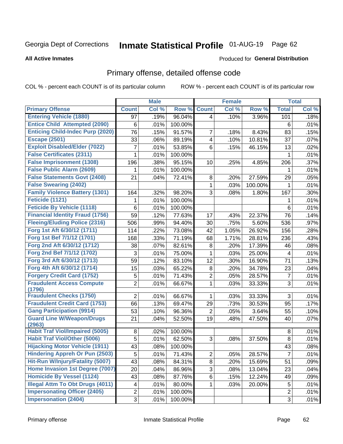# Inmate Statistical Profile 01-AUG-19 Page 62

#### **All Active Inmates**

#### Produced for General Distribution

## Primary offense, detailed offense code

COL % - percent each COUNT is of its particular column

|                                            |                | <b>Male</b> |         |                         | <b>Female</b> |         |                | <b>Total</b> |
|--------------------------------------------|----------------|-------------|---------|-------------------------|---------------|---------|----------------|--------------|
| <b>Primary Offense</b>                     | <b>Count</b>   | Col %       | Row %   | <b>Count</b>            | Col %         | Row %   | <b>Total</b>   | Col %        |
| <b>Entering Vehicle (1880)</b>             | 97             | .19%        | 96.04%  | 4                       | .10%          | 3.96%   | 101            | .18%         |
| <b>Entice Child Attempted (2090)</b>       | 6              | .01%        | 100.00% |                         |               |         | 6              | .01%         |
| <b>Enticing Child-Indec Purp (2020)</b>    | 76             | .15%        | 91.57%  | 7                       | .18%          | 8.43%   | 83             | .15%         |
| <b>Escape (2501)</b>                       | 33             | .06%        | 89.19%  | $\overline{\mathbf{4}}$ | .10%          | 10.81%  | 37             | .07%         |
| <b>Exploit Disabled/Elder (7022)</b>       | 7              | .01%        | 53.85%  | 6                       | .15%          | 46.15%  | 13             | .02%         |
| <b>False Certificates (2311)</b>           | 1              | .01%        | 100.00% |                         |               |         | 1              | .01%         |
| <b>False Imprisonment (1308)</b>           | 196            | .38%        | 95.15%  | 10                      | .25%          | 4.85%   | 206            | .37%         |
| <b>False Public Alarm (2609)</b>           | 1              | .01%        | 100.00% |                         |               |         | 1              | .01%         |
| <b>False Statements Govt (2408)</b>        | 21             | .04%        | 72.41%  | 8                       | .20%          | 27.59%  | 29             | .05%         |
| <b>False Swearing (2402)</b>               |                |             |         | 1                       | .03%          | 100.00% | 1              | .01%         |
| <b>Family Violence Battery (1301)</b>      | 164            | .32%        | 98.20%  | 3                       | .08%          | 1.80%   | 167            | .30%         |
| Feticide (1121)                            | 1              | .01%        | 100.00% |                         |               |         | 1              | .01%         |
| <b>Feticide By Vehicle (1118)</b>          | 6              | .01%        | 100.00% |                         |               |         | 6              | .01%         |
| <b>Financial Identity Fraud (1756)</b>     | 59             | .12%        | 77.63%  | 17                      | .43%          | 22.37%  | 76             | .14%         |
| <b>Fleeing/Eluding Police (2316)</b>       | 506            | .99%        | 94.40%  | 30                      | .75%          | 5.60%   | 536            | .97%         |
| Forg 1st Aft 6/30/12 (1711)                | 114            | .22%        | 73.08%  | 42                      | 1.05%         | 26.92%  | 156            | .28%         |
| Forg 1st Bef 7/1/12 (1701)                 | 168            | .33%        | 71.19%  | 68                      | 1.71%         | 28.81%  | 236            | .43%         |
| Forg 2nd Aft 6/30/12 (1712)                | 38             | .07%        | 82.61%  | 8                       | .20%          | 17.39%  | 46             | .08%         |
| Forg 2nd Bef 7/1/12 (1702)                 | 3              | .01%        | 75.00%  | 1                       | .03%          | 25.00%  | 4              | .01%         |
| Forg 3rd Aft 6/30/12 (1713)                | 59             | .12%        | 83.10%  | 12                      | .30%          | 16.90%  | 71             | .13%         |
| Forg 4th Aft 6/30/12 (1714)                | 15             | .03%        | 65.22%  | 8                       | .20%          | 34.78%  | 23             | .04%         |
| <b>Forgery Credit Card (1752)</b>          | 5              | .01%        | 71.43%  | $\overline{2}$          | .05%          | 28.57%  | $\overline{7}$ | .01%         |
| <b>Fraudulent Access Compute</b><br>(1796) | $\overline{2}$ | .01%        | 66.67%  | $\mathbf{1}$            | .03%          | 33.33%  | 3              | .01%         |
| <b>Fraudulent Checks (1750)</b>            | $\overline{2}$ | .01%        | 66.67%  | 1                       | .03%          | 33.33%  | 3              | .01%         |
| <b>Fraudulent Credit Card (1753)</b>       | 66             | .13%        | 69.47%  | 29                      | .73%          | 30.53%  | 95             | .17%         |
| <b>Gang Participation (9914)</b>           | 53             | .10%        | 96.36%  | $\overline{2}$          | .05%          | 3.64%   | 55             | .10%         |
| <b>Guard Line W/Weapon/Drugs</b>           | 21             | .04%        | 52.50%  | 19                      | .48%          | 47.50%  | 40             | .07%         |
| (2963)                                     |                |             |         |                         |               |         |                |              |
| <b>Habit Traf Viol/Impaired (5005)</b>     | 8              | .02%        | 100.00% |                         |               |         | 8              | .01%         |
| <b>Habit Traf Viol/Other (5006)</b>        | 5              | .01%        | 62.50%  | 3                       | .08%          | 37.50%  | 8              | .01%         |
| <b>Hijacking Motor Vehicle (1911)</b>      | 43             | .08%        | 100.00% |                         |               |         | 43             | .08%         |
| <b>Hindering Appreh Or Pun (2503)</b>      | 5              | .01%        | 71.43%  | $\overline{2}$          | .05%          | 28.57%  | $\overline{7}$ | .01%         |
| Hit-Run W/Injury/Fatality (5007)           | 43             | .08%        | 84.31%  | 8                       | .20%          | 15.69%  | 51             | .09%         |
| Home Invasion 1st Degree (7007)            | 20             | .04%        | 86.96%  | 3                       | .08%          | 13.04%  | 23             | .04%         |
| <b>Homicide By Vessel (1124)</b>           | 43             | .08%        | 87.76%  | 6                       | .15%          | 12.24%  | 49             | .09%         |
| <b>Illegal Attm To Obt Drugs (4011)</b>    | 4              | .01%        | 80.00%  | 1.                      | .03%          | 20.00%  | 5              | .01%         |
| <b>Impersonating Officer (2405)</b>        | $\overline{2}$ | .01%        | 100.00% |                         |               |         | $\overline{2}$ | .01%         |
| <b>Impersonation (2404)</b>                | 3              | .01%        | 100.00% |                         |               |         | 3              | .01%         |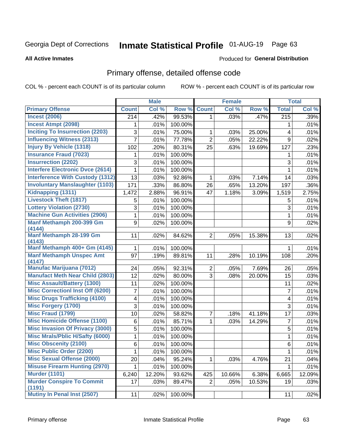# Inmate Statistical Profile 01-AUG-19 Page 63

#### **All Active Inmates**

### **Produced for General Distribution**

## Primary offense, detailed offense code

COL % - percent each COUNT is of its particular column

|                                            |              | <b>Male</b> |         |                | <b>Female</b> |        |                  | <b>Total</b> |
|--------------------------------------------|--------------|-------------|---------|----------------|---------------|--------|------------------|--------------|
| <b>Primary Offense</b>                     | <b>Count</b> | Col %       | Row %   | <b>Count</b>   | Col %         | Row %  | <b>Total</b>     | Col %        |
| <b>Incest (2006)</b>                       | 214          | .42%        | 99.53%  | $\mathbf 1$    | .03%          | .47%   | $\overline{215}$ | .39%         |
| <b>Incest Atmpt (2098)</b>                 | 1            | .01%        | 100.00% |                |               |        | 1                | .01%         |
| <b>Inciting To Insurrection (2203)</b>     | 3            | .01%        | 75.00%  | 1              | .03%          | 25.00% | 4                | .01%         |
| <b>Influencing Witness (2313)</b>          | 7            | .01%        | 77.78%  | $\overline{2}$ | .05%          | 22.22% | 9                | .02%         |
| <b>Injury By Vehicle (1318)</b>            | 102          | .20%        | 80.31%  | 25             | .63%          | 19.69% | 127              | .23%         |
| <b>Insurance Fraud (7023)</b>              | 1            | .01%        | 100.00% |                |               |        | 1                | .01%         |
| <b>Insurrection (2202)</b>                 | 3            | .01%        | 100.00% |                |               |        | 3                | .01%         |
| <b>Interfere Electronic Dvce (2614)</b>    | 1            | .01%        | 100.00% |                |               |        | 1                | .01%         |
| <b>Interference With Custody (1312)</b>    | 13           | .03%        | 92.86%  | 1              | .03%          | 7.14%  | 14               | .03%         |
| <b>Involuntary Manslaughter (1103)</b>     | 171          | .33%        | 86.80%  | 26             | .65%          | 13.20% | 197              | .36%         |
| Kidnapping (1311)                          | 1,472        | 2.88%       | 96.91%  | 47             | 1.18%         | 3.09%  | 1,519            | 2.75%        |
| <b>Livestock Theft (1817)</b>              | 5            | .01%        | 100.00% |                |               |        | 5                | .01%         |
| <b>Lottery Violation (2730)</b>            | 3            | .01%        | 100.00% |                |               |        | 3                | .01%         |
| <b>Machine Gun Activities (2906)</b>       | 1            | .01%        | 100.00% |                |               |        | $\mathbf{1}$     | .01%         |
| Manf Methamph 200-399 Gm                   | 9            | .02%        | 100.00% |                |               |        | 9                | .02%         |
| (4144)                                     |              |             |         |                |               |        |                  |              |
| <b>Manf Methamph 28-199 Gm</b><br>(4143)   | 11           | .02%        | 84.62%  | $\overline{2}$ | .05%          | 15.38% | 13               | .02%         |
| Manf Methamph 400+ Gm (4145)               | 1            | .01%        | 100.00% |                |               |        | 1                | .01%         |
| <b>Manf Methamph Unspec Amt</b>            | 97           | .19%        | 89.81%  | 11             | .28%          | 10.19% | 108              | .20%         |
| (4147)                                     |              |             |         |                |               |        |                  |              |
| <b>Manufac Marijuana (7012)</b>            | 24           | .05%        | 92.31%  | $\overline{2}$ | .05%          | 7.69%  | 26               | .05%         |
| <b>Manufact Meth Near Child (2803)</b>     | 12           | .02%        | 80.00%  | 3              | .08%          | 20.00% | 15               | .03%         |
| <b>Misc Assault/Battery (1300)</b>         | 11           | .02%        | 100.00% |                |               |        | 11               | .02%         |
| <b>Misc Correctionl Inst Off (6200)</b>    | 7            | .01%        | 100.00% |                |               |        | $\overline{7}$   | .01%         |
| <b>Misc Drugs Trafficking (4100)</b>       | 4            | .01%        | 100.00% |                |               |        | 4                | .01%         |
| <b>Misc Forgery (1700)</b>                 | 3            | .01%        | 100.00% |                |               |        | 3                | .01%         |
| <b>Misc Fraud (1799)</b>                   | 10           | .02%        | 58.82%  | 7              | .18%          | 41.18% | 17               | .03%         |
| <b>Misc Homicide Offense (1100)</b>        | 6            | .01%        | 85.71%  | 1              | .03%          | 14.29% | $\overline{7}$   | .01%         |
| <b>Misc Invasion Of Privacy (3000)</b>     | 5            | .01%        | 100.00% |                |               |        | 5                | .01%         |
| <b>Misc Mrals/Pblic H/Safty (6000)</b>     | 1            | .01%        | 100.00% |                |               |        | 1                | .01%         |
| <b>Misc Obscenity (2100)</b>               | 6            | .01%        | 100.00% |                |               |        | 6                | .01%         |
| <b>Misc Public Order (2200)</b>            | $\mathbf{1}$ | .01%        | 100.00% |                |               |        | 1                | .01%         |
| <b>Misc Sexual Offense (2000)</b>          | 20           | .04%        | 95.24%  | 1              | .03%          | 4.76%  | 21               | .04%         |
| <b>Misuse Firearm Hunting (2970)</b>       | 1            | .01%        | 100.00% |                |               |        | 1.               | .01%         |
| <b>Murder (1101)</b>                       | 6,240        | 12.20%      | 93.62%  | 425            | 10.66%        | 6.38%  | 6,665            | 12.09%       |
| <b>Murder Conspire To Commit</b><br>(1191) | 17           | .03%        | 89.47%  | $\overline{2}$ | .05%          | 10.53% | 19               | .03%         |
| Mutiny In Penal Inst (2507)                | 11           | .02%        | 100.00% |                |               |        | 11               | .02%         |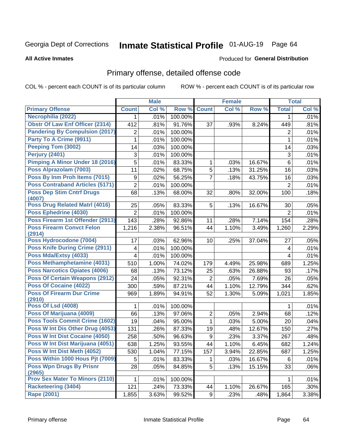**All Active Inmates** 

# Inmate Statistical Profile 01-AUG-19 Page 64

#### Produced for General Distribution

## Primary offense, detailed offense code

COL % - percent each COUNT is of its particular column

|                                            |                  | <b>Male</b> |         |                | <b>Female</b> |        |                | <b>Total</b> |
|--------------------------------------------|------------------|-------------|---------|----------------|---------------|--------|----------------|--------------|
| <b>Primary Offense</b>                     | <b>Count</b>     | Col %       | Row %   | <b>Count</b>   | Col %         | Row %  | <b>Total</b>   | Col %        |
| Necrophilia (2022)                         | $\mathbf 1$      | .01%        | 100.00% |                |               |        | 1              | .01%         |
| <b>Obstr Of Law Enf Officer (2314)</b>     | 412              | .81%        | 91.76%  | 37             | .93%          | 8.24%  | 449            | .81%         |
| <b>Pandering By Compulsion (2017)</b>      | $\boldsymbol{2}$ | .01%        | 100.00% |                |               |        | 2              | .01%         |
| Party To A Crime (9911)                    | 1                | .01%        | 100.00% |                |               |        | 1              | .01%         |
| Peeping Tom (3002)                         | 14               | .03%        | 100.00% |                |               |        | 14             | .03%         |
| Perjury (2401)                             | 3                | .01%        | 100.00% |                |               |        | 3              | .01%         |
| <b>Pimping A Minor Under 18 (2016)</b>     | 5                | .01%        | 83.33%  | 1              | .03%          | 16.67% | 6              | .01%         |
| Poss Alprazolam (7003)                     | 11               | .02%        | 68.75%  | 5              | .13%          | 31.25% | 16             | .03%         |
| Poss By Inm Proh Items (7015)              | $\boldsymbol{9}$ | .02%        | 56.25%  | $\overline{7}$ | .18%          | 43.75% | 16             | .03%         |
| <b>Poss Contraband Articles (5171)</b>     | $\overline{2}$   | .01%        | 100.00% |                |               |        | $\overline{2}$ | .01%         |
| <b>Poss Dep Stim Cntrf Drugs</b><br>(4007) | 68               | .13%        | 68.00%  | 32             | .80%          | 32.00% | 100            | .18%         |
| <b>Poss Drug Related Matri (4016)</b>      | 25               | .05%        | 83.33%  | 5              | .13%          | 16.67% | 30             | .05%         |
| Poss Ephedrine (4030)                      | $\overline{2}$   | .01%        | 100.00% |                |               |        | 2              | .01%         |
| Poss Firearm 1st Offender (2913)           | 143              | .28%        | 92.86%  | 11             | .28%          | 7.14%  | 154            | .28%         |
| <b>Poss Firearm Convct Felon</b><br>(2914) | 1,216            | 2.38%       | 96.51%  | 44             | 1.10%         | 3.49%  | 1,260          | 2.29%        |
| Poss Hydrocodone (7004)                    | 17               | .03%        | 62.96%  | 10             | .25%          | 37.04% | 27             | .05%         |
| <b>Poss Knife During Crime (2911)</b>      | 4                | .01%        | 100.00% |                |               |        | 4              | .01%         |
| Poss Mda/Extsy (4033)                      | 4                | .01%        | 100.00% |                |               |        | 4              | .01%         |
| Poss Methamphetamine (4031)                | 510              | 1.00%       | 74.02%  | 179            | 4.49%         | 25.98% | 689            | 1.25%        |
| <b>Poss Narcotics Opiates (4006)</b>       | 68               | .13%        | 73.12%  | 25             | .63%          | 26.88% | 93             | .17%         |
| <b>Poss Of Certain Weapons (2912)</b>      | 24               | .05%        | 92.31%  | 2              | .05%          | 7.69%  | 26             | .05%         |
| <b>Poss Of Cocaine (4022)</b>              | 300              | .59%        | 87.21%  | 44             | 1.10%         | 12.79% | 344            | .62%         |
| <b>Poss Of Firearm Dur Crime</b><br>(2910) | 969              | 1.89%       | 94.91%  | 52             | 1.30%         | 5.09%  | 1,021          | 1.85%        |
| <b>Poss Of Lsd (4008)</b>                  | 1                | .01%        | 100.00% |                |               |        | 1              | .01%         |
| Poss Of Marijuana (4009)                   | 66               | .13%        | 97.06%  | $\mathbf 2$    | .05%          | 2.94%  | 68             | .12%         |
| <b>Poss Tools Commit Crime (1602)</b>      | 19               | .04%        | 95.00%  | $\mathbf{1}$   | .03%          | 5.00%  | 20             | .04%         |
| Poss W Int Dis Other Drug (4053)           | 131              | .26%        | 87.33%  | 19             | .48%          | 12.67% | 150            | .27%         |
| <b>Poss W Int Dist Cocaine (4050)</b>      | 258              | .50%        | 96.63%  | 9              | .23%          | 3.37%  | 267            | .48%         |
| Poss W Int Dist Marijuana (4051)           | 638              | 1.25%       | 93.55%  | 44             | 1.10%         | 6.45%  | 682            | 1.24%        |
| Poss W Int Dist Meth (4052)                | 530              | 1.04%       | 77.15%  | 157            | 3.94%         | 22.85% | 687            | 1.25%        |
| Poss Within 1000 Hous Pjt (7009)           | 5                | .01%        | 83.33%  |                | .03%          | 16.67% | 6              | .01%         |
| <b>Poss Wpn Drugs By Prisnr</b>            | 28               | .05%        | 84.85%  | 5              | .13%          | 15.15% | 33             | .06%         |
| (2965)                                     |                  |             |         |                |               |        |                |              |
| <b>Prov Sex Mater To Minors (2110)</b>     | 1                | .01%        | 100.00% |                |               |        | 1              | .01%         |
| <b>Racketeering (3404)</b>                 | 121              | .24%        | 73.33%  | 44             | 1.10%         | 26.67% | 165            | .30%         |
| <b>Rape (2001)</b>                         | 1,855            | 3.63%       | 99.52%  | 9              | .23%          | .48%   | 1,864          | 3.38%        |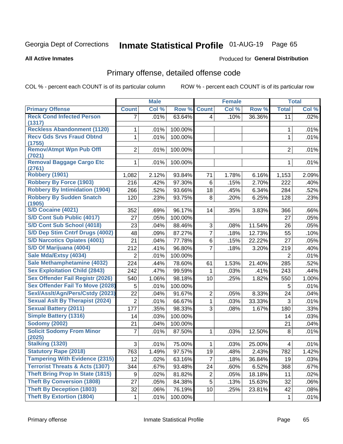# Inmate Statistical Profile 01-AUG-19 Page 65

**All Active Inmates** 

#### Produced for General Distribution

## Primary offense, detailed offense code

COL % - percent each COUNT is of its particular column

|                                            |                | <b>Male</b> |         |                | <b>Female</b> |        |                | <b>Total</b> |
|--------------------------------------------|----------------|-------------|---------|----------------|---------------|--------|----------------|--------------|
| <b>Primary Offense</b>                     | <b>Count</b>   | Col %       | Row %   | <b>Count</b>   | Col %         | Row %  | <b>Total</b>   | Col %        |
| <b>Reck Cond Infected Person</b>           | $\overline{7}$ | .01%        | 63.64%  | $\overline{4}$ | .10%          | 36.36% | 11             | .02%         |
| (1317)                                     |                |             |         |                |               |        |                |              |
| <b>Reckless Abandonment (1120)</b>         | 1              | .01%        | 100.00% |                |               |        | 1              | .01%         |
| <b>Recv Gds Srvs Fraud Obtnd</b><br>(1755) | 1              | .01%        | 100.00% |                |               |        | 1              | .01%         |
| <b>Remov/Atmpt Wpn Pub Offl</b>            | $\overline{2}$ | .01%        | 100.00% |                |               |        | $\overline{2}$ | .01%         |
| (7021)                                     |                |             |         |                |               |        |                |              |
| <b>Removal Baggage Cargo Etc</b>           | 1              | .01%        | 100.00% |                |               |        | 1              | .01%         |
| (2761)                                     |                |             |         |                |               |        |                |              |
| <b>Robbery (1901)</b>                      | 1,082          | 2.12%       | 93.84%  | 71             | 1.78%         | 6.16%  | 1,153          | 2.09%        |
| <b>Robbery By Force (1903)</b>             | 216            | .42%        | 97.30%  | 6              | .15%          | 2.70%  | 222            | .40%         |
| <b>Robbery By Intimidation (1904)</b>      | 266            | .52%        | 93.66%  | 18             | .45%          | 6.34%  | 284            | .52%         |
| <b>Robbery By Sudden Snatch</b><br>(1905)  | 120            | .23%        | 93.75%  | 8              | .20%          | 6.25%  | 128            | .23%         |
| S/D Cocaine (4021)                         | 352            | .69%        | 96.17%  | 14             | .35%          | 3.83%  | 366            | .66%         |
| S/D Cont Sub Public (4017)                 | 27             | .05%        | 100.00% |                |               |        | 27             | .05%         |
| S/D Cont Sub School (4018)                 | 23             | .04%        | 88.46%  | 3              | .08%          | 11.54% | 26             | .05%         |
| S/D Dep Stim Cntrf Drugs (4002)            | 48             | .09%        | 87.27%  | $\overline{7}$ | .18%          | 12.73% | 55             | .10%         |
| <b>S/D Narcotics Opiates (4001)</b>        | 21             | .04%        | 77.78%  | 6              | .15%          | 22.22% | 27             | .05%         |
| S/D Of Marijuana (4004)                    | 212            | .41%        | 96.80%  | $\overline{7}$ | .18%          | 3.20%  | 219            | .40%         |
| Sale Mda/Extsy (4034)                      | $\overline{2}$ | .01%        | 100.00% |                |               |        | $\overline{2}$ | .01%         |
| Sale Methamphetamine (4032)                | 224            | .44%        | 78.60%  | 61             | 1.53%         | 21.40% | 285            | .52%         |
| <b>Sex Exploitation Child (2843)</b>       | 242            | .47%        | 99.59%  | 1              | .03%          | .41%   | 243            | .44%         |
| <b>Sex Offender Fail Registr (2026)</b>    | 540            | 1.06%       | 98.18%  | 10             | .25%          | 1.82%  | 550            | 1.00%        |
| <b>Sex Offender Fail To Move (2028)</b>    | 5              | .01%        | 100.00% |                |               |        | 5              | .01%         |
| Sexl/Asslt/Agn/Pers/Cstdy (2023)           | 22             | .04%        | 91.67%  | $\overline{2}$ | .05%          | 8.33%  | 24             | .04%         |
| <b>Sexual Aslt By Therapist (2024)</b>     | $\overline{2}$ | .01%        | 66.67%  | 1              | .03%          | 33.33% | 3              | .01%         |
| <b>Sexual Battery (2011)</b>               | 177            | .35%        | 98.33%  | 3              | .08%          | 1.67%  | 180            | .33%         |
| <b>Simple Battery (1316)</b>               | 14             | .03%        | 100.00% |                |               |        | 14             | .03%         |
| <b>Sodomy (2002)</b>                       | 21             | .04%        | 100.00% |                |               |        | 21             | .04%         |
| <b>Solicit Sodomy From Minor</b>           | 7              | .01%        | 87.50%  | 1              | .03%          | 12.50% | 8              | .01%         |
| (2025)                                     |                |             |         |                |               |        |                |              |
| Stalking (1320)                            | 3              | .01%        | 75.00%  | 1              | .03%          | 25.00% | 4              | .01%         |
| <b>Statutory Rape (2018)</b>               | 763            | 1.49%       | 97.57%  | 19             | .48%          | 2.43%  | 782            | 1.42%        |
| <b>Tampering With Evidence (2315)</b>      | 12             | .02%        | 63.16%  | 7              | .18%          | 36.84% | 19             | .03%         |
| <b>Terrorist Threats &amp; Acts (1307)</b> | 344            | .67%        | 93.48%  | 24             | .60%          | 6.52%  | 368            | .67%         |
| <b>Theft Bring Prop In State (1815)</b>    | 9              | .02%        | 81.82%  | $\overline{2}$ | .05%          | 18.18% | 11             | .02%         |
| <b>Theft By Conversion (1808)</b>          | 27             | .05%        | 84.38%  | 5              | .13%          | 15.63% | 32             | .06%         |
| <b>Theft By Deception (1803)</b>           | 32             | .06%        | 76.19%  | 10             | .25%          | 23.81% | 42             | .08%         |
| <b>Theft By Extortion (1804)</b>           | 1              | .01%        | 100.00% |                |               |        | 1              | .01%         |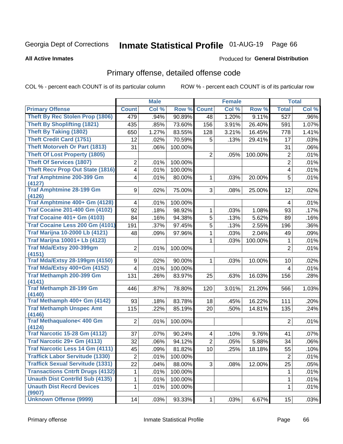# Inmate Statistical Profile 01-AUG-19 Page 66

Produced for General Distribution

#### **All Active Inmates**

## Primary offense, detailed offense code

COL % - percent each COUNT is of its particular column

|                                               |                         | <b>Male</b> |         |                | <b>Female</b> |         |                | <b>Total</b> |
|-----------------------------------------------|-------------------------|-------------|---------|----------------|---------------|---------|----------------|--------------|
| <b>Primary Offense</b>                        | <b>Count</b>            | Col %       | Row %   | <b>Count</b>   | Col %         | Row %   | <b>Total</b>   | Col %        |
| Theft By Rec Stolen Prop (1806)               | 479                     | .94%        | 90.89%  | 48             | 1.20%         | 9.11%   | 527            | .96%         |
| <b>Theft By Shoplifting (1821)</b>            | 435                     | .85%        | 73.60%  | 156            | 3.91%         | 26.40%  | 591            | 1.07%        |
| <b>Theft By Taking (1802)</b>                 | 650                     | 1.27%       | 83.55%  | 128            | 3.21%         | 16.45%  | 778            | 1.41%        |
| <b>Theft Credit Card (1751)</b>               | 12                      | .02%        | 70.59%  | 5              | .13%          | 29.41%  | 17             | .03%         |
| <b>Theft Motorveh Or Part (1813)</b>          | 31                      | .06%        | 100.00% |                |               |         | 31             | .06%         |
| <b>Theft Of Lost Property (1805)</b>          |                         |             |         | 2              | .05%          | 100.00% | $\overline{2}$ | .01%         |
| <b>Theft Of Services (1807)</b>               | 2                       | .01%        | 100.00% |                |               |         | $\overline{2}$ | .01%         |
| <b>Theft Recv Prop Out State (1816)</b>       | $\overline{\mathbf{4}}$ | .01%        | 100.00% |                |               |         | 4              | .01%         |
| <b>Traf Amphtmine 200-399 Gm</b><br>(4127)    | 4                       | .01%        | 80.00%  | 1              | .03%          | 20.00%  | 5              | .01%         |
| <b>Traf Amphtmine 28-199 Gm</b><br>(4126)     | 9                       | .02%        | 75.00%  | 3              | .08%          | 25.00%  | 12             | .02%         |
| Traf Amphtmine 400+ Gm (4128)                 | 4                       | .01%        | 100.00% |                |               |         | 4              | .01%         |
| <b>Traf Cocaine 201-400 Gm (4102)</b>         | 92                      | .18%        | 98.92%  | 1              | .03%          | 1.08%   | 93             | .17%         |
| <b>Traf Cocaine 401+ Gm (4103)</b>            | 84                      | .16%        | 94.38%  | 5              | .13%          | 5.62%   | 89             | .16%         |
| Traf Cocaine Less 200 Gm (4101)               | 191                     | .37%        | 97.45%  | 5              | .13%          | 2.55%   | 196            | .36%         |
| <b>Traf Marijna 10-2000 Lb (4121)</b>         | 48                      | .09%        | 97.96%  | 1              | .03%          | 2.04%   | 49             | .09%         |
| <b>Traf Marijna 10001+ Lb (4123)</b>          |                         |             |         | 1              | .03%          | 100.00% | 1              | .01%         |
| <b>Traf Mda/Extsy 200-399gm</b><br>(4151)     | $\overline{2}$          | .01%        | 100.00% |                |               |         | $\overline{2}$ | .01%         |
| <b>Traf Mda/Extsy 28-199gm (4150)</b>         | 9                       | .02%        | 90.00%  | 1              | .03%          | 10.00%  | 10             | .02%         |
| Traf Mda/Extsy 400+Gm (4152)                  | 4                       | .01%        | 100.00% |                |               |         | 4              | .01%         |
| Traf Methamph 200-399 Gm                      | 131                     | .26%        | 83.97%  | 25             | .63%          | 16.03%  | 156            | .28%         |
| (4141)                                        |                         |             |         |                |               |         |                |              |
| <b>Traf Methamph 28-199 Gm</b><br>(4140)      | 446                     | .87%        | 78.80%  | 120            | 3.01%         | 21.20%  | 566            | 1.03%        |
| Traf Methamph 400+ Gm (4142)                  | 93                      | .18%        | 83.78%  | 18             | .45%          | 16.22%  | 111            | .20%         |
| <b>Traf Methamph Unspec Amt</b>               | 115                     | .22%        | 85.19%  | 20             | .50%          | 14.81%  | 135            | .24%         |
| (4146)                                        |                         |             |         |                |               |         |                |              |
| <b>Traf Methaqualone&lt; 400 Gm</b><br>(4124) | $\overline{2}$          | .01%        | 100.00% |                |               |         | $\overline{2}$ | .01%         |
| <b>Traf Narcotic 15-28 Gm (4112)</b>          | 37                      | .07%        | 90.24%  | 4              | .10%          | 9.76%   | 41             | .07%         |
| Traf Narcotic 29+ Gm (4113)                   | 32                      | .06%        | 94.12%  | $\overline{2}$ | .05%          | 5.88%   | 34             | .06%         |
| <b>Traf Narcotic Less 14 Gm (4111)</b>        | 45                      | .09%        | 81.82%  | 10             | .25%          | 18.18%  | 55             | .10%         |
| <b>Traffick Labor Servitude (1330)</b>        | $\overline{2}$          | .01%        | 100.00% |                |               |         | $\overline{2}$ | .01%         |
| <b>Traffick Sexual Servitude (1331)</b>       | 22                      | .04%        | 88.00%  | 3              | .08%          | 12.00%  | 25             | .05%         |
| <b>Transactions Cntrft Drugs (4132)</b>       | 1                       | .01%        | 100.00% |                |               |         | 1              | .01%         |
| <b>Unauth Dist Contrild Sub (4135)</b>        | 1                       | .01%        | 100.00% |                |               |         | 1              | .01%         |
| <b>Unauth Dist Recrd Devices</b><br>(9907)    | 1                       | .01%        | 100.00% |                |               |         | 1              | .01%         |
| <b>Unknown Offense (9999)</b>                 | 14                      | .03%        | 93.33%  | 1              | .03%          | 6.67%   | 15             | .03%         |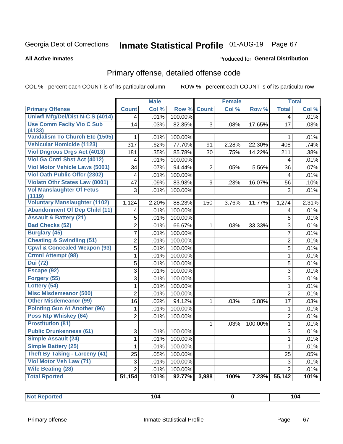# Inmate Statistical Profile 01-AUG-19 Page 67

**All Active Inmates** 

#### Produced for General Distribution

## Primary offense, detailed offense code

COL % - percent each COUNT is of its particular column

|                                            |                         | <b>Male</b> |         |                | <b>Female</b> |         |                         | <b>Total</b> |
|--------------------------------------------|-------------------------|-------------|---------|----------------|---------------|---------|-------------------------|--------------|
| <b>Primary Offense</b>                     | <b>Count</b>            | Col %       | Row %   | <b>Count</b>   | Col %         | Row %   | <b>Total</b>            | Col %        |
| Uniwfl Mfg/Del/Dist N-C S (4014)           | $\overline{\mathbf{4}}$ | .01%        | 100.00% |                |               |         | $\overline{4}$          | .01%         |
| <b>Use Comm Facity Vio C Sub</b>           | 14                      | .03%        | 82.35%  | 3              | .08%          | 17.65%  | 17                      | .03%         |
| (4133)                                     |                         |             |         |                |               |         |                         |              |
| <b>Vandalism To Church Etc (1505)</b>      | 1                       | .01%        | 100.00% |                |               |         | 1                       | .01%         |
| <b>Vehicular Homicide (1123)</b>           | 317                     | .62%        | 77.70%  | 91             | 2.28%         | 22.30%  | 408                     | .74%         |
| <b>Viol Dngrous Drgs Act (4013)</b>        | 181                     | .35%        | 85.78%  | 30             | .75%          | 14.22%  | 211                     | .38%         |
| Viol Ga Cntrl Sbst Act (4012)              | 4                       | .01%        | 100.00% |                |               |         | 4                       | .01%         |
| <b>Viol Motor Vehicle Laws (5001)</b>      | 34                      | .07%        | 94.44%  | $\overline{2}$ | .05%          | 5.56%   | 36                      | .07%         |
| <b>Viol Oath Public Offer (2302)</b>       | 4                       | .01%        | 100.00% |                |               |         | $\overline{\mathbf{4}}$ | .01%         |
| <b>Violatn Othr States Law (8001)</b>      | 47                      | .09%        | 83.93%  | 9              | .23%          | 16.07%  | 56                      | .10%         |
| <b>Vol Manslaughter Of Fetus</b><br>(1119) | 3                       | .01%        | 100.00% |                |               |         | 3                       | .01%         |
| <b>Voluntary Manslaughter (1102)</b>       | 1,124                   | 2.20%       | 88.23%  | 150            | 3.76%         | 11.77%  | 1,274                   | 2.31%        |
| <b>Abandonment Of Dep Child (11)</b>       | $\overline{\mathbf{4}}$ | .01%        | 100.00% |                |               |         | $\overline{4}$          | .01%         |
| <b>Assault &amp; Battery (21)</b>          | $\overline{5}$          | .01%        | 100.00% |                |               |         | 5                       | .01%         |
| <b>Bad Checks (52)</b>                     | $\overline{2}$          | .01%        | 66.67%  | $\mathbf 1$    | .03%          | 33.33%  | 3                       | .01%         |
| <b>Burglary (45)</b>                       | $\overline{7}$          | .01%        | 100.00% |                |               |         | $\overline{7}$          | .01%         |
| <b>Cheating &amp; Swindling (51)</b>       | $\overline{2}$          | .01%        | 100.00% |                |               |         | $\overline{2}$          | .01%         |
| <b>Cpwl &amp; Concealed Weapon (93)</b>    | 5                       | .01%        | 100.00% |                |               |         | 5                       | .01%         |
| <b>Crmnl Attempt (98)</b>                  | $\mathbf{1}$            | .01%        | 100.00% |                |               |         | $\mathbf{1}$            | .01%         |
| <b>Dui</b> (72)                            | 5                       | .01%        | 100.00% |                |               |         | 5                       | .01%         |
| Escape (92)                                | $\overline{3}$          | .01%        | 100.00% |                |               |         | 3                       | .01%         |
| Forgery (55)                               | $\overline{3}$          | .01%        | 100.00% |                |               |         | 3                       | .01%         |
| Lottery (54)                               | $\mathbf{1}$            | .01%        | 100.00% |                |               |         | $\mathbf{1}$            | .01%         |
| <b>Misc Misdemeanor (500)</b>              | $\overline{2}$          | .01%        | 100.00% |                |               |         | $\overline{2}$          | .01%         |
| <b>Other Misdemeanor (99)</b>              | 16                      | .03%        | 94.12%  | $\mathbf{1}$   | .03%          | 5.88%   | 17                      | .03%         |
| <b>Pointing Gun At Another (96)</b>        | 1                       | .01%        | 100.00% |                |               |         | $\mathbf 1$             | .01%         |
| Poss Ntp Whiskey (64)                      | $\overline{2}$          | .01%        | 100.00% |                |               |         | $\overline{2}$          | .01%         |
| <b>Prostitution (81)</b>                   |                         |             |         | $\mathbf{1}$   | .03%          | 100.00% | $\mathbf{1}$            | .01%         |
| <b>Public Drunkenness (61)</b>             | 3                       | .01%        | 100.00% |                |               |         | 3                       | .01%         |
| <b>Simple Assault (24)</b>                 | $\mathbf{1}$            | .01%        | 100.00% |                |               |         | $\mathbf{1}$            | .01%         |
| <b>Simple Battery (25)</b>                 | $\mathbf{1}$            | .01%        | 100.00% |                |               |         | $\mathbf 1$             | .01%         |
| <b>Theft By Taking - Larceny (41)</b>      | 25                      | .05%        | 100.00% |                |               |         | 25                      | .05%         |
| Viol Motor Veh Law (71)                    | 3                       | .01%        | 100.00% |                |               |         | 3                       | .01%         |
| <b>Wife Beating (28)</b>                   | $\overline{2}$          | .01%        | 100.00% |                |               |         | $\overline{2}$          | .01%         |
| <b>Total Rported</b>                       | 51,154                  | 101%        | 92.77%  | 3,988          | 100%          | 7.23%   | 55,142                  | 101%         |

| . .<br>104<br>eported<br>-----<br>$\sim$ $\sim$ $\sim$ $\sim$ $\sim$ $\sim$ | 104<br>$\sim$ $\sim$ $\sim$ $\sim$ $\sim$ $\sim$ |
|-----------------------------------------------------------------------------|--------------------------------------------------|
|-----------------------------------------------------------------------------|--------------------------------------------------|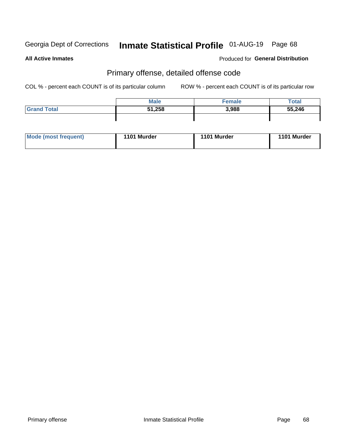# Inmate Statistical Profile 01-AUG-19 Page 68

**All Active Inmates** 

#### Produced for General Distribution

### Primary offense, detailed offense code

COL % - percent each COUNT is of its particular column

|                    | <b>Male</b> | Female | Total  |
|--------------------|-------------|--------|--------|
| <b>Grand Total</b> | 51,258      | 3,988  | 55,246 |
|                    |             |        |        |

| Mode (most frequent) | 1101 Murder | 1101 Murder | <b>Murder</b><br>1101 |
|----------------------|-------------|-------------|-----------------------|
|                      |             |             |                       |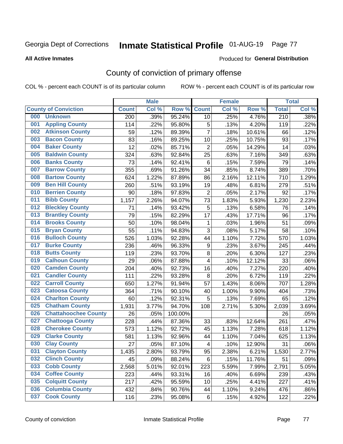# Inmate Statistical Profile 01-AUG-19 Page 77

#### **All Active Inmates**

#### Produced for General Distribution

## County of conviction of primary offense

COL % - percent each COUNT is of its particular column

|                                    |              | <b>Male</b> |         |                         | <b>Female</b> |        |                  | <b>Total</b> |
|------------------------------------|--------------|-------------|---------|-------------------------|---------------|--------|------------------|--------------|
| <b>County of Conviction</b>        | <b>Count</b> | Col %       | Row %   | <b>Count</b>            | Col %         | Row %  | <b>Total</b>     | Col %        |
| <b>Unknown</b><br>000              | 200          | .39%        | 95.24%  | 10                      | .25%          | 4.76%  | $\overline{210}$ | .38%         |
| <b>Appling County</b><br>001       | 114          | .22%        | 95.80%  | 5                       | .13%          | 4.20%  | 119              | .22%         |
| <b>Atkinson County</b><br>002      | 59           | .12%        | 89.39%  | $\overline{7}$          | .18%          | 10.61% | 66               | .12%         |
| <b>Bacon County</b><br>003         | 83           | .16%        | 89.25%  | 10                      | .25%          | 10.75% | 93               | .17%         |
| <b>Baker County</b><br>004         | 12           | .02%        | 85.71%  | $\overline{2}$          | .05%          | 14.29% | 14               | .03%         |
| 005<br><b>Baldwin County</b>       | 324          | .63%        | 92.84%  | 25                      | .63%          | 7.16%  | 349              | .63%         |
| <b>Banks County</b><br>006         | 73           | .14%        | 92.41%  | $\,6$                   | .15%          | 7.59%  | 79               | .14%         |
| <b>Barrow County</b><br>007        | 355          | .69%        | 91.26%  | 34                      | .85%          | 8.74%  | 389              | .70%         |
| <b>Bartow County</b><br>008        | 624          | 1.22%       | 87.89%  | 86                      | 2.16%         | 12.11% | 710              | 1.29%        |
| <b>Ben Hill County</b><br>009      | 260          | .51%        | 93.19%  | 19                      | .48%          | 6.81%  | 279              | .51%         |
| <b>Berrien County</b><br>010       | 90           | .18%        | 97.83%  | $\overline{2}$          | .05%          | 2.17%  | 92               | .17%         |
| <b>Bibb County</b><br>011          | 1,157        | 2.26%       | 94.07%  | 73                      | 1.83%         | 5.93%  | 1,230            | 2.23%        |
| <b>Bleckley County</b><br>012      | 71           | .14%        | 93.42%  | 5                       | .13%          | 6.58%  | 76               | .14%         |
| <b>Brantley County</b><br>013      | 79           | .15%        | 82.29%  | 17                      | .43%          | 17.71% | 96               | .17%         |
| <b>Brooks County</b><br>014        | 50           | .10%        | 98.04%  | 1                       | .03%          | 1.96%  | 51               | .09%         |
| 015<br><b>Bryan County</b>         | 55           | .11%        | 94.83%  | 3                       | .08%          | 5.17%  | 58               | .10%         |
| <b>Bulloch County</b><br>016       | 526          | 1.03%       | 92.28%  | 44                      | 1.10%         | 7.72%  | 570              | 1.03%        |
| 017<br><b>Burke County</b>         | 236          | .46%        | 96.33%  | 9                       | .23%          | 3.67%  | 245              | .44%         |
| <b>Butts County</b><br>018         | 119          | .23%        | 93.70%  | 8                       | .20%          | 6.30%  | 127              | .23%         |
| <b>Calhoun County</b><br>019       | 29           | .06%        | 87.88%  | $\overline{\mathbf{4}}$ | .10%          | 12.12% | 33               | .06%         |
| <b>Camden County</b><br>020        | 204          | .40%        | 92.73%  | 16                      | .40%          | 7.27%  | 220              | .40%         |
| <b>Candler County</b><br>021       | 111          | .22%        | 93.28%  | 8                       | .20%          | 6.72%  | 119              | .22%         |
| <b>Carroll County</b><br>022       | 650          | 1.27%       | 91.94%  | 57                      | 1.43%         | 8.06%  | 707              | 1.28%        |
| <b>Catoosa County</b><br>023       | 364          | .71%        | 90.10%  | 40                      | 1.00%         | 9.90%  | 404              | .73%         |
| <b>Charlton County</b><br>024      | 60           | .12%        | 92.31%  | 5                       | .13%          | 7.69%  | 65               | .12%         |
| 025<br><b>Chatham County</b>       | 1,931        | 3.77%       | 94.70%  | 108                     | 2.71%         | 5.30%  | 2,039            | 3.69%        |
| <b>Chattahoochee County</b><br>026 | 26           | .05%        | 100.00% |                         |               |        | 26               | .05%         |
| <b>Chattooga County</b><br>027     | 228          | .44%        | 87.36%  | 33                      | .83%          | 12.64% | 261              | .47%         |
| <b>Cherokee County</b><br>028      | 573          | 1.12%       | 92.72%  | 45                      | 1.13%         | 7.28%  | 618              | 1.12%        |
| <b>Clarke County</b><br>029        | 581          | 1.13%       | 92.96%  | 44                      | 1.10%         | 7.04%  | 625              | 1.13%        |
| <b>Clay County</b><br>030          | 27           | .05%        | 87.10%  | 4                       | .10%          | 12.90% | 31               | .06%         |
| 031<br><b>Clayton County</b>       | 1,435        | 2.80%       | 93.79%  | 95                      | 2.38%         | 6.21%  | 1,530            | 2.77%        |
| <b>Clinch County</b><br>032        | 45           | .09%        | 88.24%  | 6                       | .15%          | 11.76% | 51               | .09%         |
| <b>Cobb County</b><br>033          | 2,568        | 5.01%       | 92.01%  | 223                     | 5.59%         | 7.99%  | 2,791            | 5.05%        |
| <b>Coffee County</b><br>034        | 223          | .44%        | 93.31%  | 16                      | .40%          | 6.69%  | 239              | .43%         |
| <b>Colquitt County</b><br>035      | 217          | .42%        | 95.59%  | 10                      | .25%          | 4.41%  | 227              | .41%         |
| <b>Columbia County</b><br>036      | 432          | .84%        | 90.76%  | 44                      | 1.10%         | 9.24%  | 476              | .86%         |
| <b>Cook County</b><br>037          | 116          | .23%        | 95.08%  | 6                       | .15%          | 4.92%  | 122              | .22%         |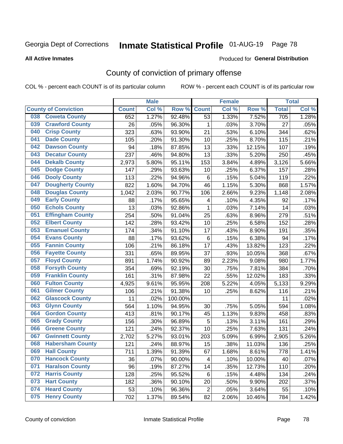# Inmate Statistical Profile 01-AUG-19 Page 78

#### **All Active Inmates**

#### Produced for General Distribution

## County of conviction of primary offense

COL % - percent each COUNT is of its particular column

|     |                             |              | <b>Male</b> |         | <b>Female</b>           |       |        | <b>Total</b> |       |
|-----|-----------------------------|--------------|-------------|---------|-------------------------|-------|--------|--------------|-------|
|     | <b>County of Conviction</b> | <b>Count</b> | Col %       | Row %   | <b>Count</b>            | Col % | Row %  | <b>Total</b> | Col % |
| 038 | <b>Coweta County</b>        | 652          | 1.27%       | 92.48%  | 53                      | 1.33% | 7.52%  | 705          | 1.28% |
| 039 | <b>Crawford County</b>      | 26           | .05%        | 96.30%  | 1                       | .03%  | 3.70%  | 27           | .05%  |
| 040 | <b>Crisp County</b>         | 323          | .63%        | 93.90%  | 21                      | .53%  | 6.10%  | 344          | .62%  |
| 041 | <b>Dade County</b>          | 105          | .20%        | 91.30%  | 10                      | .25%  | 8.70%  | 115          | .21%  |
| 042 | <b>Dawson County</b>        | 94           | .18%        | 87.85%  | 13                      | .33%  | 12.15% | 107          | .19%  |
| 043 | <b>Decatur County</b>       | 237          | .46%        | 94.80%  | 13                      | .33%  | 5.20%  | 250          | .45%  |
| 044 | <b>Dekalb County</b>        | 2,973        | 5.80%       | 95.11%  | 153                     | 3.84% | 4.89%  | 3,126        | 5.66% |
| 045 | <b>Dodge County</b>         | 147          | .29%        | 93.63%  | 10                      | .25%  | 6.37%  | 157          | .28%  |
| 046 | <b>Dooly County</b>         | 113          | .22%        | 94.96%  | 6                       | .15%  | 5.04%  | 119          | .22%  |
| 047 | <b>Dougherty County</b>     | 822          | 1.60%       | 94.70%  | 46                      | 1.15% | 5.30%  | 868          | 1.57% |
| 048 | <b>Douglas County</b>       | 1,042        | 2.03%       | 90.77%  | 106                     | 2.66% | 9.23%  | 1,148        | 2.08% |
| 049 | <b>Early County</b>         | 88           | .17%        | 95.65%  | $\overline{\mathbf{4}}$ | .10%  | 4.35%  | 92           | .17%  |
| 050 | <b>Echols County</b>        | 13           | .03%        | 92.86%  | $\mathbf{1}$            | .03%  | 7.14%  | 14           | .03%  |
| 051 | <b>Effingham County</b>     | 254          | .50%        | 91.04%  | 25                      | .63%  | 8.96%  | 279          | .51%  |
| 052 | <b>Elbert County</b>        | 142          | .28%        | 93.42%  | 10                      | .25%  | 6.58%  | 152          | .28%  |
| 053 | <b>Emanuel County</b>       | 174          | .34%        | 91.10%  | 17                      | .43%  | 8.90%  | 191          | .35%  |
| 054 | <b>Evans County</b>         | 88           | .17%        | 93.62%  | $\,6$                   | .15%  | 6.38%  | 94           | .17%  |
| 055 | <b>Fannin County</b>        | 106          | .21%        | 86.18%  | 17                      | .43%  | 13.82% | 123          | .22%  |
| 056 | <b>Fayette County</b>       | 331          | .65%        | 89.95%  | 37                      | .93%  | 10.05% | 368          | .67%  |
| 057 | <b>Floyd County</b>         | 891          | 1.74%       | 90.92%  | 89                      | 2.23% | 9.08%  | 980          | 1.77% |
| 058 | <b>Forsyth County</b>       | 354          | .69%        | 92.19%  | 30                      | .75%  | 7.81%  | 384          | .70%  |
| 059 | <b>Franklin County</b>      | 161          | .31%        | 87.98%  | 22                      | .55%  | 12.02% | 183          | .33%  |
| 060 | <b>Fulton County</b>        | 4,925        | 9.61%       | 95.95%  | 208                     | 5.22% | 4.05%  | 5,133        | 9.29% |
| 061 | <b>Gilmer County</b>        | 106          | .21%        | 91.38%  | 10                      | .25%  | 8.62%  | 116          | .21%  |
| 062 | <b>Glascock County</b>      | 11           | .02%        | 100.00% |                         |       |        | 11           | .02%  |
| 063 | <b>Glynn County</b>         | 564          | 1.10%       | 94.95%  | 30                      | .75%  | 5.05%  | 594          | 1.08% |
| 064 | <b>Gordon County</b>        | 413          | .81%        | 90.17%  | 45                      | 1.13% | 9.83%  | 458          | .83%  |
| 065 | <b>Grady County</b>         | 156          | .30%        | 96.89%  | 5                       | .13%  | 3.11%  | 161          | .29%  |
| 066 | <b>Greene County</b>        | 121          | .24%        | 92.37%  | 10                      | .25%  | 7.63%  | 131          | .24%  |
| 067 | <b>Gwinnett County</b>      | 2,702        | 5.27%       | 93.01%  | 203                     | 5.09% | 6.99%  | 2,905        | 5.26% |
| 068 | <b>Habersham County</b>     | 121          | .24%        | 88.97%  | 15                      | .38%  | 11.03% | 136          | .25%  |
| 069 | <b>Hall County</b>          | 711          | 1.39%       | 91.39%  | 67                      | 1.68% | 8.61%  | 778          | 1.41% |
| 070 | <b>Hancock County</b>       | 36           | .07%        | 90.00%  | 4                       | .10%  | 10.00% | 40           | .07%  |
| 071 | <b>Haralson County</b>      | 96           | .19%        | 87.27%  | 14                      | .35%  | 12.73% | 110          | .20%  |
| 072 | <b>Harris County</b>        | 128          | .25%        | 95.52%  | 6                       | .15%  | 4.48%  | 134          | .24%  |
| 073 | <b>Hart County</b>          | 182          | .36%        | 90.10%  | 20                      | .50%  | 9.90%  | 202          | .37%  |
| 074 | <b>Heard County</b>         | 53           | .10%        | 96.36%  | $\overline{c}$          | .05%  | 3.64%  | 55           | .10%  |
| 075 | <b>Henry County</b>         | 702          | 1.37%       | 89.54%  | 82                      | 2.06% | 10.46% | 784          | 1.42% |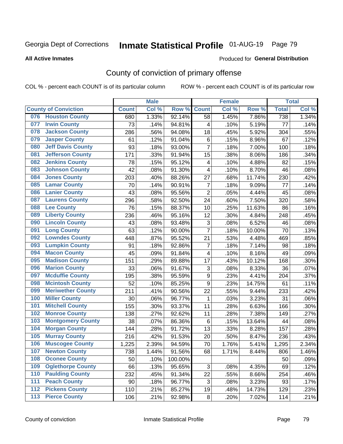# Inmate Statistical Profile 01-AUG-19 Page 79

#### **All Active Inmates**

#### Produced for General Distribution

## County of conviction of primary offense

COL % - percent each COUNT is of its particular column

|     |                             |              | <b>Male</b> |         |                           | <b>Female</b> |        |              | <b>Total</b>       |
|-----|-----------------------------|--------------|-------------|---------|---------------------------|---------------|--------|--------------|--------------------|
|     | <b>County of Conviction</b> | <b>Count</b> | Col %       | Row %   | <b>Count</b>              | Col %         | Row %  | <b>Total</b> | Col %              |
| 076 | <b>Houston County</b>       | 680          | 1.33%       | 92.14%  | 58                        | 1.45%         | 7.86%  | 738          | 1.34%              |
| 077 | <b>Irwin County</b>         | 73           | .14%        | 94.81%  | 4                         | .10%          | 5.19%  | 77           | .14%               |
| 078 | <b>Jackson County</b>       | 286          | .56%        | 94.08%  | 18                        | .45%          | 5.92%  | 304          | .55%               |
| 079 | <b>Jasper County</b>        | 61           | .12%        | 91.04%  | 6                         | .15%          | 8.96%  | 67           | .12%               |
| 080 | <b>Jeff Davis County</b>    | 93           | .18%        | 93.00%  | $\overline{7}$            | .18%          | 7.00%  | 100          | .18%               |
| 081 | <b>Jefferson County</b>     | 171          | .33%        | 91.94%  | 15                        | .38%          | 8.06%  | 186          | .34%               |
| 082 | <b>Jenkins County</b>       | 78           | .15%        | 95.12%  | $\overline{\mathbf{4}}$   | .10%          | 4.88%  | 82           | .15%               |
| 083 | <b>Johnson County</b>       | 42           | .08%        | 91.30%  | 4                         | .10%          | 8.70%  | 46           | .08%               |
| 084 | <b>Jones County</b>         | 203          | .40%        | 88.26%  | 27                        | .68%          | 11.74% | 230          | .42%               |
| 085 | <b>Lamar County</b>         | 70           | .14%        | 90.91%  | $\overline{7}$            | .18%          | 9.09%  | 77           | .14%               |
| 086 | <b>Lanier County</b>        | 43           | .08%        | 95.56%  | $\overline{2}$            | .05%          | 4.44%  | 45           | .08%               |
| 087 | <b>Laurens County</b>       | 296          | .58%        | 92.50%  | 24                        | .60%          | 7.50%  | 320          | .58%               |
| 088 | <b>Lee County</b>           | 76           | .15%        | 88.37%  | 10                        | .25%          | 11.63% | 86           | .16%               |
| 089 | <b>Liberty County</b>       | 236          | .46%        | 95.16%  | 12                        | .30%          | 4.84%  | 248          | .45%               |
| 090 | <b>Lincoln County</b>       | 43           | .08%        | 93.48%  | $\ensuremath{\mathsf{3}}$ | .08%          | 6.52%  | 46           | .08%               |
| 091 | <b>Long County</b>          | 63           | .12%        | 90.00%  | $\overline{7}$            | .18%          | 10.00% | 70           | .13%               |
| 092 | <b>Lowndes County</b>       | 448          | .87%        | 95.52%  | 21                        | .53%          | 4.48%  | 469          | .85%               |
| 093 | <b>Lumpkin County</b>       | 91           | .18%        | 92.86%  | $\overline{7}$            | .18%          | 7.14%  | 98           | .18%               |
| 094 | <b>Macon County</b>         | 45           | .09%        | 91.84%  | 4                         | .10%          | 8.16%  | 49           | .09%               |
| 095 | <b>Madison County</b>       | 151          | .29%        | 89.88%  | 17                        | .43%          | 10.12% | 168          | .30%               |
| 096 | <b>Marion County</b>        | 33           | .06%        | 91.67%  | $\ensuremath{\mathsf{3}}$ | .08%          | 8.33%  | 36           | .07%               |
| 097 | <b>Mcduffie County</b>      | 195          | .38%        | 95.59%  | $\boldsymbol{9}$          | .23%          | 4.41%  | 204          | .37%               |
| 098 | <b>Mcintosh County</b>      | 52           | .10%        | 85.25%  | $\boldsymbol{9}$          | .23%          | 14.75% | 61           | .11%               |
| 099 | <b>Meriwether County</b>    | 211          | .41%        | 90.56%  | 22                        | .55%          | 9.44%  | 233          | .42%               |
| 100 | <b>Miller County</b>        | 30           | .06%        | 96.77%  | 1                         | .03%          | 3.23%  | 31           | .06%               |
| 101 | <b>Mitchell County</b>      | 155          | .30%        | 93.37%  | 11                        | .28%          | 6.63%  | 166          | .30%               |
| 102 | <b>Monroe County</b>        | 138          | .27%        | 92.62%  | 11                        | .28%          | 7.38%  | 149          | .27%               |
| 103 | <b>Montgomery County</b>    | 38           | .07%        | 86.36%  | 6                         | .15%          | 13.64% | 44           | .08%               |
| 104 | <b>Morgan County</b>        | 144          | .28%        | 91.72%  | 13                        | .33%          | 8.28%  | 157          | .28%               |
| 105 | <b>Murray County</b>        | 216          | .42%        | 91.53%  | 20                        | .50%          | 8.47%  | 236          | .43%               |
| 106 | <b>Muscogee County</b>      | 1,225        | 2.39%       | 94.59%  | 70                        | 1.76%         | 5.41%  | 1,295        | 2.34%              |
| 107 | <b>Newton County</b>        | 738          | 1.44%       | 91.56%  | 68                        | 1.71%         | 8.44%  | 806          | 1.46%              |
| 108 | <b>Oconee County</b>        | 50           | .10%        | 100.00% |                           |               |        | 50           | .09%               |
| 109 | <b>Oglethorpe County</b>    | 66           | .13%        | 95.65%  | $\ensuremath{\mathsf{3}}$ | .08%          | 4.35%  | 69           | .12%               |
| 110 | <b>Paulding County</b>      | 232          | .45%        | 91.34%  | 22                        | .55%          | 8.66%  | 254          | .46%               |
| 111 | <b>Peach County</b>         | 90           | .18%        | 96.77%  | 3                         | .08%          | 3.23%  | 93           | .17%               |
| 112 | <b>Pickens County</b>       | 110          | .21%        | 85.27%  | 19                        | .48%          | 14.73% | 129          | .23%               |
| 113 | <b>Pierce County</b>        | 106          | .21%        | 92.98%  | 8                         | .20%          | 7.02%  | 114          | $\overline{.}21\%$ |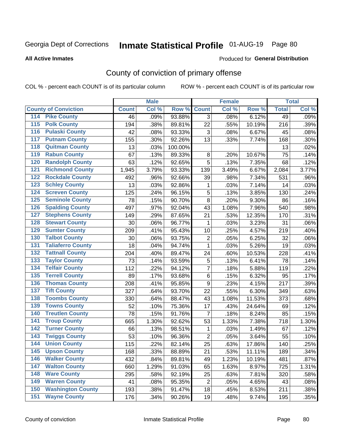# Inmate Statistical Profile 01-AUG-19 Page 80

#### **All Active Inmates**

#### Produced for General Distribution

## County of conviction of primary offense

COL % - percent each COUNT is of its particular column

|                                          |              | <b>Male</b> |         |                | <b>Female</b> |        |              | <b>Total</b> |
|------------------------------------------|--------------|-------------|---------|----------------|---------------|--------|--------------|--------------|
| <b>County of Conviction</b>              | <b>Count</b> | Col %       | Row %   | <b>Count</b>   | Col %         | Row %  | <b>Total</b> | Col %        |
| <b>Pike County</b><br>114                | 46           | .09%        | 93.88%  | 3              | .08%          | 6.12%  | 49           | .09%         |
| <b>Polk County</b><br>$\overline{115}$   | 194          | .38%        | 89.81%  | 22             | .55%          | 10.19% | 216          | .39%         |
| <b>Pulaski County</b><br>116             | 42           | .08%        | 93.33%  | 3              | .08%          | 6.67%  | 45           | .08%         |
| <b>Putnam County</b><br>117              | 155          | .30%        | 92.26%  | 13             | .33%          | 7.74%  | 168          | .30%         |
| <b>Quitman County</b><br>118             | 13           | .03%        | 100.00% |                |               |        | 13           | .02%         |
| <b>Rabun County</b><br>119               | 67           | .13%        | 89.33%  | 8              | .20%          | 10.67% | 75           | .14%         |
| <b>Randolph County</b><br>120            | 63           | .12%        | 92.65%  | $\overline{5}$ | .13%          | 7.35%  | 68           | .12%         |
| <b>Richmond County</b><br>121            | 1,945        | 3.79%       | 93.33%  | 139            | 3.49%         | 6.67%  | 2,084        | 3.77%        |
| <b>Rockdale County</b><br>122            | 492          | .96%        | 92.66%  | 39             | .98%          | 7.34%  | 531          | .96%         |
| <b>Schley County</b><br>123              | 13           | .03%        | 92.86%  | 1              | .03%          | 7.14%  | 14           | .03%         |
| <b>Screven County</b><br>124             | 125          | .24%        | 96.15%  | 5              | .13%          | 3.85%  | 130          | .24%         |
| <b>Seminole County</b><br>125            | 78           | .15%        | 90.70%  | 8              | .20%          | 9.30%  | 86           | .16%         |
| <b>Spalding County</b><br>126            | 497          | .97%        | 92.04%  | 43             | 1.08%         | 7.96%  | 540          | .98%         |
| <b>Stephens County</b><br>127            | 149          | .29%        | 87.65%  | 21             | .53%          | 12.35% | 170          | .31%         |
| <b>Stewart County</b><br>128             | 30           | .06%        | 96.77%  | 1              | .03%          | 3.23%  | 31           | .06%         |
| <b>Sumter County</b><br>129              | 209          | .41%        | 95.43%  | 10             | .25%          | 4.57%  | 219          | .40%         |
| <b>Talbot County</b><br>130              | 30           | .06%        | 93.75%  | $\overline{2}$ | .05%          | 6.25%  | 32           | .06%         |
| <b>Taliaferro County</b><br>131          | 18           | .04%        | 94.74%  | 1              | .03%          | 5.26%  | 19           | .03%         |
| <b>Tattnall County</b><br>132            | 204          | .40%        | 89.47%  | 24             | .60%          | 10.53% | 228          | .41%         |
| <b>Taylor County</b><br>133              | 73           | .14%        | 93.59%  | 5              | .13%          | 6.41%  | 78           | .14%         |
| <b>Telfair County</b><br>134             | 112          | .22%        | 94.12%  | $\overline{7}$ | .18%          | 5.88%  | 119          | .22%         |
| <b>Terrell County</b><br>135             | 89           | .17%        | 93.68%  | 6              | .15%          | 6.32%  | 95           | .17%         |
| <b>Thomas County</b><br>136              | 208          | .41%        | 95.85%  | 9              | .23%          | 4.15%  | 217          | .39%         |
| <b>Tift County</b><br>137                | 327          | .64%        | 93.70%  | 22             | .55%          | 6.30%  | 349          | .63%         |
| <b>Toombs County</b><br>138              | 330          | .64%        | 88.47%  | 43             | 1.08%         | 11.53% | 373          | .68%         |
| <b>Towns County</b><br>139               | 52           | .10%        | 75.36%  | 17             | .43%          | 24.64% | 69           | .12%         |
| <b>Treutlen County</b><br>140            | 78           | .15%        | 91.76%  | $\overline{7}$ | .18%          | 8.24%  | 85           | .15%         |
| <b>Troup County</b><br>141               | 665          | 1.30%       | 92.62%  | 53             | 1.33%         | 7.38%  | 718          | 1.30%        |
| <b>Turner County</b><br>142              | 66           | .13%        | 98.51%  | 1              | .03%          | 1.49%  | 67           | .12%         |
| <b>Twiggs County</b><br>$\overline{143}$ | 53           | .10%        | 96.36%  | $\overline{2}$ | .05%          | 3.64%  | 55           | .10%         |
| <b>Union County</b><br>144               | 115          | .22%        | 82.14%  | 25             | .63%          | 17.86% | 140          | .25%         |
| 145<br><b>Upson County</b>               | 168          | .33%        | 88.89%  | 21             | .53%          | 11.11% | 189          | .34%         |
| <b>Walker County</b><br>146              | 432          | .84%        | 89.81%  | 49             | 1.23%         | 10.19% | 481          | .87%         |
| <b>Walton County</b><br>147              | 660          | 1.29%       | 91.03%  | 65             | 1.63%         | 8.97%  | 725          | 1.31%        |
| <b>Ware County</b><br>148                | 295          | .58%        | 92.19%  | 25             | .63%          | 7.81%  | 320          | .58%         |
| <b>Warren County</b><br>149              | 41           | .08%        | 95.35%  | $\overline{2}$ | .05%          | 4.65%  | 43           | .08%         |
| <b>Washington County</b><br>150          | 193          | .38%        | 91.47%  | 18             | .45%          | 8.53%  | 211          | .38%         |
| <b>Wayne County</b><br>151               | 176          | .34%        | 90.26%  | 19             | .48%          | 9.74%  | 195          | .35%         |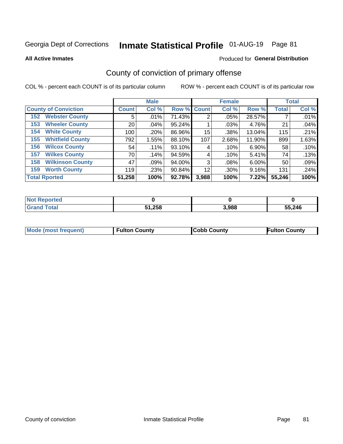# Inmate Statistical Profile 01-AUG-19 Page 81

Produced for General Distribution

#### **All Active Inmates**

## County of conviction of primary offense

COL % - percent each COUNT is of its particular column

|                                |              | <b>Male</b> |             | <b>Female</b> |       |          | <b>Total</b> |       |  |
|--------------------------------|--------------|-------------|-------------|---------------|-------|----------|--------------|-------|--|
| <b>County of Conviction</b>    | <b>Count</b> | Col %       | Row % Count |               | Col % | Row %    | <b>Total</b> | Col % |  |
| <b>Webster County</b><br>152   | 5            | .01%        | 71.43%      | 2             | .05%  | 28.57%   |              | .01%  |  |
| <b>Wheeler County</b><br>153   | 20           | .04%        | 95.24%      |               | .03%  | 4.76%    | 21           | .04%  |  |
| <b>White County</b><br>154     | 100          | .20%        | 86.96%      | 15            | .38%  | 13.04%   | 115          | .21%  |  |
| <b>Whitfield County</b><br>155 | 792          | 1.55%       | 88.10%      | 107           | 2.68% | 11.90%   | 899          | 1.63% |  |
| <b>Wilcox County</b><br>156    | 54           | .11%        | 93.10%      | 4             | .10%  | $6.90\%$ | 58           | .10%  |  |
| <b>Wilkes County</b><br>157    | 70           | .14%        | 94.59%      | 4             | .10%  | 5.41%    | 74           | .13%  |  |
| <b>Wilkinson County</b><br>158 | 47           | .09%        | 94.00%      | 3             | .08%  | $6.00\%$ | 50           | .09%  |  |
| <b>Worth County</b><br>159     | 119          | .23%        | 90.84%      | 12            | .30%  | 9.16%    | 131          | .24%  |  |
| <b>Total Rported</b>           | 51,258       | 100%        | 92.78%      | 3,988         | 100%  | 7.22%I   | 55,246       | 100%  |  |

| <b>Not Reported</b> |        |       |        |
|---------------------|--------|-------|--------|
| <b>Grand Total</b>  | 51,258 | 3,988 | 55,246 |

| <b>Mode (most frequent)</b> | <b>Fulton County</b> | <b>ICobb County</b> | <b>Fulton County</b> |
|-----------------------------|----------------------|---------------------|----------------------|
|                             |                      |                     |                      |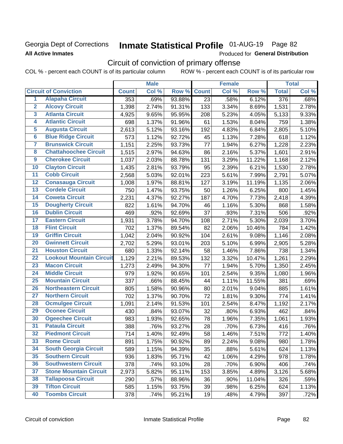## Georgia Dept of Corrections **All Active Inmates**

# Inmate Statistical Profile 01-AUG-19 Page 82

Produced for General Distribution

# Circuit of conviction of primary offense

|                         |                                 |              | <b>Male</b> |        |              | <b>Female</b> |        |              | <b>Total</b> |
|-------------------------|---------------------------------|--------------|-------------|--------|--------------|---------------|--------|--------------|--------------|
|                         | <b>Circuit of Conviction</b>    | <b>Count</b> | Col %       | Row %  | <b>Count</b> | Col %         | Row %  | <b>Total</b> | Col %        |
| 1                       | <b>Alapaha Circuit</b>          | 353          | .69%        | 93.88% | 23           | .58%          | 6.12%  | 376          | .68%         |
| $\overline{2}$          | <b>Alcovy Circuit</b>           | 1,398        | 2.74%       | 91.31% | 133          | 3.34%         | 8.69%  | 1,531        | 2.78%        |
| $\overline{\mathbf{3}}$ | <b>Atlanta Circuit</b>          | 4,925        | 9.65%       | 95.95% | 208          | 5.23%         | 4.05%  | 5,133        | 9.33%        |
| 4                       | <b>Atlantic Circuit</b>         | 698          | 1.37%       | 91.96% | 61           | 1.53%         | 8.04%  | 759          | 1.38%        |
| $\overline{5}$          | <b>Augusta Circuit</b>          | 2,613        | 5.12%       | 93.16% | 192          | 4.83%         | 6.84%  | 2,805        | 5.10%        |
| $\overline{6}$          | <b>Blue Ridge Circuit</b>       | 573          | 1.12%       | 92.72% | 45           | 1.13%         | 7.28%  | 618          | 1.12%        |
| $\overline{\mathbf{7}}$ | <b>Brunswick Circuit</b>        | 1,151        | 2.25%       | 93.73% | 77           | 1.94%         | 6.27%  | 1,228        | 2.23%        |
| 8                       | <b>Chattahoochee Circuit</b>    | 1,515        | 2.97%       | 94.63% | 86           | 2.16%         | 5.37%  | 1,601        | 2.91%        |
| $\overline{9}$          | <b>Cherokee Circuit</b>         | 1,037        | 2.03%       | 88.78% | 131          | 3.29%         | 11.22% | 1,168        | 2.12%        |
| 10                      | <b>Clayton Circuit</b>          | 1,435        | 2.81%       | 93.79% | 95           | 2.39%         | 6.21%  | 1,530        | 2.78%        |
| $\overline{11}$         | <b>Cobb Circuit</b>             | 2,568        | 5.03%       | 92.01% | 223          | 5.61%         | 7.99%  | 2,791        | 5.07%        |
| $\overline{12}$         | <b>Conasauga Circuit</b>        | 1,008        | 1.97%       | 88.81% | 127          | 3.19%         | 11.19% | 1,135        | 2.06%        |
| $\overline{13}$         | <b>Cordele Circuit</b>          | 750          | 1.47%       | 93.75% | 50           | 1.26%         | 6.25%  | 800          | 1.45%        |
| $\overline{14}$         | <b>Coweta Circuit</b>           | 2,231        | 4.37%       | 92.27% | 187          | 4.70%         | 7.73%  | 2,418        | 4.39%        |
| $\overline{15}$         | <b>Dougherty Circuit</b>        | 822          | 1.61%       | 94.70% | 46           | 1.16%         | 5.30%  | 868          | 1.58%        |
| 16                      | <b>Dublin Circuit</b>           | 469          | .92%        | 92.69% | 37           | .93%          | 7.31%  | 506          | .92%         |
| $\overline{17}$         | <b>Eastern Circuit</b>          | 1,931        | 3.78%       | 94.70% | 108          | 2.71%         | 5.30%  | 2,039        | 3.70%        |
| $\overline{18}$         | <b>Flint Circuit</b>            | 702          | 1.37%       | 89.54% | 82           | 2.06%         | 10.46% | 784          | 1.42%        |
| 19                      | <b>Griffin Circuit</b>          | 1,042        | 2.04%       | 90.92% | 104          | 2.61%         | 9.08%  | 1,146        | 2.08%        |
| 20                      | <b>Gwinnett Circuit</b>         | 2,702        | 5.29%       | 93.01% | 203          | 5.10%         | 6.99%  | 2,905        | 5.28%        |
| $\overline{21}$         | <b>Houston Circuit</b>          | 680          | 1.33%       | 92.14% | 58           | 1.46%         | 7.86%  | 738          | 1.34%        |
| $\overline{22}$         | <b>Lookout Mountain Circuit</b> | 1,129        | 2.21%       | 89.53% | 132          | 3.32%         | 10.47% | 1,261        | 2.29%        |
| 23                      | <b>Macon Circuit</b>            | 1,273        | 2.49%       | 94.30% | 77           | 1.94%         | 5.70%  | 1,350        | 2.45%        |
| 24                      | <b>Middle Circuit</b>           | 979          | 1.92%       | 90.65% | 101          | 2.54%         | 9.35%  | 1,080        | 1.96%        |
| $\overline{25}$         | <b>Mountain Circuit</b>         | 337          | .66%        | 88.45% | 44           | 1.11%         | 11.55% | 381          | .69%         |
| 26                      | <b>Northeastern Circuit</b>     | 805          | 1.58%       | 90.96% | 80           | 2.01%         | 9.04%  | 885          | 1.61%        |
| $\overline{27}$         | <b>Northern Circuit</b>         | 702          | 1.37%       | 90.70% | 72           | 1.81%         | 9.30%  | 774          | 1.41%        |
| 28                      | <b>Ocmulgee Circuit</b>         | 1,091        | 2.14%       | 91.53% | 101          | 2.54%         | 8.47%  | 1,192        | 2.17%        |
| 29                      | <b>Oconee Circuit</b>           | 430          | .84%        | 93.07% | 32           | .80%          | 6.93%  | 462          | .84%         |
| 30                      | <b>Ogeechee Circuit</b>         | 983          | 1.93%       | 92.65% | 78           | 1.96%         | 7.35%  | 1,061        | 1.93%        |
| $\overline{31}$         | <b>Pataula Circuit</b>          | 388          | .76%        | 93.27% | 28           | .70%          | 6.73%  | 416          | .76%         |
| 32                      | <b>Piedmont Circuit</b>         | 714          | 1.40%       | 92.49% | 58           | 1.46%         | 7.51%  | 772          | 1.40%        |
| 33                      | <b>Rome Circuit</b>             | 891          | 1.75%       | 90.92% | 89           | 2.24%         | 9.08%  | 980          | 1.78%        |
| 34                      | <b>South Georgia Circuit</b>    | 589          | 1.15%       | 94.39% | 35           | .88%          | 5.61%  | 624          | 1.13%        |
| 35                      | <b>Southern Circuit</b>         | 936          | 1.83%       | 95.71% | 42           | 1.06%         | 4.29%  | 978          | 1.78%        |
| 36                      | <b>Southwestern Circuit</b>     | 378          | .74%        | 93.10% | 28           | .70%          | 6.90%  | 406          | .74%         |
| 37                      | <b>Stone Mountain Circuit</b>   | 2,973        | 5.82%       | 95.11% | 153          | 3.85%         | 4.89%  | 3,126        | 5.68%        |
| 38                      | <b>Tallapoosa Circuit</b>       | 290          | .57%        | 88.96% | 36           | .90%          | 11.04% | 326          | .59%         |
| 39                      | <b>Tifton Circuit</b>           | 585          | 1.15%       | 93.75% | 39           | .98%          | 6.25%  | 624          | 1.13%        |
| 40                      | <b>Toombs Circuit</b>           | 378          | .74%        | 95.21% | 19           | .48%          | 4.79%  | 397          | .72%         |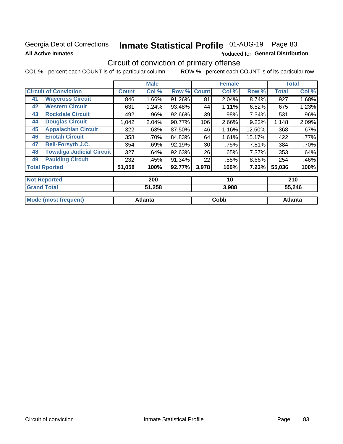## Georgia Dept of Corrections **All Active Inmates**

# Inmate Statistical Profile 01-AUG-19 Page 83

Produced for General Distribution

## Circuit of conviction of primary offense

|    |                                  |              | <b>Male</b> |        |              | <b>Female</b> |        |        | <b>Total</b> |
|----|----------------------------------|--------------|-------------|--------|--------------|---------------|--------|--------|--------------|
|    | <b>Circuit of Conviction</b>     | <b>Count</b> | Col %       | Row %  | <b>Count</b> | Col %         | Row %  | Total  | Col %        |
| 41 | <b>Waycross Circuit</b>          | 846          | 1.66%       | 91.26% | 81           | 2.04%         | 8.74%  | 927    | 1.68%        |
| 42 | <b>Western Circuit</b>           | 631          | 1.24%       | 93.48% | 44           | 1.11%         | 6.52%  | 675    | 1.23%        |
| 43 | <b>Rockdale Circuit</b>          | 492          | .96%        | 92.66% | 39           | .98%          | 7.34%  | 531    | .96%         |
| 44 | <b>Douglas Circuit</b>           | 1,042        | 2.04%       | 90.77% | 106          | $2.66\%$      | 9.23%  | 1,148  | 2.09%        |
| 45 | <b>Appalachian Circuit</b>       | 322          | .63%        | 87.50% | 46           | 1.16%         | 12.50% | 368    | .67%         |
| 46 | <b>Enotah Circuit</b>            | 358          | $.70\%$     | 84.83% | 64           | 1.61%         | 15.17% | 422    | $.77\%$      |
| 47 | <b>Bell-Forsyth J.C.</b>         | 354          | .69%        | 92.19% | 30           | .75%          | 7.81%  | 384    | $.70\%$      |
| 48 | <b>Towaliga Judicial Circuit</b> | 327          | .64%        | 92.63% | 26           | .65%          | 7.37%  | 353    | .64%         |
| 49 | <b>Paulding Circuit</b>          | 232          | .45%        | 91.34% | 22           | .55%          | 8.66%  | 254    | .46%         |
|    | <b>Total Rported</b>             | 51,058       | 100%        | 92.77% | 3,978        | 100%          | 7.23%  | 55,036 | 100%         |
|    | <b>Not Reported</b>              |              | 200         |        |              | 10            |        |        | 210          |

| .                    | ----    | --    | ---            |
|----------------------|---------|-------|----------------|
| <b>Grand Total</b>   | 51,258  | 3,988 | 55,246         |
| Mode (most frequent) | Atlanta | Cobb  | <b>Atlanta</b> |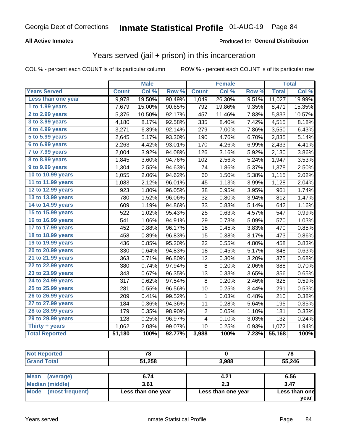#### **All Active Inmates**

#### Produced for **General Distribution**

## Years served (jail + prison) in this incarceration

COL % - percent each COUNT is of its particular column ROW % - percent each COUNT is of its particular row

|                              |              | <b>Male</b> |        |                | <b>Female</b> |       |              | <b>Total</b> |
|------------------------------|--------------|-------------|--------|----------------|---------------|-------|--------------|--------------|
| <b>Years Served</b>          | <b>Count</b> | Col %       | Row %  | <b>Count</b>   | Col %         | Row % | <b>Total</b> | Col %        |
| Less than one year           | 9,978        | 19.50%      | 90.49% | 1,049          | 26.30%        | 9.51% | 11,027       | 19.99%       |
| 1 to 1.99 years              | 7,679        | 15.00%      | 90.65% | 792            | 19.86%        | 9.35% | 8,471        | 15.35%       |
| 2 to 2.99 years              | 5,376        | 10.50%      | 92.17% | 457            | 11.46%        | 7.83% | 5,833        | 10.57%       |
| $3$ to $3.99$ years          | 4,180        | 8.17%       | 92.58% | 335            | 8.40%         | 7.42% | 4,515        | 8.18%        |
| $\overline{4}$ to 4.99 years | 3,271        | 6.39%       | 92.14% | 279            | 7.00%         | 7.86% | 3,550        | 6.43%        |
| $\overline{5}$ to 5.99 years | 2,645        | 5.17%       | 93.30% | 190            | 4.76%         | 6.70% | 2,835        | 5.14%        |
| $6$ to $6.99$ years          | 2,263        | 4.42%       | 93.01% | 170            | 4.26%         | 6.99% | 2,433        | 4.41%        |
| 7 to 7.99 years              | 2,004        | 3.92%       | 94.08% | 126            | 3.16%         | 5.92% | 2,130        | 3.86%        |
| 8 to 8.99 years              | 1,845        | 3.60%       | 94.76% | 102            | 2.56%         | 5.24% | 1,947        | 3.53%        |
| 9 to 9.99 years              | 1,304        | 2.55%       | 94.63% | 74             | 1.86%         | 5.37% | 1,378        | 2.50%        |
| 10 to 10.99 years            | 1,055        | 2.06%       | 94.62% | 60             | 1.50%         | 5.38% | 1,115        | 2.02%        |
| 11 to 11.99 years            | 1,083        | 2.12%       | 96.01% | 45             | 1.13%         | 3.99% | 1,128        | 2.04%        |
| 12 to 12.99 years            | 923          | 1.80%       | 96.05% | 38             | 0.95%         | 3.95% | 961          | 1.74%        |
| 13 to 13.99 years            | 780          | 1.52%       | 96.06% | 32             | 0.80%         | 3.94% | 812          | 1.47%        |
| 14 to 14.99 years            | 609          | 1.19%       | 94.86% | 33             | 0.83%         | 5.14% | 642          | 1.16%        |
| 15 to 15.99 years            | 522          | 1.02%       | 95.43% | 25             | 0.63%         | 4.57% | 547          | 0.99%        |
| 16 to 16.99 years            | 541          | 1.06%       | 94.91% | 29             | 0.73%         | 5.09% | 570          | 1.03%        |
| 17 to 17.99 years            | 452          | 0.88%       | 96.17% | 18             | 0.45%         | 3.83% | 470          | 0.85%        |
| 18 to 18.99 years            | 458          | 0.89%       | 96.83% | 15             | 0.38%         | 3.17% | 473          | 0.86%        |
| 19 to 19.99 years            | 436          | 0.85%       | 95.20% | 22             | 0.55%         | 4.80% | 458          | 0.83%        |
| 20 to 20.99 years            | 330          | 0.64%       | 94.83% | 18             | 0.45%         | 5.17% | 348          | 0.63%        |
| 21 to 21.99 years            | 363          | 0.71%       | 96.80% | 12             | 0.30%         | 3.20% | 375          | 0.68%        |
| 22 to 22.99 years            | 380          | 0.74%       | 97.94% | 8              | 0.20%         | 2.06% | 388          | 0.70%        |
| 23 to 23.99 years            | 343          | 0.67%       | 96.35% | 13             | 0.33%         | 3.65% | 356          | 0.65%        |
| 24 to 24.99 years            | 317          | 0.62%       | 97.54% | 8              | 0.20%         | 2.46% | 325          | 0.59%        |
| 25 to 25.99 years            | 281          | 0.55%       | 96.56% | 10             | 0.25%         | 3.44% | 291          | 0.53%        |
| 26 to 26.99 years            | 209          | 0.41%       | 99.52% | 1              | 0.03%         | 0.48% | 210          | 0.38%        |
| 27 to 27.99 years            | 184          | 0.36%       | 94.36% | 11             | 0.28%         | 5.64% | 195          | 0.35%        |
| 28 to 28.99 years            | 179          | 0.35%       | 98.90% | $\overline{c}$ | 0.05%         | 1.10% | 181          | 0.33%        |
| 29 to 29.99 years            | 128          | 0.25%       | 96.97% | 4              | 0.10%         | 3.03% | 132          | 0.24%        |
| Thirty + years               | 1,062        | 2.08%       | 99.07% | 10             | 0.25%         | 0.93% | 1,072        | 1.94%        |
| <b>Total Reported</b>        | 51,180       | 100%        | 92.77% | 3,988          | 100%          | 7.23% | 55,168       | 100%         |

| <b>Not Reported</b>     | 78                 |                    | 78            |
|-------------------------|--------------------|--------------------|---------------|
| <b>Grand Total</b>      | 51,258             | 3.988              | 55,246        |
|                         |                    |                    |               |
| Mean<br>(average)       | 6.74               | 4.21               | 6.56          |
| <b>Median (middle)</b>  | 3.61               | 2.3                | 3.47          |
| Mode<br>(most frequent) | Less than one year | Less than one year | Less than one |

**year**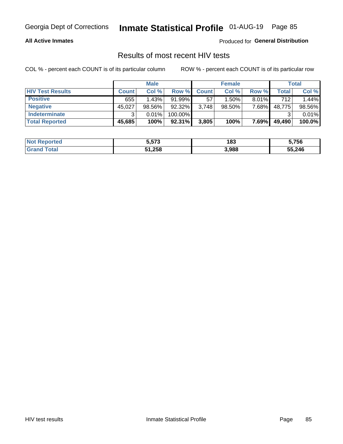#### **All Active Inmates**

Produced for **General Distribution**

## Results of most recent HIV tests

|                         |              | <b>Male</b> |           |              | <b>Female</b> |          |        | Total  |
|-------------------------|--------------|-------------|-----------|--------------|---------------|----------|--------|--------|
| <b>HIV Test Results</b> | <b>Count</b> | Col %       | Row %I    | <b>Count</b> | Col %         | Row %    | Total  | Col %  |
| <b>Positive</b>         | 655          | 1.43%       | 91.99%    | 57           | $1.50\%$      | $8.01\%$ | 712    | 1.44%  |
| <b>Negative</b>         | 45,027       | 98.56%      | 92.32%    | 3,748        | $98.50\%$     | 7.68%    | 48,775 | 98.56% |
| Indeterminate           | າ            | 0.01%       | 100.00%   |              |               |          |        | 0.01%  |
| <b>Total Reported</b>   | 45,685       | 100%        | $92.31\%$ | 3,805        | 100%          | 7.69%    | 49,490 | 100.0% |

| <b>Not Reported</b> | 5,573  | 183   | 5,756  |
|---------------------|--------|-------|--------|
| Total               | 51,258 | 3,988 | 55,246 |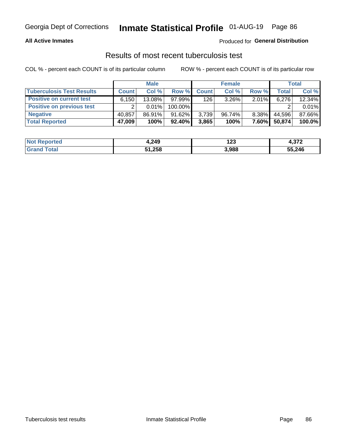#### **All Active Inmates**

#### Produced for **General Distribution**

#### Results of most recent tuberculosis test

|                                  |              | <b>Male</b> |           |              | <b>Female</b> |              |        | Total  |
|----------------------------------|--------------|-------------|-----------|--------------|---------------|--------------|--------|--------|
| <b>Tuberculosis Test Results</b> | <b>Count</b> | Col%        | Row %I    | <b>Count</b> | Col%          | Row %        | Total  | Col %  |
| <b>Positive on current test</b>  | 6,150        | $13.08\%$   | $97.99\%$ | 126          | $3.26\%$      | $2.01\%$     | 6,276  | 12.34% |
| <b>Positive on previous test</b> | ົ            | $0.01\%$    | 100.00%   |              |               |              |        | 0.01%  |
| <b>Negative</b>                  | 40.857       | 86.91%      | $91.62\%$ | 3,739        | $96.74\%$     | 8.38%        | 44.596 | 87.66% |
| <b>Total Reported</b>            | 47,009       | 100%        | $92.40\%$ | 3,865        | 100%          | <b>7.60%</b> | 50,874 | 100.0% |

| <b>Not Reported</b> | 4,249  | י הו<br>1 ŁJ | 070<br>4.JI 4 |
|---------------------|--------|--------------|---------------|
| Total<br>Grand      | 51,258 | 3,988        | 55,246        |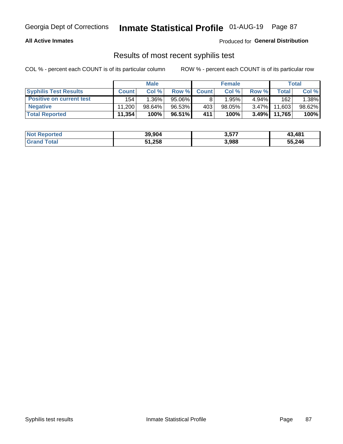#### **All Active Inmates**

Produced for **General Distribution**

### Results of most recent syphilis test

|                                 |              | <b>Male</b> |           |              | <b>Female</b> |          |        | Total  |
|---------------------------------|--------------|-------------|-----------|--------------|---------------|----------|--------|--------|
| <b>Syphilis Test Results</b>    | <b>Count</b> | Col%        | Row %     | <b>Count</b> | Col %         | Row %    | Total  | Col %  |
| <b>Positive on current test</b> | 154          | $1.36\%$    | $95.06\%$ |              | 1.95%         | $4.94\%$ | 162    | 1.38%  |
| <b>Negative</b>                 | 11.200       | $98.64\%$   | 96.53%    | 403          | $98.05\%$     | $3.47\%$ | 11,603 | 98.62% |
| <b>Total Reported</b>           | 11,354       | 100%        | 96.51%    | 411          | 100%          | $3.49\%$ | 11,765 | 100%   |

| <b>Not Reported</b> | 39,904 | 3,577 | 43,481 |
|---------------------|--------|-------|--------|
| <b>Grand Total</b>  | 51,258 | 3,988 | 55,246 |